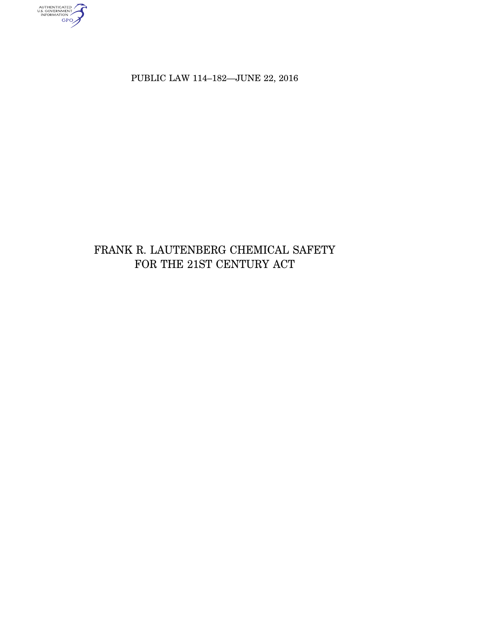AUTHENTICATED<br>U.S. GOVERNMENT<br>INFORMATION

PUBLIC LAW 114–182—JUNE 22, 2016

# FRANK R. LAUTENBERG CHEMICAL SAFETY FOR THE 21ST CENTURY ACT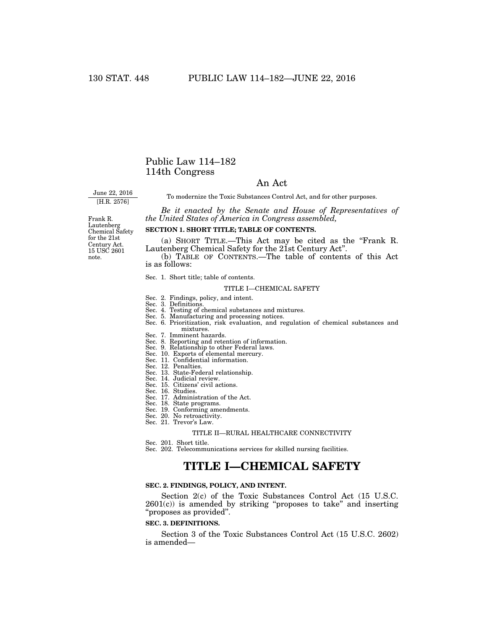# Public Law 114–182 114th Congress

# An Act

June 22, 2016 [H.R. 2576]

To modernize the Toxic Substances Control Act, and for other purposes.

*Be it enacted by the Senate and House of Representatives of the United States of America in Congress assembled,* 

Frank R. Lautenberg Chemical Safety for the 21st Century Act. 15 USC 2601 note.

### **SECTION 1. SHORT TITLE; TABLE OF CONTENTS.**

(a) SHORT TITLE.—This Act may be cited as the ''Frank R. Lautenberg Chemical Safety for the 21st Century Act''.

(b) TABLE OF CONTENTS.—The table of contents of this Act is as follows:

Sec. 1. Short title; table of contents.

#### TITLE I—CHEMICAL SAFETY

- Sec. 2. Findings, policy, and intent.
- Sec. 3. Definitions.
- Sec. 4. Testing of chemical substances and mixtures. Sec. 5. Manufacturing and processing notices.
- 
- Sec. 6. Prioritization, risk evaluation, and regulation of chemical substances and mixtures.
- Sec. 7. Imminent hazards.
- Sec. 8. Reporting and retention of information. Sec. 9. Relationship to other Federal laws.
- 
- Sec. 10. Exports of elemental mercury. Sec. 11. Confidential information.
- 
- 
- Sec. 12. Penalties. Sec. 13. State-Federal relationship.
- Sec. 14. Judicial review.
- Sec. 15. Citizens' civil actions. Sec. 16. Studies.
- 
- Sec. 17. Administration of the Act.
- Sec. 18. State programs. Sec. 19. Conforming amendments.
- 
- Sec. 20. No retroactivity. Sec. 21. Trevor's Law.

#### TITLE II—RURAL HEALTHCARE CONNECTIVITY

- Sec. 201. Short title. Sec. 202. Telecommunications services for skilled nursing facilities.
- 

# **TITLE I—CHEMICAL SAFETY**

### **SEC. 2. FINDINGS, POLICY, AND INTENT.**

Section 2(c) of the Toxic Substances Control Act (15 U.S.C. 2601(c)) is amended by striking ''proposes to take'' and inserting ''proposes as provided''.

# **SEC. 3. DEFINITIONS.**

Section 3 of the Toxic Substances Control Act (15 U.S.C. 2602) is amended—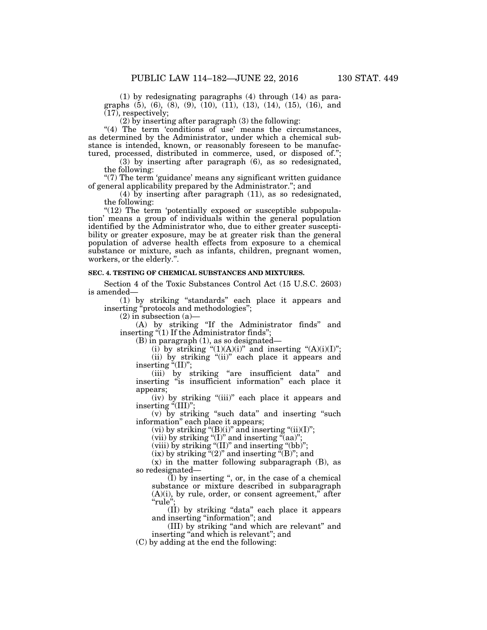(1) by redesignating paragraphs (4) through (14) as paragraphs (5), (6), (8), (9), (10), (11), (13), (14), (15), (16), and  $(17)$ , respectively;

(2) by inserting after paragraph (3) the following:

"(4) The term 'conditions of use' means the circumstances, as determined by the Administrator, under which a chemical substance is intended, known, or reasonably foreseen to be manufactured, processed, distributed in commerce, used, or disposed of.'';

(3) by inserting after paragraph (6), as so redesignated, the following:

''(7) The term 'guidance' means any significant written guidance of general applicability prepared by the Administrator.''; and

(4) by inserting after paragraph (11), as so redesignated, the following:

"(12) The term 'potentially exposed or susceptible subpopulation' means a group of individuals within the general population identified by the Administrator who, due to either greater susceptibility or greater exposure, may be at greater risk than the general population of adverse health effects from exposure to a chemical substance or mixture, such as infants, children, pregnant women, workers, or the elderly.''.

# **SEC. 4. TESTING OF CHEMICAL SUBSTANCES AND MIXTURES.**

Section 4 of the Toxic Substances Control Act (15 U.S.C. 2603) is amended—

(1) by striking ''standards'' each place it appears and inserting ''protocols and methodologies'';

 $(2)$  in subsection  $(a)$ —

(A) by striking ''If the Administrator finds'' and inserting  $\cdot(1)$  If the Administrator finds";

(B) in paragraph (1), as so designated—

(i) by striking " $(1)(A)(i)$ " and inserting " $(A)(i)(I)$ ";

(ii) by striking "(ii)" each place it appears and  $\text{inserting}$  " $(\text{II})$ ";

(iii) by striking "are insufficient data" and inserting ''is insufficient information'' each place it appears;

 $(iv)$  by striking " $(iii)$ " each place it appears and inserting  $\mathbf{H}(\text{III})$ ";

(v) by striking ''such data'' and inserting ''such information'' each place it appears;

(vi) by striking " $(B)(i)$ " and inserting " $(ii)(I)$ ";

(vii) by striking " $(I)$ " and inserting " $(aa)$ ";

(viii) by striking "(II)" and inserting "(bb)";

 $(ix)$  by striking " $(2)$ " and inserting " $(B)$ "; and

(x) in the matter following subparagraph (B), as so redesignated—

(I) by inserting '', or, in the case of a chemical substance or mixture described in subparagraph  $(A)(i)$ , by rule, order, or consent agreement," after ''rule'';

 $(\hat{II})$  by striking "data" each place it appears and inserting ''information''; and

(III) by striking ''and which are relevant'' and inserting "and which is relevant"; and

(C) by adding at the end the following: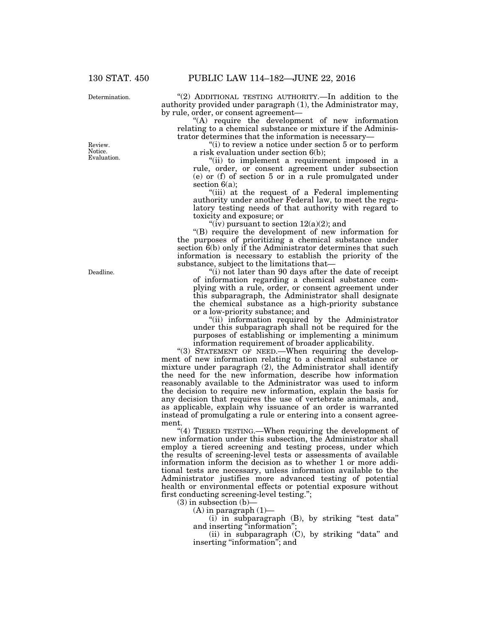Determination.

Review. Notice. Evaluation.

"(2) ADDITIONAL TESTING AUTHORITY.—In addition to the authority provided under paragraph (1), the Administrator may, by rule, order, or consent agreement—

''(A) require the development of new information relating to a chemical substance or mixture if the Administrator determines that the information is necessary—

''(i) to review a notice under section 5 or to perform a risk evaluation under section 6(b);

''(ii) to implement a requirement imposed in a rule, order, or consent agreement under subsection (e) or (f) of section 5 or in a rule promulgated under section  $6(a)$ ;

"(iii) at the request of a Federal implementing authority under another Federal law, to meet the regulatory testing needs of that authority with regard to toxicity and exposure; or

"(iv) pursuant to section  $12(a)(2)$ ; and

''(B) require the development of new information for the purposes of prioritizing a chemical substance under section 6(b) only if the Administrator determines that such information is necessary to establish the priority of the substance, subject to the limitations that—

"(i) not later than 90 days after the date of receipt of information regarding a chemical substance complying with a rule, order, or consent agreement under this subparagraph, the Administrator shall designate the chemical substance as a high-priority substance or a low-priority substance; and

"(ii) information required by the Administrator under this subparagraph shall not be required for the purposes of establishing or implementing a minimum information requirement of broader applicability.

"(3) STATEMENT OF NEED.—When requiring the development of new information relating to a chemical substance or mixture under paragraph (2), the Administrator shall identify the need for the new information, describe how information reasonably available to the Administrator was used to inform the decision to require new information, explain the basis for any decision that requires the use of vertebrate animals, and, as applicable, explain why issuance of an order is warranted instead of promulgating a rule or entering into a consent agreement.

"(4) TIERED TESTING.—When requiring the development of new information under this subsection, the Administrator shall employ a tiered screening and testing process, under which the results of screening-level tests or assessments of available information inform the decision as to whether 1 or more additional tests are necessary, unless information available to the Administrator justifies more advanced testing of potential health or environmental effects or potential exposure without first conducting screening-level testing.'';

 $(3)$  in subsection  $(b)$ 

 $(A)$  in paragraph  $(1)$ —

(i) in subparagraph (B), by striking ''test data'' and inserting "information";

(ii) in subparagraph (C), by striking ''data'' and inserting ''information''; and

Deadline.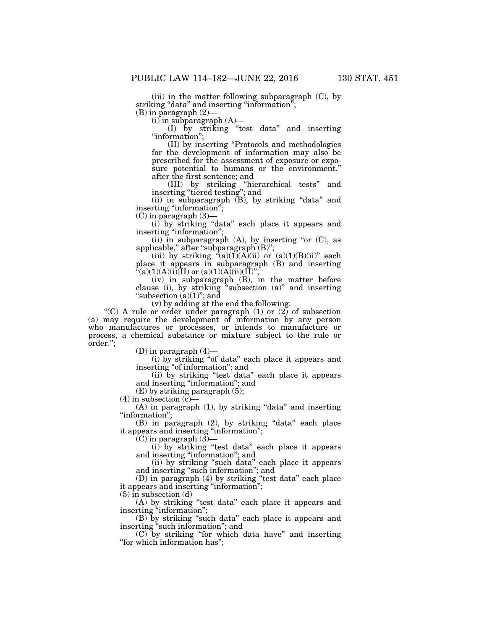(iii) in the matter following subparagraph (C), by striking "data" and inserting "information";

 $(B)$  in paragraph  $(2)$ 

(i) in subparagraph (A)—

(I) by striking ''test data'' and inserting ''information'';

(II) by inserting ''Protocols and methodologies for the development of information may also be prescribed for the assessment of exposure or exposure potential to humans or the environment.'' after the first sentence; and

(III) by striking ''hierarchical tests'' and inserting ''tiered testing''; and

(ii) in subparagraph (B), by striking ''data'' and inserting "information";

 $(C)$  in paragraph  $(3)$ —

(i) by striking ''data'' each place it appears and inserting "information";

(ii) in subparagraph  $(A)$ , by inserting "or  $(C)$ , as applicable,'' after ''subparagraph (B)'';

(iii) by striking  $\sqrt{\tilde{a}(a)(1)(A)}$ (ii) or (a)(1)(B)(ii)" each place it appears in subparagraph (B) and inserting  $f(a)(1)(A)(i)\hat{i}(\Pi)$  or  $(a)(1)(A)\hat{i}ii)(\Pi)$ "

(iv) in subparagraph (B), in the matter before clause (i), by striking ''subsection (a)'' and inserting "subsection  $(a)(1)$ "; and

(v) by adding at the end the following:

"(C) A rule or order under paragraph  $(1)$  or  $(2)$  of subsection (a) may require the development of information by any person who manufactures or processes, or intends to manufacture or process, a chemical substance or mixture subject to the rule or order.'';

(D) in paragraph (4)—

(i) by striking ''of data'' each place it appears and inserting ''of information''; and

(ii) by striking ''test data'' each place it appears and inserting ''information''; and

(E) by striking paragraph (5);

 $(4)$  in subsection  $(c)$ –

(A) in paragraph (1), by striking ''data'' and inserting ''information'';

(B) in paragraph (2), by striking ''data'' each place it appears and inserting ''information'';

 $(C)$  in paragraph  $(3)$ 

(i) by striking ''test data'' each place it appears and inserting ''information''; and

(ii) by striking ''such data'' each place it appears and inserting ''such information''; and

(D) in paragraph (4) by striking ''test data'' each place it appears and inserting ''information'';

 $(5)$  in subsection  $(d)$ —

(A) by striking ''test data'' each place it appears and inserting "information";

(B) by striking ''such data'' each place it appears and inserting "such information"; and

(C) by striking ''for which data have'' and inserting ''for which information has'';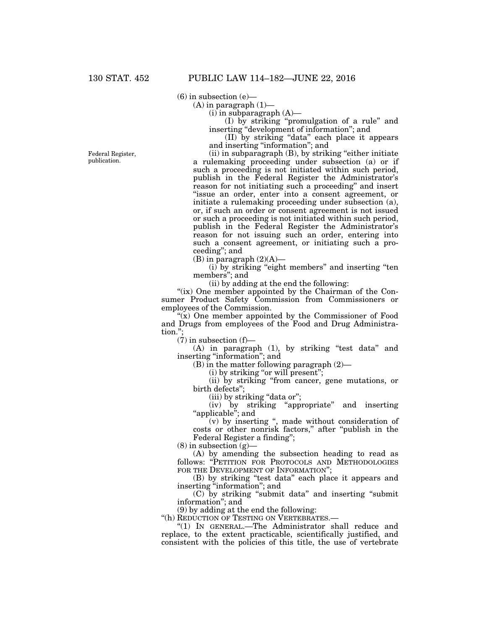$(6)$  in subsection  $(e)$ —

 $(A)$  in paragraph  $(1)$ —

 $(i)$  in subparagraph  $(A)$ —

(I) by striking ''promulgation of a rule'' and inserting ''development of information''; and

(II) by striking ''data'' each place it appears and inserting ''information''; and

(ii) in subparagraph (B), by striking ''either initiate a rulemaking proceeding under subsection (a) or if such a proceeding is not initiated within such period, publish in the Federal Register the Administrator's reason for not initiating such a proceeding'' and insert "issue an order, enter into a consent agreement, or initiate a rulemaking proceeding under subsection (a), or, if such an order or consent agreement is not issued or such a proceeding is not initiated within such period, publish in the Federal Register the Administrator's reason for not issuing such an order, entering into such a consent agreement, or initiating such a proceeding''; and

 $(B)$  in paragraph  $(2)(A)$ —

(i) by striking ''eight members'' and inserting ''ten members''; and

(ii) by adding at the end the following:

"(ix) One member appointed by the Chairman of the Consumer Product Safety Commission from Commissioners or employees of the Commission.

" $(x)$  One member appointed by the Commissioner of Food and Drugs from employees of the Food and Drug Administration.'';

 $(7)$  in subsection  $(f)$ —

(A) in paragraph (1), by striking ''test data'' and inserting ''information''; and

(B) in the matter following paragraph (2)—

(i) by striking "or will present";

(ii) by striking ''from cancer, gene mutations, or birth defects'';

(iii) by striking "data or";

(iv) by striking ''appropriate'' and inserting ''applicable''; and

(v) by inserting '', made without consideration of costs or other nonrisk factors,'' after ''publish in the Federal Register a finding'';

 $(8)$  in subsection  $(g)$ —

(A) by amending the subsection heading to read as follows: "PETITION FOR PROTOCOLS AND METHODOLOGIES FOR THE DEVELOPMENT OF INFORMATION";

(B) by striking ''test data'' each place it appears and inserting ''information''; and

(C) by striking ''submit data'' and inserting ''submit information''; and

(9) by adding at the end the following:

''(h) REDUCTION OF TESTING ON VERTEBRATES.—

''(1) IN GENERAL.—The Administrator shall reduce and replace, to the extent practicable, scientifically justified, and consistent with the policies of this title, the use of vertebrate

Federal Register, publication.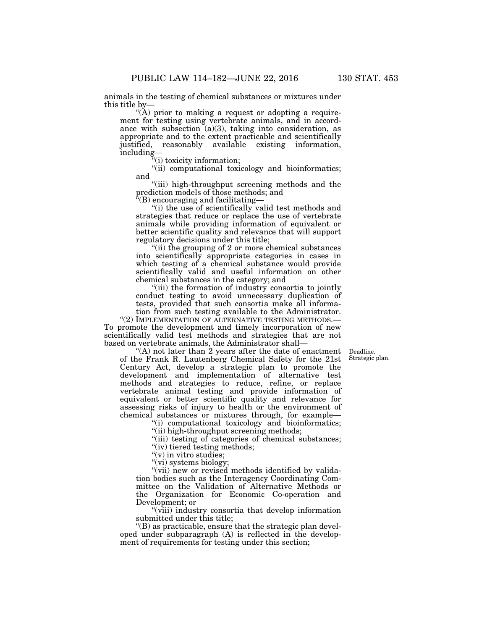animals in the testing of chemical substances or mixtures under this title by—

"( $\hat{A}$ ) prior to making a request or adopting a requirement for testing using vertebrate animals, and in accordance with subsection  $(a)(3)$ , taking into consideration, as appropriate and to the extent practicable and scientifically justified, reasonably available existing information, including—

''(i) toxicity information;

''(ii) computational toxicology and bioinformatics; and

"(iii) high-throughput screening methods and the prediction models of those methods; and

''(B) encouraging and facilitating—

''(i) the use of scientifically valid test methods and strategies that reduce or replace the use of vertebrate animals while providing information of equivalent or better scientific quality and relevance that will support regulatory decisions under this title;

''(ii) the grouping of 2 or more chemical substances into scientifically appropriate categories in cases in which testing of a chemical substance would provide scientifically valid and useful information on other chemical substances in the category; and

"(iii) the formation of industry consortia to jointly conduct testing to avoid unnecessary duplication of tests, provided that such consortia make all information from such testing available to the Administrator.

"(2) IMPLEMENTATION OF ALTERNATIVE TESTING METHODS.-To promote the development and timely incorporation of new scientifically valid test methods and strategies that are not based on vertebrate animals, the Administrator shall—

"(A) not later than 2 years after the date of enactment of the Frank R. Lautenberg Chemical Safety for the 21st Century Act, develop a strategic plan to promote the development and implementation of alternative test methods and strategies to reduce, refine, or replace vertebrate animal testing and provide information of

equivalent or better scientific quality and relevance for assessing risks of injury to health or the environment of chemical substances or mixtures through, for example— ''(i) computational toxicology and bioinformatics;

"(ii) high-throughput screening methods;

"(iii) testing of categories of chemical substances; "(iv) tiered testing methods;

" $(v)$  in vitro studies;

"(vi) systems biology;

"(vii) new or revised methods identified by validation bodies such as the Interagency Coordinating Committee on the Validation of Alternative Methods or the Organization for Economic Co-operation and Development; or

''(viii) industry consortia that develop information submitted under this title;

 $\mathrm{``(B)}$  as practicable, ensure that the strategic plan developed under subparagraph (A) is reflected in the development of requirements for testing under this section;

Deadline. Strategic plan.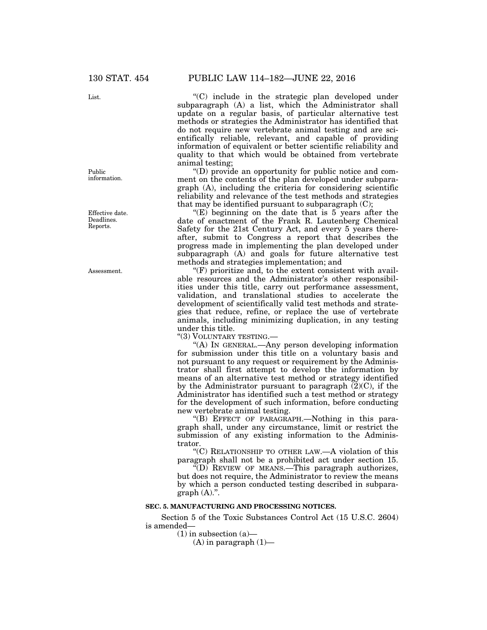Effective date. Deadlines. Reports.

Assessment.

''(C) include in the strategic plan developed under subparagraph (A) a list, which the Administrator shall update on a regular basis, of particular alternative test methods or strategies the Administrator has identified that do not require new vertebrate animal testing and are scientifically reliable, relevant, and capable of providing information of equivalent or better scientific reliability and quality to that which would be obtained from vertebrate animal testing;

''(D) provide an opportunity for public notice and comment on the contents of the plan developed under subparagraph (A), including the criteria for considering scientific reliability and relevance of the test methods and strategies that may be identified pursuant to subparagraph (C);

 $E(E)$  beginning on the date that is 5 years after the date of enactment of the Frank R. Lautenberg Chemical Safety for the 21st Century Act, and every 5 years thereafter, submit to Congress a report that describes the progress made in implementing the plan developed under subparagraph (A) and goals for future alternative test methods and strategies implementation; and

 $\mathcal{F}(F)$  prioritize and, to the extent consistent with available resources and the Administrator's other responsibilities under this title, carry out performance assessment, validation, and translational studies to accelerate the development of scientifically valid test methods and strategies that reduce, refine, or replace the use of vertebrate animals, including minimizing duplication, in any testing under this title.

''(3) VOLUNTARY TESTING.—

''(A) IN GENERAL.—Any person developing information for submission under this title on a voluntary basis and not pursuant to any request or requirement by the Administrator shall first attempt to develop the information by means of an alternative test method or strategy identified by the Administrator pursuant to paragraph  $(2)(C)$ , if the Administrator has identified such a test method or strategy for the development of such information, before conducting new vertebrate animal testing.

''(B) EFFECT OF PARAGRAPH.—Nothing in this paragraph shall, under any circumstance, limit or restrict the submission of any existing information to the Administrator.

''(C) RELATIONSHIP TO OTHER LAW.—A violation of this paragraph shall not be a prohibited act under section 15.

''(D) REVIEW OF MEANS.—This paragraph authorizes, but does not require, the Administrator to review the means by which a person conducted testing described in subpara $graph (A).$ ".

## **SEC. 5. MANUFACTURING AND PROCESSING NOTICES.**

Section 5 of the Toxic Substances Control Act (15 U.S.C. 2604) is amended—

 $(1)$  in subsection  $(a)$ —

 $(A)$  in paragraph  $(1)$ —

Public information.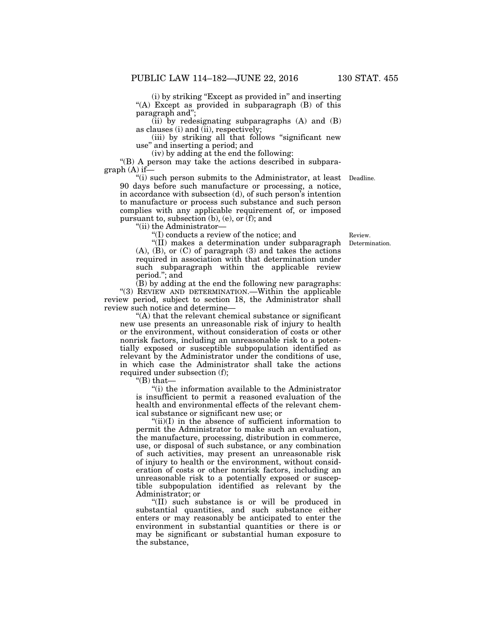(i) by striking ''Except as provided in'' and inserting "(A) Except as provided in subparagraph  $(B)$  of this paragraph and'';

 $(iii)$  by redesignating subparagraphs  $(A)$  and  $(B)$ as clauses (i) and (ii), respectively;

(iii) by striking all that follows ''significant new use'' and inserting a period; and

(iv) by adding at the end the following:

''(B) A person may take the actions described in subpara $graph (A)$  if-

"(i) such person submits to the Administrator, at least Deadline. 90 days before such manufacture or processing, a notice, in accordance with subsection (d), of such person's intention to manufacture or process such substance and such person complies with any applicable requirement of, or imposed pursuant to, subsection  $(b)$ ,  $(e)$ , or  $(f)$ ; and

''(ii) the Administrator—

''(I) conducts a review of the notice; and

''(II) makes a determination under subparagraph (A), (B), or (C) of paragraph (3) and takes the actions required in association with that determination under such subparagraph within the applicable review period.''; and

 $(B)$  by adding at the end the following new paragraphs: "(3) REVIEW AND DETERMINATION.—Within the applicable review period, subject to section 18, the Administrator shall review such notice and determine—

''(A) that the relevant chemical substance or significant new use presents an unreasonable risk of injury to health or the environment, without consideration of costs or other nonrisk factors, including an unreasonable risk to a potentially exposed or susceptible subpopulation identified as relevant by the Administrator under the conditions of use, in which case the Administrator shall take the actions required under subsection (f);

" $(B)$  that-

''(i) the information available to the Administrator is insufficient to permit a reasoned evaluation of the health and environmental effects of the relevant chemical substance or significant new use; or

''(ii)(I) in the absence of sufficient information to permit the Administrator to make such an evaluation, the manufacture, processing, distribution in commerce, use, or disposal of such substance, or any combination of such activities, may present an unreasonable risk of injury to health or the environment, without consideration of costs or other nonrisk factors, including an unreasonable risk to a potentially exposed or susceptible subpopulation identified as relevant by the Administrator; or

''(II) such substance is or will be produced in substantial quantities, and such substance either enters or may reasonably be anticipated to enter the environment in substantial quantities or there is or may be significant or substantial human exposure to the substance,

Determination. Review.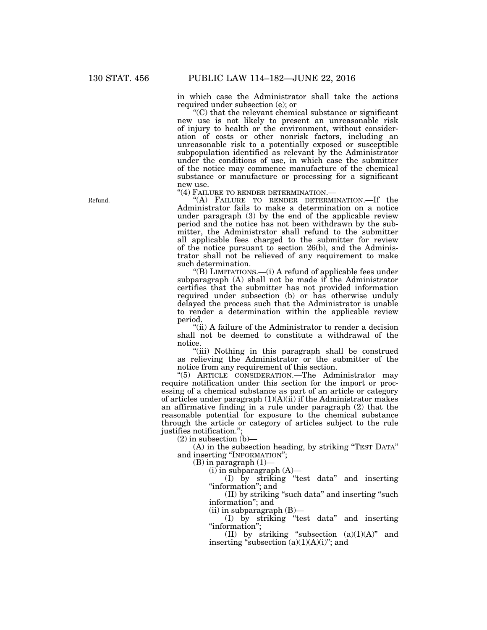in which case the Administrator shall take the actions required under subsection (e); or

''(C) that the relevant chemical substance or significant new use is not likely to present an unreasonable risk of injury to health or the environment, without consideration of costs or other nonrisk factors, including an unreasonable risk to a potentially exposed or susceptible subpopulation identified as relevant by the Administrator under the conditions of use, in which case the submitter of the notice may commence manufacture of the chemical substance or manufacture or processing for a significant new use.<br>"(4) FAILURE TO RENDER DETERMINATION.—

"(A) FAILURE TO RENDER DETERMINATION.—If the Administrator fails to make a determination on a notice under paragraph (3) by the end of the applicable review period and the notice has not been withdrawn by the submitter, the Administrator shall refund to the submitter all applicable fees charged to the submitter for review of the notice pursuant to section 26(b), and the Administrator shall not be relieved of any requirement to make such determination.

''(B) LIMITATIONS.—(i) A refund of applicable fees under subparagraph (A) shall not be made if the Administrator certifies that the submitter has not provided information required under subsection (b) or has otherwise unduly delayed the process such that the Administrator is unable to render a determination within the applicable review period.

''(ii) A failure of the Administrator to render a decision shall not be deemed to constitute a withdrawal of the notice.

''(iii) Nothing in this paragraph shall be construed as relieving the Administrator or the submitter of the notice from any requirement of this section.

''(5) ARTICLE CONSIDERATION.—The Administrator may require notification under this section for the import or processing of a chemical substance as part of an article or category of articles under paragraph  $(1)(A)(ii)$  if the Administrator makes an affirmative finding in a rule under paragraph (2) that the reasonable potential for exposure to the chemical substance through the article or category of articles subject to the rule justifies notification.'';

 $(2)$  in subsection  $(b)$ —

(A) in the subsection heading, by striking ''TEST DATA'' and inserting "INFORMATION";

 $(B)$  in paragraph  $(1)$ —

 $(i)$  in subparagraph  $(A)$ —

(I) by striking ''test data'' and inserting ''information''; and

(II) by striking ''such data'' and inserting ''such information''; and

(ii) in subparagraph (B)—

(I) by striking ''test data'' and inserting "information";

(II) by striking "subsection  $(a)(1)(A)$ " and inserting "subsection  $(a)(1)(A)(i)$ "; and

Refund.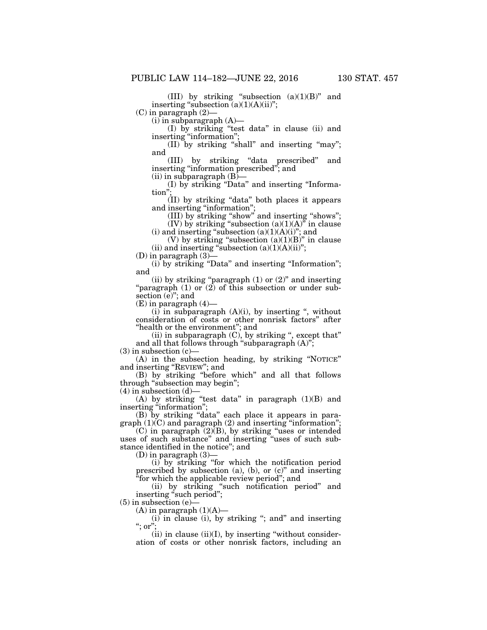(III) by striking "subsection  $(a)(1)(B)$ " and inserting "subsection  $(a)(1)(A)(ii)$ ";

(C) in paragraph (2)—

(i) in subparagraph (A)—

(I) by striking ''test data'' in clause (ii) and inserting ''information'';

(II) by striking ''shall'' and inserting ''may''; and

(III) by striking ''data prescribed'' and inserting "information prescribed"; and

(ii) in subparagraph (B)— (I) by striking ''Data'' and inserting ''Informa-

tion'';

(II) by striking ''data'' both places it appears and inserting "information";

(III) by striking ''show'' and inserting ''shows'';  $(IV)$  by striking "subsection  $(a)(1)(A)$ " in clause

(i) and inserting "subsection  $(a)(1)(A)(i)$ "; and

(V) by striking "subsection  $(a)(1)(B)$ " in clause (ii) and inserting "subsection  $(a)(1)(A)(ii)$ ";

 $(D)$  in paragraph  $(3)$ -

(i) by striking ''Data'' and inserting ''Information''; and

(ii) by striking "paragraph  $(1)$  or  $(2)$ " and inserting "paragraph  $(1)$  or  $(2)$  of this subsection or under subsection (e)''; and

(E) in paragraph (4)—

 $(i)$  in subparagraph  $(A)(i)$ , by inserting ", without consideration of costs or other nonrisk factors'' after ''health or the environment''; and

(ii) in subparagraph  $(C)$ , by striking ", except that" and all that follows through ''subparagraph (A)'';

 $(3)$  in subsection  $(c)$ -

(A) in the subsection heading, by striking ''NOTICE'' and inserting "REVIEW"; and

(B) by striking ''before which'' and all that follows through "subsection may begin";

 $(4)$  in subsection  $(d)$ —

(A) by striking ''test data'' in paragraph (1)(B) and inserting "information";

(B) by striking ''data'' each place it appears in para $graph (1)(C)$  and paragraph  $(2)$  and inserting "information";

 $(C)$  in paragraph  $(2)$  $(B)$ , by striking "uses or intended uses of such substance'' and inserting ''uses of such substance identified in the notice''; and

(D) in paragraph (3)—

(i) by striking ''for which the notification period prescribed by subsection (a), (b), or (c)'' and inserting ''for which the applicable review period''; and

(ii) by striking ''such notification period'' and inserting "such period";

 $(5)$  in subsection  $(e)$ 

 $(A)$  in paragraph  $(1)(A)$ —

(i) in clause (i), by striking ''; and'' and inserting "; or";

 $(ii)$  in clause  $(ii)(I)$ , by inserting "without consideration of costs or other nonrisk factors, including an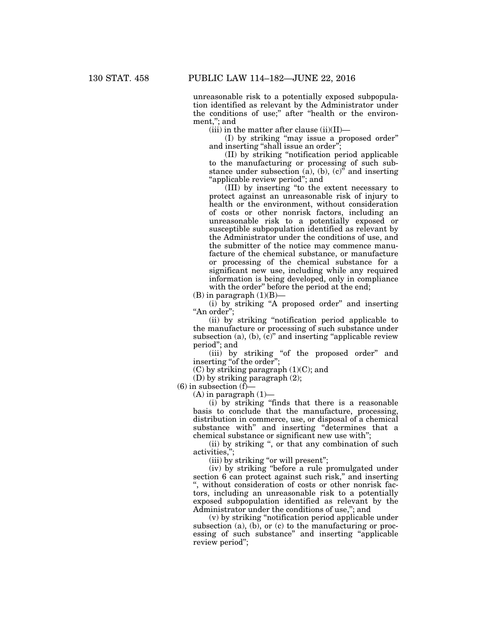unreasonable risk to a potentially exposed subpopulation identified as relevant by the Administrator under the conditions of use;'' after ''health or the environment,''; and

 $(iii)$  in the matter after clause  $(ii)(II)$ —

(I) by striking ''may issue a proposed order'' and inserting "shall issue an order";

(II) by striking ''notification period applicable to the manufacturing or processing of such substance under subsection (a), (b), (c)'' and inserting "applicable review period"; and

(III) by inserting ''to the extent necessary to protect against an unreasonable risk of injury to health or the environment, without consideration of costs or other nonrisk factors, including an unreasonable risk to a potentially exposed or susceptible subpopulation identified as relevant by the Administrator under the conditions of use, and the submitter of the notice may commence manufacture of the chemical substance, or manufacture or processing of the chemical substance for a significant new use, including while any required information is being developed, only in compliance with the order'' before the period at the end;

 $(B)$  in paragraph  $(1)(B)$ —

(i) by striking ''A proposed order'' and inserting "An order";

(ii) by striking ''notification period applicable to the manufacture or processing of such substance under subsection (a), (b),  $(c)$ " and inserting "applicable review period''; and

(iii) by striking "of the proposed order" and inserting "of the order";

(C) by striking paragraph (1)(C); and

(D) by striking paragraph (2);

 $(6)$  in subsection  $(f)$ –

 $(A)$  in paragraph  $(1)$ 

(i) by striking ''finds that there is a reasonable basis to conclude that the manufacture, processing, distribution in commerce, use, or disposal of a chemical substance with" and inserting "determines that a chemical substance or significant new use with'';

(ii) by striking '', or that any combination of such activities,'';

(iii) by striking "or will present";

(iv) by striking ''before a rule promulgated under section 6 can protect against such risk," and inserting '', without consideration of costs or other nonrisk factors, including an unreasonable risk to a potentially exposed subpopulation identified as relevant by the Administrator under the conditions of use,''; and

(v) by striking ''notification period applicable under subsection (a), (b), or (c) to the manufacturing or processing of such substance'' and inserting ''applicable review period'';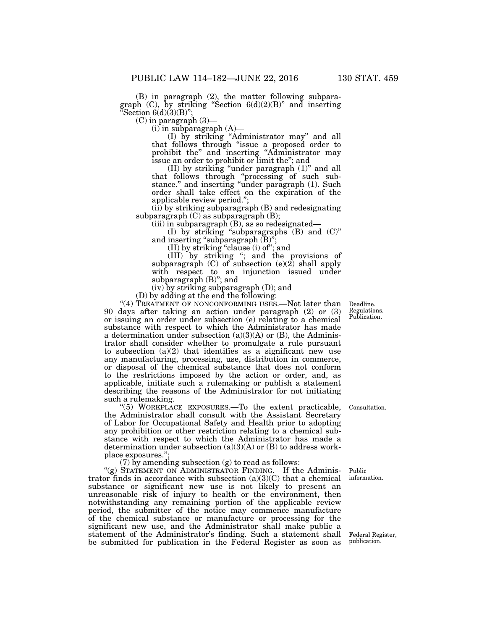(B) in paragraph (2), the matter following subparagraph  $(C)$ , by striking "Section  $6(d)(2)(B)$ " and inserting  $\text{``Section 6(d)(3)(B)}$ ";

(C) in paragraph (3)—

 $(i)$  in subparagraph  $(A)$ —

(I) by striking ''Administrator may'' and all that follows through ''issue a proposed order to prohibit the'' and inserting ''Administrator may issue an order to prohibit or limit the''; and

(II) by striking "under paragraph  $(1)$ " and all that follows through ''processing of such substance.'' and inserting ''under paragraph (1). Such order shall take effect on the expiration of the applicable review period.'';

(ii) by striking subparagraph (B) and redesignating subparagraph  $(C)$  as subparagraph  $(B)$ ;

 $(iii)$  in subparagraph  $(B)$ , as so redesignated—

(I) by striking ''subparagraphs (B) and (C)'' and inserting "subparagraph (B)";

(II) by striking ''clause (i) of''; and

(III) by striking ''; and the provisions of subparagraph  $(C)$  of subsection  $(e)(2)$  shall apply with respect to an injunction issued under subparagraph (B)''; and

(iv) by striking subparagraph (D); and

(D) by adding at the end the following:

"(4) TREATMENT OF NONCONFORMING USES.—Not later than 90 days after taking an action under paragraph (2) or (3) or issuing an order under subsection (e) relating to a chemical substance with respect to which the Administrator has made a determination under subsection  $(a)(3)(A)$  or  $(B)$ , the Administrator shall consider whether to promulgate a rule pursuant to subsection  $(a)(2)$  that identifies as a significant new use any manufacturing, processing, use, distribution in commerce, or disposal of the chemical substance that does not conform to the restrictions imposed by the action or order, and, as applicable, initiate such a rulemaking or publish a statement describing the reasons of the Administrator for not initiating such a rulemaking.

''(5) WORKPLACE EXPOSURES.—To the extent practicable, the Administrator shall consult with the Assistant Secretary of Labor for Occupational Safety and Health prior to adopting any prohibition or other restriction relating to a chemical substance with respect to which the Administrator has made a determination under subsection  $(a)(3)(A)$  or  $(B)$  to address workplace exposures.'';

 $(7)$  by amending subsection  $(g)$  to read as follows:

"(g) STATEMENT ON ADMINISTRATOR FINDING.—If the Administrator finds in accordance with subsection  $(a)(3)(C)$  that a chemical substance or significant new use is not likely to present an unreasonable risk of injury to health or the environment, then notwithstanding any remaining portion of the applicable review period, the submitter of the notice may commence manufacture of the chemical substance or manufacture or processing for the significant new use, and the Administrator shall make public a statement of the Administrator's finding. Such a statement shall be submitted for publication in the Federal Register as soon as

Deadline. Regulations. Publication.

Consultation.

Public information.

Federal Register, publication.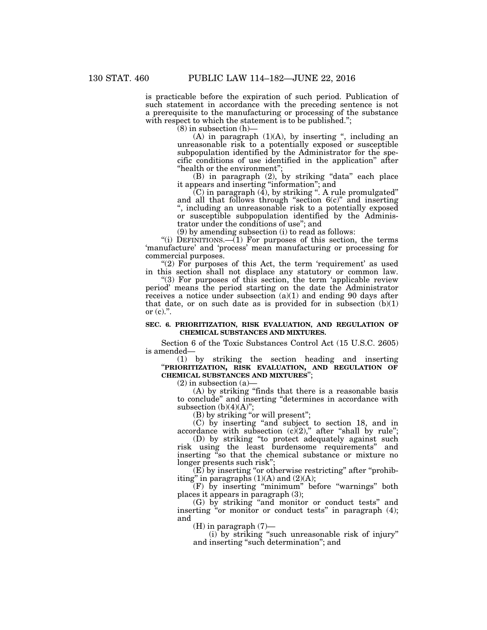is practicable before the expiration of such period. Publication of such statement in accordance with the preceding sentence is not a prerequisite to the manufacturing or processing of the substance with respect to which the statement is to be published.";

(8) in subsection (h)—

(A) in paragraph  $(1)(A)$ , by inserting ", including an unreasonable risk to a potentially exposed or susceptible subpopulation identified by the Administrator for the specific conditions of use identified in the application'' after ''health or the environment'';

(B) in paragraph (2), by striking ''data'' each place it appears and inserting ''information''; and

 $(C)$  in paragraph  $(4)$ , by striking ". A rule promulgated" and all that follows through "section  $6(c)$ " and inserting '', including an unreasonable risk to a potentially exposed or susceptible subpopulation identified by the Administrator under the conditions of use''; and

(9) by amending subsection (i) to read as follows:

"(i) DEFINITIONS.—(1) For purposes of this section, the terms 'manufacture' and 'process' mean manufacturing or processing for commercial purposes.

" $(2)$  For purposes of this Act, the term 'requirement' as used in this section shall not displace any statutory or common law.

"(3) For purposes of this section, the term 'applicable review period' means the period starting on the date the Administrator receives a notice under subsection  $(a)(1)$  and ending 90 days after that date, or on such date as is provided for in subsection  $(b)(1)$ or  $(c)$ .".

#### **SEC. 6. PRIORITIZATION, RISK EVALUATION, AND REGULATION OF CHEMICAL SUBSTANCES AND MIXTURES.**

Section 6 of the Toxic Substances Control Act (15 U.S.C. 2605) is amended—

(1) by striking the section heading and inserting ''**PRIORITIZATION, RISK EVALUATION, AND REGULATION OF CHEMICAL SUBSTANCES AND MIXTURES**'';

 $(2)$  in subsection  $(a)$ —

(A) by striking ''finds that there is a reasonable basis to conclude'' and inserting ''determines in accordance with subsection  $(b)(4)(A)$ ";

(B) by striking "or will present";

(C) by inserting ''and subject to section 18, and in accordance with subsection  $(c)(2)$ ," after "shall by rule";

(D) by striking ''to protect adequately against such risk using the least burdensome requirements'' and inserting "so that the chemical substance or mixture no longer presents such risk'';

 $(E)$  by inserting "or otherwise restricting" after "prohibiting" in paragraphs  $(1)(A)$  and  $(2)(A)$ ;

(F) by inserting ''minimum'' before ''warnings'' both places it appears in paragraph (3);

(G) by striking ''and monitor or conduct tests'' and inserting "or monitor or conduct tests" in paragraph  $(4)$ ; and

(H) in paragraph (7)—

(i) by striking ''such unreasonable risk of injury'' and inserting ''such determination''; and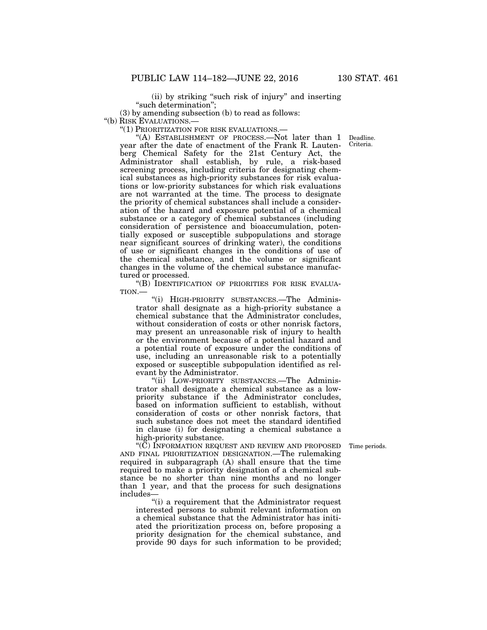(ii) by striking ''such risk of injury'' and inserting "such determination";

(3) by amending subsection (b) to read as follows:

''(b) RISK EVALUATIONS.—

''(1) PRIORITIZATION FOR RISK EVALUATIONS.—

''(A) ESTABLISHMENT OF PROCESS.—Not later than 1 year after the date of enactment of the Frank R. Lautenberg Chemical Safety for the 21st Century Act, the Administrator shall establish, by rule, a risk-based screening process, including criteria for designating chemical substances as high-priority substances for risk evaluations or low-priority substances for which risk evaluations are not warranted at the time. The process to designate the priority of chemical substances shall include a consideration of the hazard and exposure potential of a chemical substance or a category of chemical substances (including consideration of persistence and bioaccumulation, potentially exposed or susceptible subpopulations and storage near significant sources of drinking water), the conditions of use or significant changes in the conditions of use of the chemical substance, and the volume or significant changes in the volume of the chemical substance manufactured or processed.

''(B) IDENTIFICATION OF PRIORITIES FOR RISK EVALUA-TION.—

"(i) HIGH-PRIORITY SUBSTANCES.-The Administrator shall designate as a high-priority substance a chemical substance that the Administrator concludes, without consideration of costs or other nonrisk factors, may present an unreasonable risk of injury to health or the environment because of a potential hazard and a potential route of exposure under the conditions of use, including an unreasonable risk to a potentially exposed or susceptible subpopulation identified as relevant by the Administrator.

"(ii) LOW-PRIORITY SUBSTANCES.—The Administrator shall designate a chemical substance as a lowpriority substance if the Administrator concludes, based on information sufficient to establish, without consideration of costs or other nonrisk factors, that such substance does not meet the standard identified in clause (i) for designating a chemical substance a high-priority substance.

Time periods.

''(C) INFORMATION REQUEST AND REVIEW AND PROPOSED AND FINAL PRIORITIZATION DESIGNATION.—The rulemaking required in subparagraph (A) shall ensure that the time required to make a priority designation of a chemical substance be no shorter than nine months and no longer than 1 year, and that the process for such designations includes—

"(i) a requirement that the Administrator request" interested persons to submit relevant information on a chemical substance that the Administrator has initiated the prioritization process on, before proposing a priority designation for the chemical substance, and provide 90 days for such information to be provided;

Deadline. Criteria.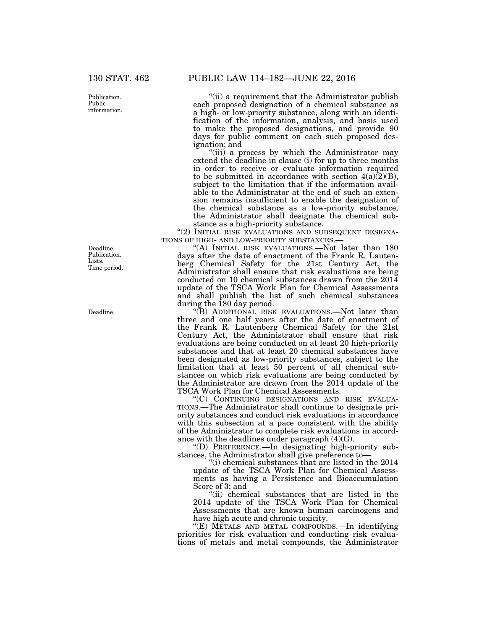Publication. Public information.

Deadline. Publication. Lists. Time period.

Deadline.

"(ii) a requirement that the Administrator publish each proposed designation of a chemical substance as a high- or low-priority substance, along with an identification of the information, analysis, and basis used to make the proposed designations, and provide 90 days for public comment on each such proposed designation; and

"(iii) a process by which the Administrator may extend the deadline in clause (i) for up to three months in order to receive or evaluate information required to be submitted in accordance with section  $4(a)(2)(B)$ , subject to the limitation that if the information available to the Administrator at the end of such an extension remains insufficient to enable the designation of the chemical substance as a low-priority substance, the Administrator shall designate the chemical substance as a high-priority substance.

"(2) INITIAL RISK EVALUATIONS AND SUBSEQUENT DESIGNA-TIONS OF HIGH- AND LOW-PRIORITY SUBSTANCES.—

''(A) INITIAL RISK EVALUATIONS.—Not later than 180 days after the date of enactment of the Frank R. Lautenberg Chemical Safety for the 21st Century Act, the Administrator shall ensure that risk evaluations are being conducted on 10 chemical substances drawn from the 2014 update of the TSCA Work Plan for Chemical Assessments and shall publish the list of such chemical substances during the 180 day period.

''(B) ADDITIONAL RISK EVALUATIONS.—Not later than three and one half years after the date of enactment of the Frank R. Lautenberg Chemical Safety for the 21st Century Act, the Administrator shall ensure that risk evaluations are being conducted on at least 20 high-priority substances and that at least 20 chemical substances have been designated as low-priority substances, subject to the limitation that at least 50 percent of all chemical substances on which risk evaluations are being conducted by the Administrator are drawn from the 2014 update of the TSCA Work Plan for Chemical Assessments.

''(C) CONTINUING DESIGNATIONS AND RISK EVALUA-TIONS.—The Administrator shall continue to designate priority substances and conduct risk evaluations in accordance with this subsection at a pace consistent with the ability of the Administrator to complete risk evaluations in accordance with the deadlines under paragraph (4)(G).

''(D) PREFERENCE.—In designating high-priority substances, the Administrator shall give preference to—

''(i) chemical substances that are listed in the 2014 update of the TSCA Work Plan for Chemical Assessments as having a Persistence and Bioaccumulation Score of 3; and

"(ii) chemical substances that are listed in the 2014 update of the TSCA Work Plan for Chemical Assessments that are known human carcinogens and have high acute and chronic toxicity.

"(E) METALS AND METAL COMPOUNDS.—In identifying priorities for risk evaluation and conducting risk evaluations of metals and metal compounds, the Administrator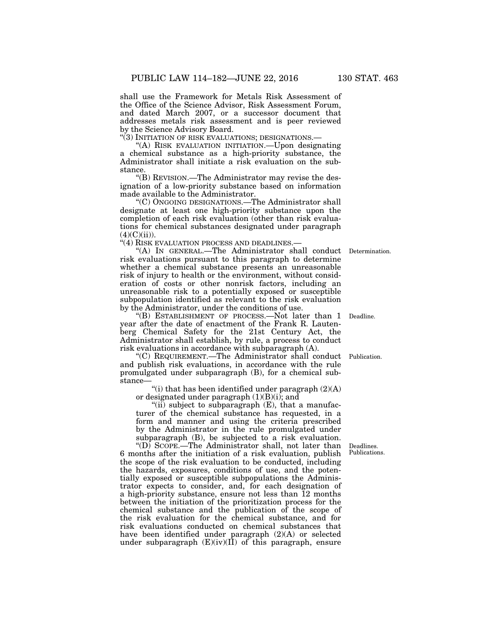shall use the Framework for Metals Risk Assessment of the Office of the Science Advisor, Risk Assessment Forum, and dated March 2007, or a successor document that addresses metals risk assessment and is peer reviewed by the Science Advisory Board.

''(3) INITIATION OF RISK EVALUATIONS; DESIGNATIONS.—

''(A) RISK EVALUATION INITIATION.—Upon designating a chemical substance as a high-priority substance, the Administrator shall initiate a risk evaluation on the substance.

''(B) REVISION.—The Administrator may revise the designation of a low-priority substance based on information made available to the Administrator.

''(C) ONGOING DESIGNATIONS.—The Administrator shall designate at least one high-priority substance upon the completion of each risk evaluation (other than risk evaluations for chemical substances designated under paragraph  $(4)(C)(ii)$ ).

''(4) RISK EVALUATION PROCESS AND DEADLINES.—

''(A) IN GENERAL.—The Administrator shall conduct Determination. risk evaluations pursuant to this paragraph to determine whether a chemical substance presents an unreasonable risk of injury to health or the environment, without consideration of costs or other nonrisk factors, including an unreasonable risk to a potentially exposed or susceptible subpopulation identified as relevant to the risk evaluation by the Administrator, under the conditions of use.

''(B) ESTABLISHMENT OF PROCESS.—Not later than 1 Deadline. year after the date of enactment of the Frank R. Lautenberg Chemical Safety for the 21st Century Act, the Administrator shall establish, by rule, a process to conduct risk evaluations in accordance with subparagraph (A).

''(C) REQUIREMENT.—The Administrator shall conduct Publication. and publish risk evaluations, in accordance with the rule promulgated under subparagraph (B), for a chemical substance—

"(i) that has been identified under paragraph  $(2)(A)$ or designated under paragraph  $(1)(B)(i)$ ; and

"(ii) subject to subparagraph  $(E)$ , that a manufacturer of the chemical substance has requested, in a form and manner and using the criteria prescribed by the Administrator in the rule promulgated under subparagraph (B), be subjected to a risk evaluation. ''(D) SCOPE.—The Administrator shall, not later than

6 months after the initiation of a risk evaluation, publish the scope of the risk evaluation to be conducted, including the hazards, exposures, conditions of use, and the potentially exposed or susceptible subpopulations the Administrator expects to consider, and, for each designation of a high-priority substance, ensure not less than 12 months between the initiation of the prioritization process for the chemical substance and the publication of the scope of the risk evaluation for the chemical substance, and for risk evaluations conducted on chemical substances that have been identified under paragraph (2)(A) or selected under subparagraph  $(E)(iv)(I\hat{I})$  of this paragraph, ensure

Deadlines. Publications.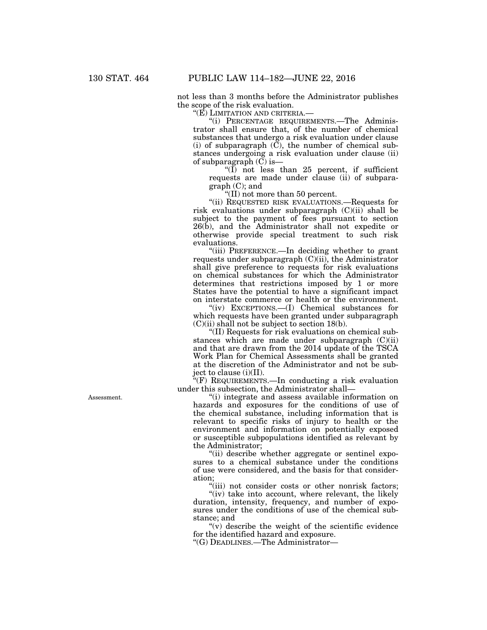not less than 3 months before the Administrator publishes the scope of the risk evaluation.

''(E) LIMITATION AND CRITERIA.—

''(i) PERCENTAGE REQUIREMENTS.—The Administrator shall ensure that, of the number of chemical substances that undergo a risk evaluation under clause  $(i)$  of subparagraph  $(\overline{C})$ , the number of chemical substances undergoing a risk evaluation under clause (ii) of subparagraph  $(\overline{C})$  is—

 $\sqrt[4]{I}$  not less than 25 percent, if sufficient requests are made under clause (ii) of subparagraph (C); and

''(II) not more than 50 percent.

''(ii) REQUESTED RISK EVALUATIONS.—Requests for risk evaluations under subparagraph (C)(ii) shall be subject to the payment of fees pursuant to section 26(b), and the Administrator shall not expedite or otherwise provide special treatment to such risk evaluations.

"(iii) PREFERENCE.-In deciding whether to grant requests under subparagraph  $(C)(ii)$ , the Administrator shall give preference to requests for risk evaluations on chemical substances for which the Administrator determines that restrictions imposed by 1 or more States have the potential to have a significant impact on interstate commerce or health or the environment.

''(iv) EXCEPTIONS.—(I) Chemical substances for which requests have been granted under subparagraph (C)(ii) shall not be subject to section 18(b).

''(II) Requests for risk evaluations on chemical substances which are made under subparagraph  $(C)(ii)$ and that are drawn from the 2014 update of the TSCA Work Plan for Chemical Assessments shall be granted at the discretion of the Administrator and not be subject to clause (i)(II).

''(F) REQUIREMENTS.—In conducting a risk evaluation under this subsection, the Administrator shall—

''(i) integrate and assess available information on hazards and exposures for the conditions of use of the chemical substance, including information that is relevant to specific risks of injury to health or the environment and information on potentially exposed or susceptible subpopulations identified as relevant by the Administrator;

''(ii) describe whether aggregate or sentinel exposures to a chemical substance under the conditions of use were considered, and the basis for that consideration;

"(iii) not consider costs or other nonrisk factors;

"(iv) take into account, where relevant, the likely duration, intensity, frequency, and number of exposures under the conditions of use of the chemical substance; and

 $\mathcal{L}(v)$  describe the weight of the scientific evidence for the identified hazard and exposure.

''(G) DEADLINES.—The Administrator—

Assessment.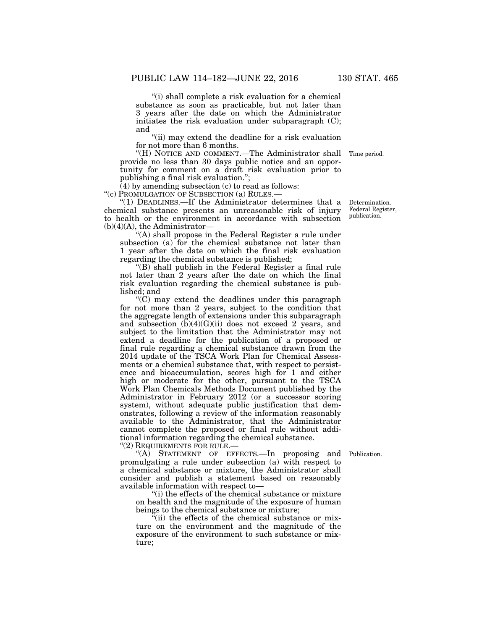''(i) shall complete a risk evaluation for a chemical substance as soon as practicable, but not later than 3 years after the date on which the Administrator initiates the risk evaluation under subparagraph (C); and

"(ii) may extend the deadline for a risk evaluation for not more than 6 months.

''(H) NOTICE AND COMMENT.—The Administrator shall provide no less than 30 days public notice and an opportunity for comment on a draft risk evaluation prior to publishing a final risk evaluation.'';

(4) by amending subsection (c) to read as follows:

''(c) PROMULGATION OF SUBSECTION (a) RULES.—

''(1) DEADLINES.—If the Administrator determines that a chemical substance presents an unreasonable risk of injury to health or the environment in accordance with subsection  $(b)(4)(A)$ , the Administrator-

''(A) shall propose in the Federal Register a rule under subsection (a) for the chemical substance not later than 1 year after the date on which the final risk evaluation regarding the chemical substance is published;

''(B) shall publish in the Federal Register a final rule not later than 2 years after the date on which the final risk evaluation regarding the chemical substance is published; and

''(C) may extend the deadlines under this paragraph for not more than 2 years, subject to the condition that the aggregate length of extensions under this subparagraph and subsection  $(b)(4)(G)(ii)$  does not exceed 2 years, and subject to the limitation that the Administrator may not extend a deadline for the publication of a proposed or final rule regarding a chemical substance drawn from the 2014 update of the TSCA Work Plan for Chemical Assessments or a chemical substance that, with respect to persistence and bioaccumulation, scores high for 1 and either high or moderate for the other, pursuant to the TSCA Work Plan Chemicals Methods Document published by the Administrator in February 2012 (or a successor scoring system), without adequate public justification that demonstrates, following a review of the information reasonably available to the Administrator, that the Administrator cannot complete the proposed or final rule without additional information regarding the chemical substance. ''(2) REQUIREMENTS FOR RULE.—

"(A) STATEMENT OF EFFECTS.—In proposing and Publication. promulgating a rule under subsection (a) with respect to a chemical substance or mixture, the Administrator shall consider and publish a statement based on reasonably available information with respect to—

''(i) the effects of the chemical substance or mixture on health and the magnitude of the exposure of human beings to the chemical substance or mixture;

 $\mathbf{f}^{\mathbf{r}}$ (ii) the effects of the chemical substance or mixture on the environment and the magnitude of the exposure of the environment to such substance or mixture;

Determination. Federal Register, publication.

Time period.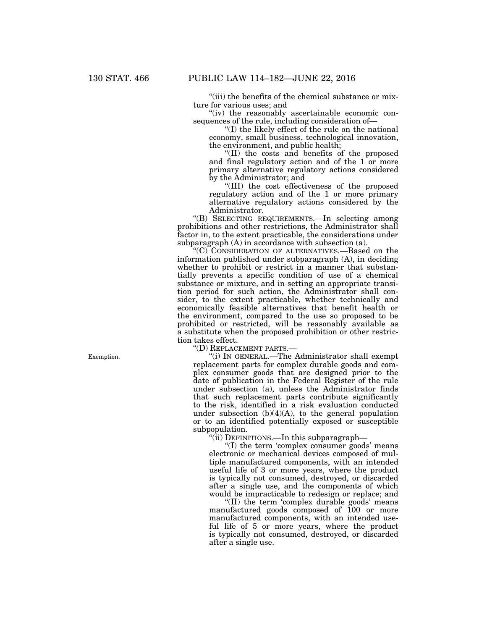"(iii) the benefits of the chemical substance or mixture for various uses; and

"(iv) the reasonably ascertainable economic consequences of the rule, including consideration of—

"(I) the likely effect of the rule on the national economy, small business, technological innovation, the environment, and public health;

''(II) the costs and benefits of the proposed and final regulatory action and of the 1 or more primary alternative regulatory actions considered by the Administrator; and

''(III) the cost effectiveness of the proposed regulatory action and of the 1 or more primary alternative regulatory actions considered by the Administrator.

''(B) SELECTING REQUIREMENTS.—In selecting among prohibitions and other restrictions, the Administrator shall factor in, to the extent practicable, the considerations under subparagraph (A) in accordance with subsection (a).

''(C) CONSIDERATION OF ALTERNATIVES.—Based on the information published under subparagraph (A), in deciding whether to prohibit or restrict in a manner that substantially prevents a specific condition of use of a chemical substance or mixture, and in setting an appropriate transition period for such action, the Administrator shall consider, to the extent practicable, whether technically and economically feasible alternatives that benefit health or the environment, compared to the use so proposed to be prohibited or restricted, will be reasonably available as a substitute when the proposed prohibition or other restriction takes effect.

''(D) REPLACEMENT PARTS.—

''(i) IN GENERAL.—The Administrator shall exempt replacement parts for complex durable goods and complex consumer goods that are designed prior to the date of publication in the Federal Register of the rule under subsection (a), unless the Administrator finds that such replacement parts contribute significantly to the risk, identified in a risk evaluation conducted under subsection  $(b)(4)(A)$ , to the general population or to an identified potentially exposed or susceptible subpopulation.

''(ii) DEFINITIONS.—In this subparagraph—

''(I) the term 'complex consumer goods' means electronic or mechanical devices composed of multiple manufactured components, with an intended useful life of 3 or more years, where the product is typically not consumed, destroyed, or discarded after a single use, and the components of which would be impracticable to redesign or replace; and

''(II) the term 'complex durable goods' means manufactured goods composed of 100 or more manufactured components, with an intended useful life of 5 or more years, where the product is typically not consumed, destroyed, or discarded after a single use.

Exemption.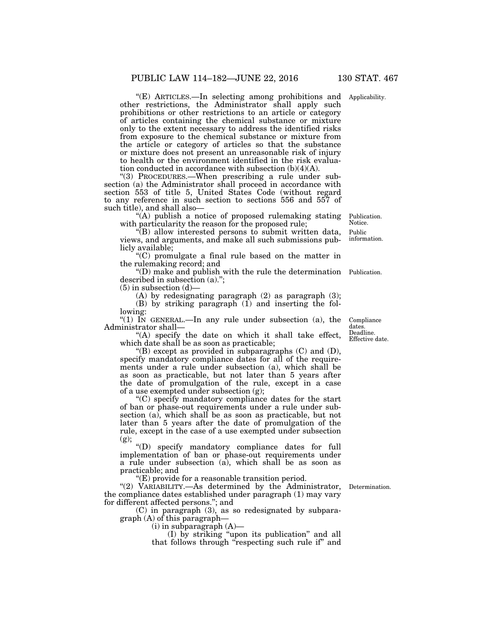''(E) ARTICLES.—In selecting among prohibitions and Applicability. other restrictions, the Administrator shall apply such prohibitions or other restrictions to an article or category of articles containing the chemical substance or mixture only to the extent necessary to address the identified risks from exposure to the chemical substance or mixture from the article or category of articles so that the substance or mixture does not present an unreasonable risk of injury to health or the environment identified in the risk evaluation conducted in accordance with subsection  $(b)(4)(A)$ .

''(3) PROCEDURES.—When prescribing a rule under subsection (a) the Administrator shall proceed in accordance with section 553 of title 5, United States Code (without regard to any reference in such section to sections 556 and 557 of such title), and shall also—

''(A) publish a notice of proposed rulemaking stating with particularity the reason for the proposed rule;

''(B) allow interested persons to submit written data, views, and arguments, and make all such submissions publicly available;

''(C) promulgate a final rule based on the matter in the rulemaking record; and

''(D) make and publish with the rule the determination Publication. described in subsection (a).'';

 $(5)$  in subsection  $(d)$ —

(A) by redesignating paragraph (2) as paragraph (3);

 $(B)$  by striking paragraph  $(1)$  and inserting the following:

" $(1)$  IN GENERAL.—In any rule under subsection  $(a)$ , the Administrator shall—

"(A) specify the date on which it shall take effect, which date shall be as soon as practicable;

"(B) except as provided in subparagraphs  $(C)$  and  $(D)$ , specify mandatory compliance dates for all of the requirements under a rule under subsection (a), which shall be as soon as practicable, but not later than 5 years after the date of promulgation of the rule, except in a case of a use exempted under subsection (g);

 $(C)$  specify mandatory compliance dates for the start of ban or phase-out requirements under a rule under subsection (a), which shall be as soon as practicable, but not later than 5 years after the date of promulgation of the rule, except in the case of a use exempted under subsection (g);

''(D) specify mandatory compliance dates for full implementation of ban or phase-out requirements under a rule under subsection (a), which shall be as soon as practicable; and

 $E$ ) provide for a reasonable transition period.

"(2) VARIABILITY.—As determined by the Administrator, the compliance dates established under paragraph (1) may vary for different affected persons.''; and

(C) in paragraph (3), as so redesignated by subparagraph (A) of this paragraph—

 $(i)$  in subparagraph  $(A)$ —

(I) by striking ''upon its publication'' and all that follows through "respecting such rule if" and

Deadline. Effective date.

Compliance dates.

Determination.

Public information.

Publication. Notice.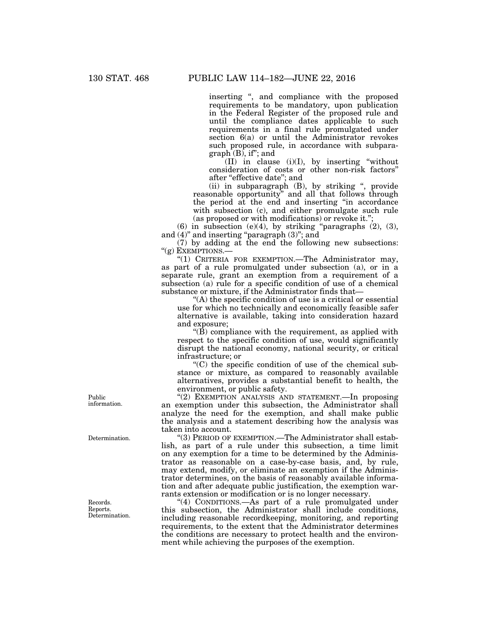inserting '', and compliance with the proposed requirements to be mandatory, upon publication in the Federal Register of the proposed rule and until the compliance dates applicable to such requirements in a final rule promulgated under section 6(a) or until the Administrator revokes such proposed rule, in accordance with subpara $graph (B)$ , if"; and

(II) in clause (i)(I), by inserting ''without consideration of costs or other non-risk factors'' after ''effective date''; and

(ii) in subparagraph (B), by striking '', provide reasonable opportunity'' and all that follows through the period at the end and inserting ''in accordance with subsection (c), and either promulgate such rule (as proposed or with modifications) or revoke it."

 $(6)$  in subsection  $(e)(4)$ , by striking "paragraphs  $(2)$ ,  $(3)$ , and (4)'' and inserting ''paragraph (3)''; and

(7) by adding at the end the following new subsections: "(g) EXEMPTIONS.-

''(1) CRITERIA FOR EXEMPTION.—The Administrator may, as part of a rule promulgated under subsection (a), or in a separate rule, grant an exemption from a requirement of a subsection (a) rule for a specific condition of use of a chemical substance or mixture, if the Administrator finds that—

''(A) the specific condition of use is a critical or essential use for which no technically and economically feasible safer alternative is available, taking into consideration hazard and exposure;

 $\mathrm{``(B)}$  compliance with the requirement, as applied with respect to the specific condition of use, would significantly disrupt the national economy, national security, or critical infrastructure; or

 $C^{\prime\prime}(C)$  the specific condition of use of the chemical substance or mixture, as compared to reasonably available alternatives, provides a substantial benefit to health, the environment, or public safety.

"(2) EXEMPTION ANALYSIS AND STATEMENT.—In proposing an exemption under this subsection, the Administrator shall analyze the need for the exemption, and shall make public the analysis and a statement describing how the analysis was taken into account.

''(3) PERIOD OF EXEMPTION.—The Administrator shall establish, as part of a rule under this subsection, a time limit on any exemption for a time to be determined by the Administrator as reasonable on a case-by-case basis, and, by rule, may extend, modify, or eliminate an exemption if the Administrator determines, on the basis of reasonably available information and after adequate public justification, the exemption warrants extension or modification or is no longer necessary.

"(4) CONDITIONS.—As part of a rule promulgated under this subsection, the Administrator shall include conditions, including reasonable recordkeeping, monitoring, and reporting requirements, to the extent that the Administrator determines the conditions are necessary to protect health and the environment while achieving the purposes of the exemption.

Public information.

Determination.

Records. Reports. Determination.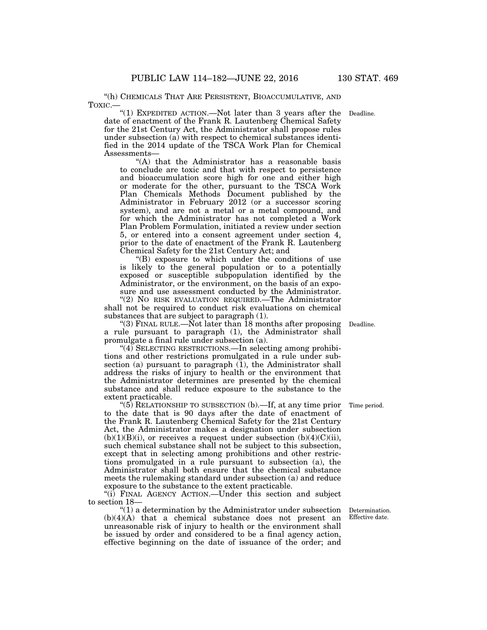"(h) CHEMICALS THAT ARE PERSISTENT, BIOACCUMULATIVE, AND TOXIC.—

"(1) EXPEDITED ACTION.—Not later than 3 years after the date of enactment of the Frank R. Lautenberg Chemical Safety for the 21st Century Act, the Administrator shall propose rules under subsection (a) with respect to chemical substances identified in the 2014 update of the TSCA Work Plan for Chemical Assessments—

"(A) that the Administrator has a reasonable basis to conclude are toxic and that with respect to persistence and bioaccumulation score high for one and either high or moderate for the other, pursuant to the TSCA Work Plan Chemicals Methods Document published by the Administrator in February 2012 (or a successor scoring system), and are not a metal or a metal compound, and for which the Administrator has not completed a Work Plan Problem Formulation, initiated a review under section 5, or entered into a consent agreement under section 4, prior to the date of enactment of the Frank R. Lautenberg Chemical Safety for the 21st Century Act; and

''(B) exposure to which under the conditions of use is likely to the general population or to a potentially exposed or susceptible subpopulation identified by the Administrator, or the environment, on the basis of an exposure and use assessment conducted by the Administrator.

''(2) NO RISK EVALUATION REQUIRED.—The Administrator shall not be required to conduct risk evaluations on chemical substances that are subject to paragraph (1).

''(3) FINAL RULE.—Not later than 18 months after proposing a rule pursuant to paragraph (1), the Administrator shall promulgate a final rule under subsection (a).

''(4) SELECTING RESTRICTIONS.—In selecting among prohibitions and other restrictions promulgated in a rule under subsection (a) pursuant to paragraph  $(1)$ , the Administrator shall address the risks of injury to health or the environment that the Administrator determines are presented by the chemical substance and shall reduce exposure to the substance to the extent practicable.

" $(5)$  RELATIONSHIP TO SUBSECTION  $(b)$ .—If, at any time prior to the date that is 90 days after the date of enactment of the Frank R. Lautenberg Chemical Safety for the 21st Century Act, the Administrator makes a designation under subsection  $(b)(1)(B)(i)$ , or receives a request under subsection  $(b)(4)(C)(ii)$ , such chemical substance shall not be subject to this subsection, except that in selecting among prohibitions and other restrictions promulgated in a rule pursuant to subsection (a), the Administrator shall both ensure that the chemical substance meets the rulemaking standard under subsection (a) and reduce exposure to the substance to the extent practicable.

''(i) FINAL AGENCY ACTION.—Under this section and subject to section 18—

 $"(1)$  a determination by the Administrator under subsection  $(b)(4)(A)$  that a chemical substance does not present an unreasonable risk of injury to health or the environment shall be issued by order and considered to be a final agency action, effective beginning on the date of issuance of the order; and

Determination. Effective date.

Time period.

Deadline.

Deadline.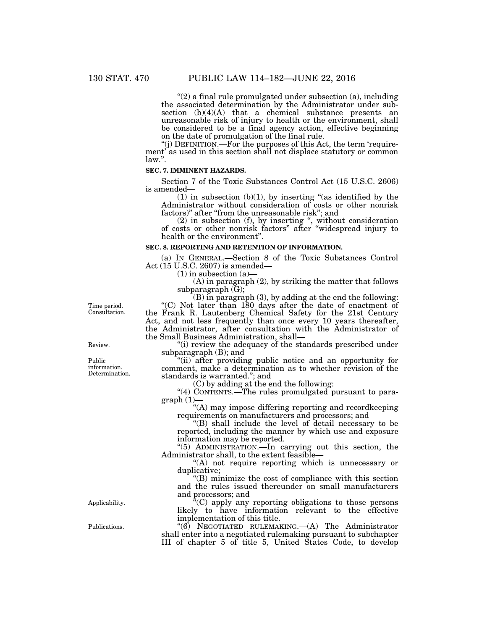" $(2)$  a final rule promulgated under subsection  $(a)$ , including the associated determination by the Administrator under subsection  $(b)(4)(A)$  that a chemical substance presents an unreasonable risk of injury to health or the environment, shall be considered to be a final agency action, effective beginning on the date of promulgation of the final rule.

''(j) DEFINITION.—For the purposes of this Act, the term 'requirement' as used in this section shall not displace statutory or common law.''.

# **SEC. 7. IMMINENT HAZARDS.**

Section 7 of the Toxic Substances Control Act (15 U.S.C. 2606) is amended—

 $(1)$  in subsection  $(b)(1)$ , by inserting "(as identified by the Administrator without consideration of costs or other nonrisk factors)'' after ''from the unreasonable risk''; and

(2) in subsection (f), by inserting '', without consideration of costs or other nonrisk factors'' after ''widespread injury to health or the environment''.

#### **SEC. 8. REPORTING AND RETENTION OF INFORMATION.**

(a) IN GENERAL.—Section 8 of the Toxic Substances Control Act (15 U.S.C. 2607) is amended—

 $(1)$  in subsection  $(a)$ -

(A) in paragraph (2), by striking the matter that follows subparagraph  $(G);$ 

(B) in paragraph (3), by adding at the end the following:

''(C) Not later than 180 days after the date of enactment of the Frank R. Lautenberg Chemical Safety for the 21st Century Act, and not less frequently than once every 10 years thereafter, the Administrator, after consultation with the Administrator of the Small Business Administration, shall—

''(i) review the adequacy of the standards prescribed under subparagraph (B); and

''(ii) after providing public notice and an opportunity for comment, make a determination as to whether revision of the standards is warranted.''; and

(C) by adding at the end the following:

"(4) CONTENTS.—The rules promulgated pursuant to paragraph (1)—

''(A) may impose differing reporting and recordkeeping requirements on manufacturers and processors; and

''(B) shall include the level of detail necessary to be reported, including the manner by which use and exposure information may be reported.

''(5) ADMINISTRATION.—In carrying out this section, the Administrator shall, to the extent feasible—

''(A) not require reporting which is unnecessary or duplicative;

''(B) minimize the cost of compliance with this section and the rules issued thereunder on small manufacturers and processors; and

 $C^{\infty}(C)$  apply any reporting obligations to those persons likely to have information relevant to the effective implementation of this title.

" $(6)$  NEGOTIATED RULEMAKING.— $(A)$  The Administrator shall enter into a negotiated rulemaking pursuant to subchapter III of chapter 5 of title 5, United States Code, to develop

Time period. Consultation.

Review.

Public information. Determination.

Applicability.

Publications.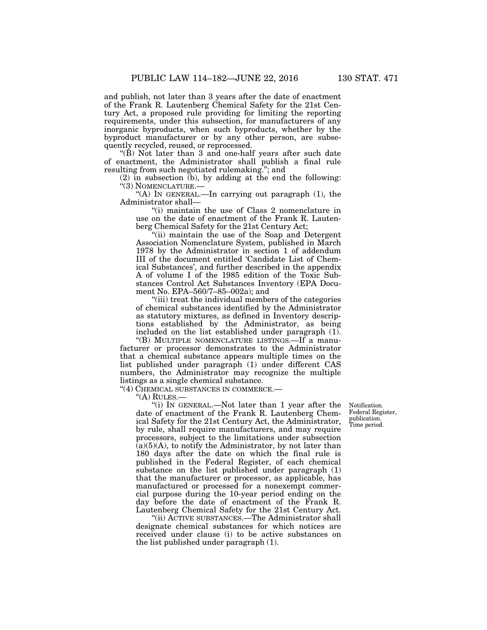and publish, not later than 3 years after the date of enactment of the Frank R. Lautenberg Chemical Safety for the 21st Century Act, a proposed rule providing for limiting the reporting requirements, under this subsection, for manufacturers of any inorganic byproducts, when such byproducts, whether by the byproduct manufacturer or by any other person, are subsequently recycled, reused, or reprocessed.

" $(\dot{B})$  Not later than 3 and one-half years after such date of enactment, the Administrator shall publish a final rule resulting from such negotiated rulemaking.''; and

(2) in subsection (b), by adding at the end the following: ''(3) NOMENCLATURE.—

''(A) IN GENERAL.—In carrying out paragraph (1), the Administrator shall—

''(i) maintain the use of Class 2 nomenclature in use on the date of enactment of the Frank R. Lautenberg Chemical Safety for the 21st Century Act;

''(ii) maintain the use of the Soap and Detergent Association Nomenclature System, published in March 1978 by the Administrator in section 1 of addendum III of the document entitled 'Candidate List of Chemical Substances', and further described in the appendix A of volume I of the 1985 edition of the Toxic Substances Control Act Substances Inventory (EPA Document No. EPA–560/7–85–002a); and

''(iii) treat the individual members of the categories of chemical substances identified by the Administrator as statutory mixtures, as defined in Inventory descriptions established by the Administrator, as being included on the list established under paragraph (1).

''(B) MULTIPLE NOMENCLATURE LISTINGS.—If a manufacturer or processor demonstrates to the Administrator that a chemical substance appears multiple times on the list published under paragraph (1) under different CAS numbers, the Administrator may recognize the multiple listings as a single chemical substance.

''(4) CHEMICAL SUBSTANCES IN COMMERCE.—

''(A) RULES.—

"(i) IN GENERAL.—Not later than 1 year after the date of enactment of the Frank R. Lautenberg Chemical Safety for the 21st Century Act, the Administrator, by rule, shall require manufacturers, and may require processors, subject to the limitations under subsection  $(a)(5)(A)$ , to notify the Administrator, by not later than 180 days after the date on which the final rule is published in the Federal Register, of each chemical substance on the list published under paragraph (1) that the manufacturer or processor, as applicable, has manufactured or processed for a nonexempt commercial purpose during the 10-year period ending on the day before the date of enactment of the Frank R. Lautenberg Chemical Safety for the 21st Century Act.

''(ii) ACTIVE SUBSTANCES.—The Administrator shall designate chemical substances for which notices are received under clause (i) to be active substances on the list published under paragraph (1).

Notification. Federal Register, publication. Time period.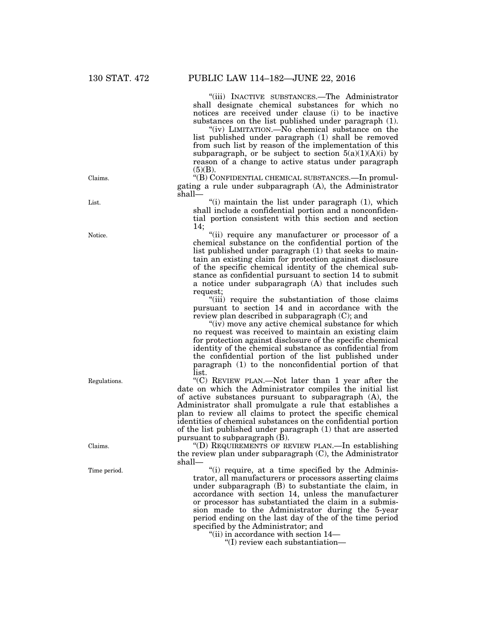''(iii) INACTIVE SUBSTANCES.—The Administrator shall designate chemical substances for which no notices are received under clause (i) to be inactive substances on the list published under paragraph (1).

"(iv) LIMITATION.—No chemical substance on the list published under paragraph (1) shall be removed from such list by reason of the implementation of this subparagraph, or be subject to section  $5(a)(1)(A)(i)$  by reason of a change to active status under paragraph  $(5)(B)$ .

''(B) CONFIDENTIAL CHEMICAL SUBSTANCES.—In promulgating a rule under subparagraph (A), the Administrator shall—

" $(i)$  maintain the list under paragraph  $(1)$ , which shall include a confidential portion and a nonconfidential portion consistent with this section and section 14;

(ii) require any manufacturer or processor of a chemical substance on the confidential portion of the list published under paragraph (1) that seeks to maintain an existing claim for protection against disclosure of the specific chemical identity of the chemical substance as confidential pursuant to section 14 to submit a notice under subparagraph (A) that includes such request;

''(iii) require the substantiation of those claims pursuant to section 14 and in accordance with the review plan described in subparagraph (C); and

" $(iv)$  move any active chemical substance for which no request was received to maintain an existing claim for protection against disclosure of the specific chemical identity of the chemical substance as confidential from the confidential portion of the list published under paragraph (1) to the nonconfidential portion of that list.

''(C) REVIEW PLAN.—Not later than 1 year after the date on which the Administrator compiles the initial list of active substances pursuant to subparagraph (A), the Administrator shall promulgate a rule that establishes a plan to review all claims to protect the specific chemical identities of chemical substances on the confidential portion of the list published under paragraph (1) that are asserted pursuant to subparagraph (B).

''(D) REQUIREMENTS OF REVIEW PLAN.—In establishing the review plan under subparagraph (C), the Administrator shall—

"(i) require, at a time specified by the Administrator, all manufacturers or processors asserting claims under subparagraph (B) to substantiate the claim, in accordance with section 14, unless the manufacturer or processor has substantiated the claim in a submission made to the Administrator during the 5-year period ending on the last day of the of the time period specified by the Administrator; and

''(ii) in accordance with section 14—

''(I) review each substantiation—

Claims.

List.

Notice.

Regulations.

Claims.

Time period.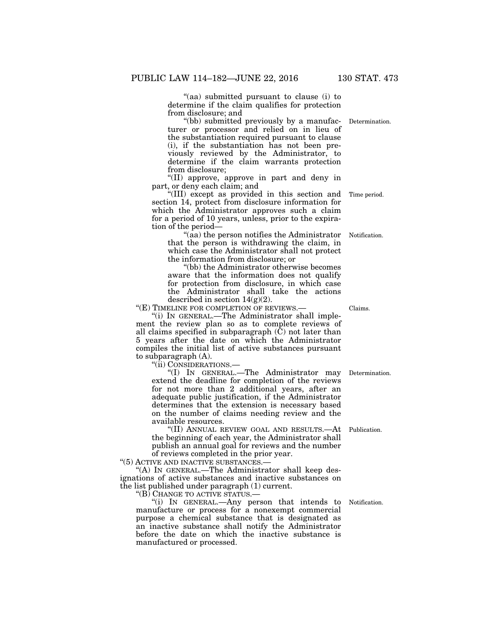''(aa) submitted pursuant to clause (i) to determine if the claim qualifies for protection from disclosure; and

''(bb) submitted previously by a manufacturer or processor and relied on in lieu of the substantiation required pursuant to clause (i), if the substantiation has not been previously reviewed by the Administrator, to determine if the claim warrants protection from disclosure;

''(II) approve, approve in part and deny in part, or deny each claim; and

''(III) except as provided in this section and section 14, protect from disclosure information for which the Administrator approves such a claim for a period of 10 years, unless, prior to the expiration of the period—

''(aa) the person notifies the Administrator that the person is withdrawing the claim, in which case the Administrator shall not protect the information from disclosure; or

''(bb) the Administrator otherwise becomes aware that the information does not qualify for protection from disclosure, in which case the Administrator shall take the actions described in section  $14(g)(2)$ .

''(E) TIMELINE FOR COMPLETION OF REVIEWS.—

''(i) IN GENERAL.—The Administrator shall implement the review plan so as to complete reviews of all claims specified in subparagraph  $(\hat{C})$  not later than 5 years after the date on which the Administrator compiles the initial list of active substances pursuant to subparagraph (A).

"(ii) CONSIDERATIONS.-

''(I) IN GENERAL.—The Administrator may Determination. extend the deadline for completion of the reviews for not more than 2 additional years, after an adequate public justification, if the Administrator determines that the extension is necessary based on the number of claims needing review and the available resources.

''(II) ANNUAL REVIEW GOAL AND RESULTS.—At Publication. the beginning of each year, the Administrator shall publish an annual goal for reviews and the number of reviews completed in the prior year.

''(5) ACTIVE AND INACTIVE SUBSTANCES.—

''(A) IN GENERAL.—The Administrator shall keep designations of active substances and inactive substances on the list published under paragraph (1) current.

''(B) CHANGE TO ACTIVE STATUS.—

''(i) IN GENERAL.—Any person that intends to manufacture or process for a nonexempt commercial purpose a chemical substance that is designated as an inactive substance shall notify the Administrator before the date on which the inactive substance is manufactured or processed.

Notification.

Claims.

Notification.

Time period.

Determination.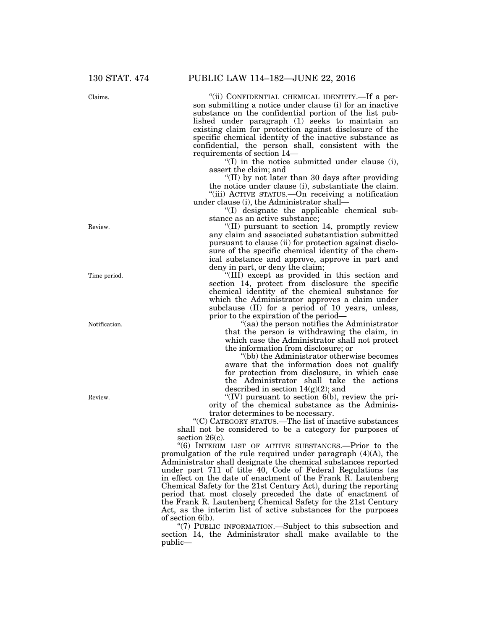Claims.

''(ii) CONFIDENTIAL CHEMICAL IDENTITY.—If a person submitting a notice under clause (i) for an inactive substance on the confidential portion of the list published under paragraph (1) seeks to maintain an existing claim for protection against disclosure of the specific chemical identity of the inactive substance as confidential, the person shall, consistent with the requirements of section 14—

 $f(I)$  in the notice submitted under clause (i), assert the claim; and

''(II) by not later than 30 days after providing the notice under clause (i), substantiate the claim. ''(iii) ACTIVE STATUS.—On receiving a notification under clause (i), the Administrator shall—

''(I) designate the applicable chemical substance as an active substance;

''(II) pursuant to section 14, promptly review any claim and associated substantiation submitted pursuant to clause (ii) for protection against disclosure of the specific chemical identity of the chemical substance and approve, approve in part and deny in part, or deny the claim;

''(III) except as provided in this section and section 14, protect from disclosure the specific chemical identity of the chemical substance for which the Administrator approves a claim under subclause (II) for a period of 10 years, unless, prior to the expiration of the period—

"(aa) the person notifies the Administrator" that the person is withdrawing the claim, in which case the Administrator shall not protect the information from disclosure; or

''(bb) the Administrator otherwise becomes aware that the information does not qualify for protection from disclosure, in which case the Administrator shall take the actions described in section  $14(g)(2)$ ; and

" $(IV)$  pursuant to section  $6(b)$ , review the priority of the chemical substance as the Administrator determines to be necessary.

''(C) CATEGORY STATUS.—The list of inactive substances shall not be considered to be a category for purposes of section 26(c).

"(6) INTERIM LIST OF ACTIVE SUBSTANCES.—Prior to the promulgation of the rule required under paragraph (4)(A), the Administrator shall designate the chemical substances reported under part 711 of title 40, Code of Federal Regulations (as in effect on the date of enactment of the Frank R. Lautenberg Chemical Safety for the 21st Century Act), during the reporting period that most closely preceded the date of enactment of the Frank R. Lautenberg Chemical Safety for the 21st Century Act, as the interim list of active substances for the purposes of section 6(b).

"(7) PUBLIC INFORMATION.—Subject to this subsection and section 14, the Administrator shall make available to the public—

Review.

Time period.

Notification.

Review.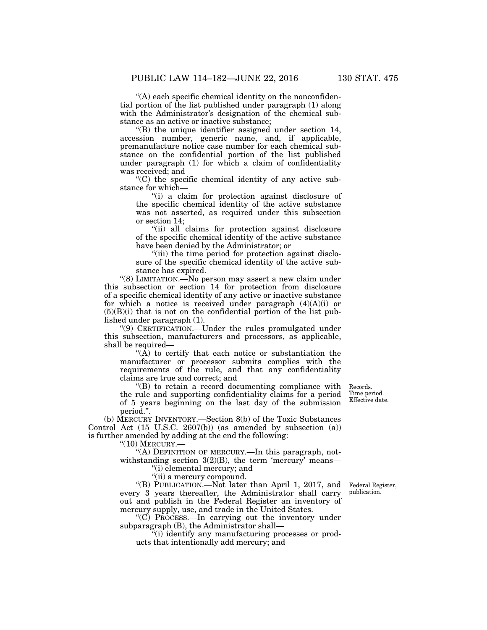$(A)$  each specific chemical identity on the nonconfidential portion of the list published under paragraph (1) along with the Administrator's designation of the chemical substance as an active or inactive substance;

''(B) the unique identifier assigned under section 14, accession number, generic name, and, if applicable, premanufacture notice case number for each chemical substance on the confidential portion of the list published under paragraph (1) for which a claim of confidentiality was received; and

''(C) the specific chemical identity of any active substance for which—

''(i) a claim for protection against disclosure of the specific chemical identity of the active substance was not asserted, as required under this subsection or section 14;

"(ii) all claims for protection against disclosure of the specific chemical identity of the active substance have been denied by the Administrator; or

"(iii) the time period for protection against disclosure of the specific chemical identity of the active substance has expired.

"(8) LIMITATION.—No person may assert a new claim under this subsection or section 14 for protection from disclosure of a specific chemical identity of any active or inactive substance for which a notice is received under paragraph  $(4)(A)(i)$  or  $(5)(B)(i)$  that is not on the confidential portion of the list published under paragraph (1).

''(9) CERTIFICATION.—Under the rules promulgated under this subsection, manufacturers and processors, as applicable, shall be required—

" $(\overline{A})$  to certify that each notice or substantiation the manufacturer or processor submits complies with the requirements of the rule, and that any confidentiality claims are true and correct; and

''(B) to retain a record documenting compliance with the rule and supporting confidentiality claims for a period of 5 years beginning on the last day of the submission

period.''. (b) MERCURY INVENTORY.—Section 8(b) of the Toxic Substances Control Act (15 U.S.C. 2607(b)) (as amended by subsection (a))

is further amended by adding at the end the following:

''(10) MERCURY.—

''(A) DEFINITION OF MERCURY.—In this paragraph, notwithstanding section  $3(2)(B)$ , the term 'mercury' means-

''(i) elemental mercury; and

''(ii) a mercury compound.

''(B) PUBLICATION.—Not later than April 1, 2017, and every 3 years thereafter, the Administrator shall carry out and publish in the Federal Register an inventory of mercury supply, use, and trade in the United States.

''(C) PROCESS.—In carrying out the inventory under subparagraph (B), the Administrator shall—

''(i) identify any manufacturing processes or products that intentionally add mercury; and

Federal Register, publication.

Records. Time period. Effective date.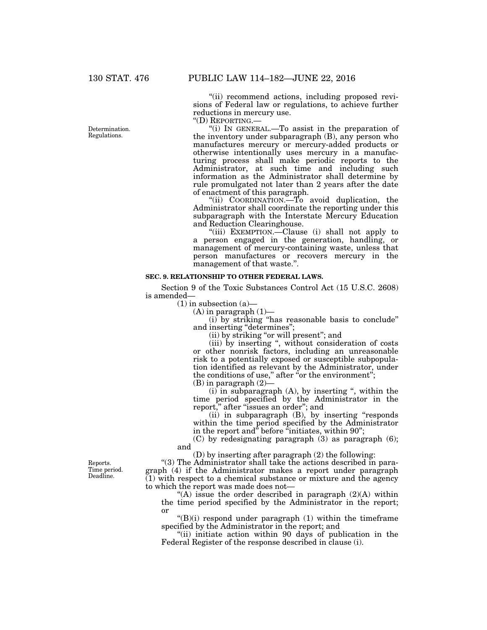Determination. Regulations.

"(ii) recommend actions, including proposed revisions of Federal law or regulations, to achieve further reductions in mercury use.<br>"(D) REPORTING.—

"(i) IN GENERAL.—To assist in the preparation of the inventory under subparagraph (B), any person who manufactures mercury or mercury-added products or otherwise intentionally uses mercury in a manufacturing process shall make periodic reports to the Administrator, at such time and including such information as the Administrator shall determine by rule promulgated not later than 2 years after the date of enactment of this paragraph.

''(ii) COORDINATION.—To avoid duplication, the Administrator shall coordinate the reporting under this subparagraph with the Interstate Mercury Education and Reduction Clearinghouse.

"(iii) EXEMPTION.—Clause (i) shall not apply to a person engaged in the generation, handling, or management of mercury-containing waste, unless that person manufactures or recovers mercury in the management of that waste.''.

#### **SEC. 9. RELATIONSHIP TO OTHER FEDERAL LAWS.**

Section 9 of the Toxic Substances Control Act (15 U.S.C. 2608) is amended—

 $(1)$  in subsection  $(a)$ —

 $(A)$  in paragraph  $(1)$ —

(i) by striking ''has reasonable basis to conclude'' and inserting ''determines'';

(ii) by striking "or will present"; and

(iii) by inserting '', without consideration of costs or other nonrisk factors, including an unreasonable risk to a potentially exposed or susceptible subpopulation identified as relevant by the Administrator, under the conditions of use," after "or the environment"; (B) in paragraph (2)—

 $(i)$  in subparagraph  $(A)$ , by inserting ", within the time period specified by the Administrator in the

report,'' after ''issues an order''; and (ii) in subparagraph (B), by inserting ''responds within the time period specified by the Administrator in the report and'' before ''initiates, within 90'';

(C) by redesignating paragraph (3) as paragraph (6); and

(D) by inserting after paragraph (2) the following:

''(3) The Administrator shall take the actions described in paragraph (4) if the Administrator makes a report under paragraph (1) with respect to a chemical substance or mixture and the agency to which the report was made does not—

"(A) issue the order described in paragraph  $(2)(A)$  within the time period specified by the Administrator in the report; or

 $'(B)(i)$  respond under paragraph  $(1)$  within the timeframe specified by the Administrator in the report; and

"(ii) initiate action within 90 days of publication in the Federal Register of the response described in clause (i).

Reports. Time period. Deadline.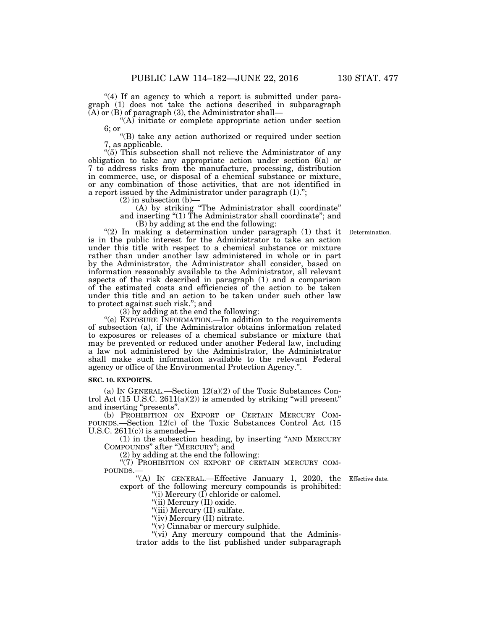"(4) If an agency to which a report is submitted under paragraph (1) does not take the actions described in subparagraph  $(A)$  or (B) of paragraph (3), the Administrator shall—

''(A) initiate or complete appropriate action under section 6; or

''(B) take any action authorized or required under section 7, as applicable.

" $(5)$  This subsection shall not relieve the Administrator of any obligation to take any appropriate action under section 6(a) or 7 to address risks from the manufacture, processing, distribution in commerce, use, or disposal of a chemical substance or mixture, or any combination of those activities, that are not identified in a report issued by the Administrator under paragraph (1).'';

 $(2)$  in subsection  $(b)$ –

 $(A)$  by striking "The Administrator shall coordinate" and inserting "(1) The Administrator shall coordinate"; and (B) by adding at the end the following:

"(2) In making a determination under paragraph (1) that it Determination. is in the public interest for the Administrator to take an action under this title with respect to a chemical substance or mixture rather than under another law administered in whole or in part by the Administrator, the Administrator shall consider, based on information reasonably available to the Administrator, all relevant aspects of the risk described in paragraph (1) and a comparison of the estimated costs and efficiencies of the action to be taken under this title and an action to be taken under such other law to protect against such risk.''; and

(3) by adding at the end the following:

"(e) EXPOSURE INFORMATION.—In addition to the requirements of subsection (a), if the Administrator obtains information related to exposures or releases of a chemical substance or mixture that may be prevented or reduced under another Federal law, including a law not administered by the Administrator, the Administrator shall make such information available to the relevant Federal agency or office of the Environmental Protection Agency.''.

#### **SEC. 10. EXPORTS.**

(a) IN GENERAL.—Section  $12(a)(2)$  of the Toxic Substances Control Act  $(15 \text{ U.S.C. } 2611(a)(2))$  is amended by striking "will present" and inserting "presents".

(b) PROHIBITION ON EXPORT OF CERTAIN MERCURY COM-POUNDS.—Section 12(c) of the Toxic Substances Control Act (15 U.S.C.  $2611(c)$  is amended-

(1) in the subsection heading, by inserting ''AND MERCURY COMPOUNDS'' after ''MERCURY''; and

(2) by adding at the end the following:

"(7) PROHIBITION ON EXPORT OF CERTAIN MERCURY COM-POUNDS.—

''(A) IN GENERAL.—Effective January 1, 2020, the export of the following mercury compounds is prohibited: "(i) Mercury (I) chloride or calomel.

"(ii) Mercury (II) oxide.

"(iii) Mercury (II) sulfate.

"(iv) Mercury (II) nitrate.

''(v) Cinnabar or mercury sulphide.

"(vi) Any mercury compound that the Administrator adds to the list published under subparagraph

Effective date.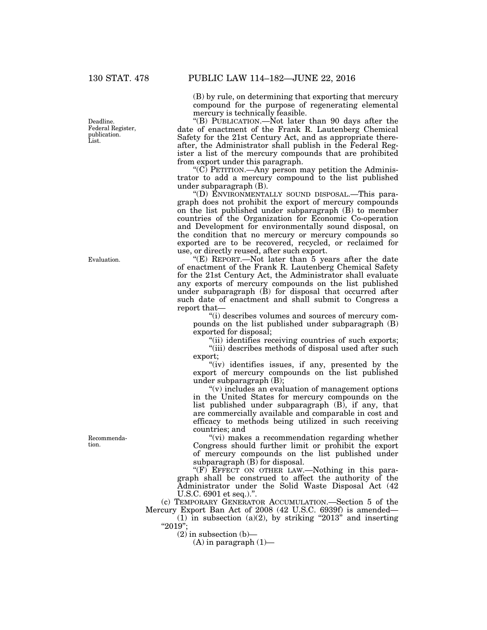Deadline. Federal Register, publication.  $\overline{\text{L}}$ ist.

Evaluation.

Recommendation.

(B) by rule, on determining that exporting that mercury compound for the purpose of regenerating elemental mercury is technically feasible.

"(B) PUBLICATION.—Not later than 90 days after the date of enactment of the Frank R. Lautenberg Chemical Safety for the 21st Century Act, and as appropriate thereafter, the Administrator shall publish in the Federal Register a list of the mercury compounds that are prohibited from export under this paragraph.

" $(C)$  PETITION.—Any person may petition the Administrator to add a mercury compound to the list published under subparagraph (B).

''(D) ENVIRONMENTALLY SOUND DISPOSAL.—This paragraph does not prohibit the export of mercury compounds on the list published under subparagraph (B) to member countries of the Organization for Economic Co-operation and Development for environmentally sound disposal, on the condition that no mercury or mercury compounds so exported are to be recovered, recycled, or reclaimed for use, or directly reused, after such export.

''(E) REPORT.—Not later than 5 years after the date of enactment of the Frank R. Lautenberg Chemical Safety for the 21st Century Act, the Administrator shall evaluate any exports of mercury compounds on the list published under subparagraph (B) for disposal that occurred after such date of enactment and shall submit to Congress a report that—

''(i) describes volumes and sources of mercury compounds on the list published under subparagraph (B) exported for disposal;

"(ii) identifies receiving countries of such exports; "(iii) describes methods of disposal used after such

export; "(iv) identifies issues, if any, presented by the export of mercury compounds on the list published under subparagraph (B);

''(v) includes an evaluation of management options in the United States for mercury compounds on the list published under subparagraph (B), if any, that are commercially available and comparable in cost and efficacy to methods being utilized in such receiving countries; and

"(vi) makes a recommendation regarding whether Congress should further limit or prohibit the export of mercury compounds on the list published under subparagraph (B) for disposal.

"(F) EFFECT ON OTHER LAW.—Nothing in this paragraph shall be construed to affect the authority of the Administrator under the Solid Waste Disposal Act (42 U.S.C. 6901 et seq.).''.

(c) TEMPORARY GENERATOR ACCUMULATION.—Section 5 of the Mercury Export Ban Act of 2008 (42 U.S.C. 6939f) is amended—

(1) in subsection (a)(2), by striking "2013" and inserting ''2019'';

 $(2)$  in subsection  $(b)$ —

 $(A)$  in paragraph  $(1)$ —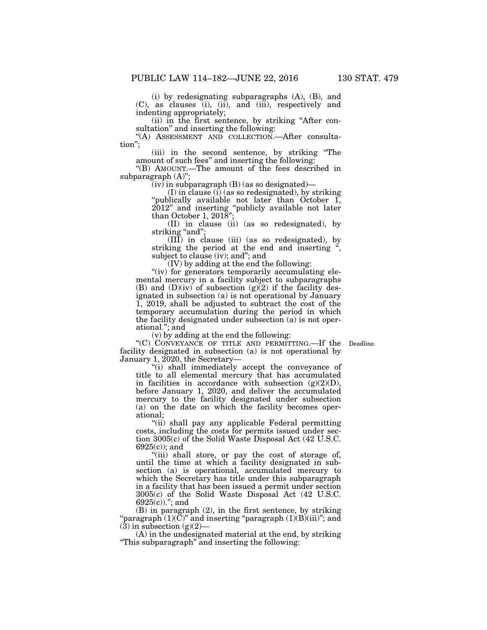(i) by redesignating subparagraphs (A), (B), and (C), as clauses (i), (ii), and (iii), respectively and indenting appropriately;

(ii) in the first sentence, by striking ''After consultation'' and inserting the following:

''(A) ASSESSMENT AND COLLECTION.—After consultation'';

(iii) in the second sentence, by striking ''The amount of such fees'' and inserting the following:

''(B) AMOUNT.—The amount of the fees described in subparagraph (A)'';

 $(iv)$  in subparagraph  $(B)$  (as so designated)–

(I) in clause (i) (as so redesignated), by striking "publically available not later than October 1, 2012'' and inserting ''publicly available not later than October 1, 2018";

(II) in clause (ii) (as so redesignated), by striking "and";

(III) in clause (iii) (as so redesignated), by striking the period at the end and inserting subject to clause (iv); and''; and

(IV) by adding at the end the following:

"(iv) for generators temporarily accumulating elemental mercury in a facility subject to subparagraphs (B) and  $(D)(iv)$  of subsection  $(g)(2)$  if the facility designated in subsection (a) is not operational by January 1, 2019, shall be adjusted to subtract the cost of the temporary accumulation during the period in which the facility designated under subsection (a) is not operational.''; and

(v) by adding at the end the following:

"(C) CONVEYANCE OF TITLE AND PERMITTING.—If the Deadline. facility designated in subsection (a) is not operational by January 1, 2020, the Secretary—

''(i) shall immediately accept the conveyance of title to all elemental mercury that has accumulated in facilities in accordance with subsection  $(g)(2)(D)$ , before January 1, 2020, and deliver the accumulated mercury to the facility designated under subsection (a) on the date on which the facility becomes operational;

''(ii) shall pay any applicable Federal permitting costs, including the costs for permits issued under section 3005(c) of the Solid Waste Disposal Act (42 U.S.C. 6925(c)); and

"(iii) shall store, or pay the cost of storage of, until the time at which a facility designated in subsection (a) is operational, accumulated mercury to which the Secretary has title under this subparagraph in a facility that has been issued a permit under section 3005(c) of the Solid Waste Disposal Act (42 U.S.C. 6925(c)).''; and

(B) in paragraph (2), in the first sentence, by striking "paragraph  $(1)(\overline{C})$ " and inserting "paragraph  $(1)(B)(iii)$ "; and  $(3)$  in subsection  $(g)(2)$ —

(A) in the undesignated material at the end, by striking ''This subparagraph'' and inserting the following: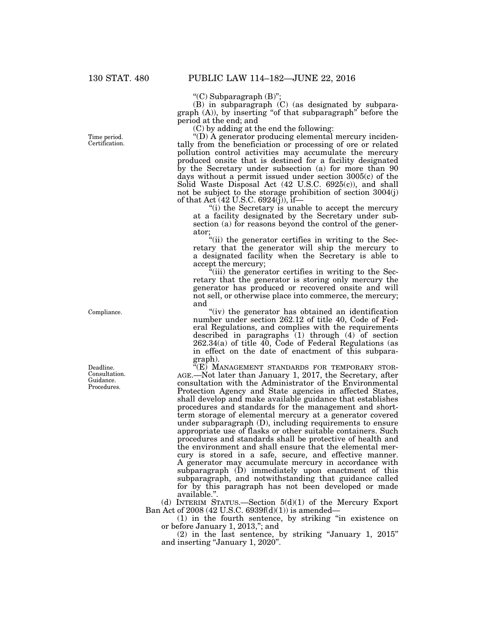Time period. Certification. ''(C) Subparagraph (B)'';

(B) in subparagraph (C) (as designated by subparagraph (A)), by inserting "of that subparagraph" before the period at the end; and

(C) by adding at the end the following:

''(D) A generator producing elemental mercury incidentally from the beneficiation or processing of ore or related pollution control activities may accumulate the mercury produced onsite that is destined for a facility designated by the Secretary under subsection (a) for more than 90 days without a permit issued under section 3005(c) of the Solid Waste Disposal Act (42 U.S.C. 6925(c)), and shall not be subject to the storage prohibition of section 3004(j) of that Act (42 U.S.C. 6924(j)), if—

"(i) the Secretary is unable to accept the mercury" at a facility designated by the Secretary under subsection (a) for reasons beyond the control of the generator;

''(ii) the generator certifies in writing to the Secretary that the generator will ship the mercury to a designated facility when the Secretary is able to accept the mercury;

 $\alpha$ <sup>"</sup>(iii) the generator certifies in writing to the Secretary that the generator is storing only mercury the generator has produced or recovered onsite and will not sell, or otherwise place into commerce, the mercury; and

"(iv) the generator has obtained an identification" number under section 262.12 of title 40, Code of Federal Regulations, and complies with the requirements described in paragraphs (1) through (4) of section 262.34(a) of title 40, Code of Federal Regulations (as in effect on the date of enactment of this subparagraph).<br>"(E) MANAGEMENT STANDARDS FOR TEMPORARY STOR-

AGE.—Not later than January 1, 2017, the Secretary, after consultation with the Administrator of the Environmental Protection Agency and State agencies in affected States, shall develop and make available guidance that establishes procedures and standards for the management and shortterm storage of elemental mercury at a generator covered under subparagraph (D), including requirements to ensure appropriate use of flasks or other suitable containers. Such procedures and standards shall be protective of health and the environment and shall ensure that the elemental mercury is stored in a safe, secure, and effective manner. A generator may accumulate mercury in accordance with subparagraph (D) immediately upon enactment of this subparagraph, and notwithstanding that guidance called for by this paragraph has not been developed or made available.''.

(d) INTERIM STATUS.—Section 5(d)(1) of the Mercury Export Ban Act of 2008 (42 U.S.C. 6939f(d)(1)) is amended—

(1) in the fourth sentence, by striking ''in existence on or before January 1, 2013,''; and

(2) in the last sentence, by striking ''January 1, 2015'' and inserting "January 1, 2020".

Compliance.

Deadline. Consultation. Guidance. Procedures.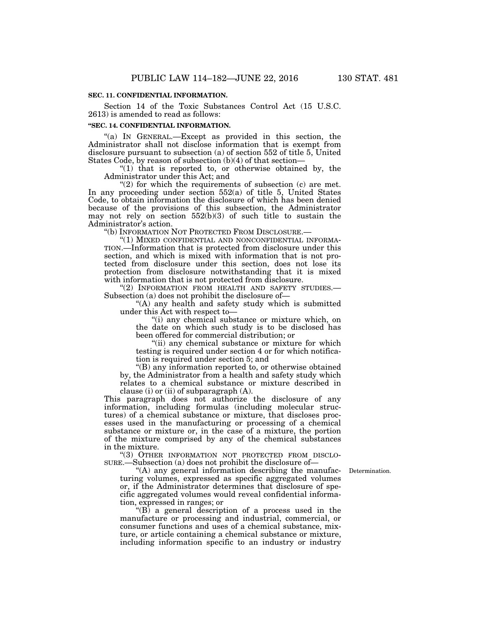#### **SEC. 11. CONFIDENTIAL INFORMATION.**

Section 14 of the Toxic Substances Control Act (15 U.S.C. 2613) is amended to read as follows:

# **''SEC. 14. CONFIDENTIAL INFORMATION.**

''(a) IN GENERAL.—Except as provided in this section, the Administrator shall not disclose information that is exempt from disclosure pursuant to subsection (a) of section 552 of title 5, United States Code, by reason of subsection (b)(4) of that section—

''(1) that is reported to, or otherwise obtained by, the Administrator under this Act; and

" $(2)$  for which the requirements of subsection  $(c)$  are met. In any proceeding under section 552(a) of title 5, United States Code, to obtain information the disclosure of which has been denied because of the provisions of this subsection, the Administrator may not rely on section 552(b)(3) of such title to sustain the Administrator's action.

''(b) INFORMATION NOT PROTECTED FROM DISCLOSURE.—

'(1) MIXED CONFIDENTIAL AND NONCONFIDENTIAL INFORMA-TION.—Information that is protected from disclosure under this section, and which is mixed with information that is not protected from disclosure under this section, does not lose its protection from disclosure notwithstanding that it is mixed with information that is not protected from disclosure.

"(2) INFORMATION FROM HEALTH AND SAFETY STUDIES.-Subsection (a) does not prohibit the disclosure of—

''(A) any health and safety study which is submitted under this Act with respect to—

''(i) any chemical substance or mixture which, on the date on which such study is to be disclosed has been offered for commercial distribution; or

"(ii) any chemical substance or mixture for which testing is required under section 4 or for which notification is required under section 5; and

''(B) any information reported to, or otherwise obtained by, the Administrator from a health and safety study which relates to a chemical substance or mixture described in clause (i) or (ii) of subparagraph  $(A)$ .

This paragraph does not authorize the disclosure of any information, including formulas (including molecular structures) of a chemical substance or mixture, that discloses processes used in the manufacturing or processing of a chemical substance or mixture or, in the case of a mixture, the portion of the mixture comprised by any of the chemical substances in the mixture.

''(3) OTHER INFORMATION NOT PROTECTED FROM DISCLO-SURE.—Subsection (a) does not prohibit the disclosure of—

Determination.

''(A) any general information describing the manufacturing volumes, expressed as specific aggregated volumes or, if the Administrator determines that disclosure of specific aggregated volumes would reveal confidential information, expressed in ranges; or

 $\mathrm{``(B)}$  a general description of a process used in the manufacture or processing and industrial, commercial, or consumer functions and uses of a chemical substance, mixture, or article containing a chemical substance or mixture, including information specific to an industry or industry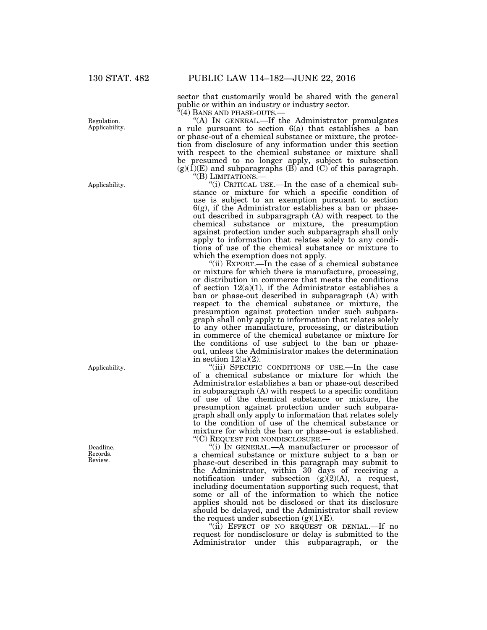sector that customarily would be shared with the general public or within an industry or industry sector.

 $\cdot^{\alpha}(4)$  Bans and phase-outs.—

''(A) IN GENERAL.—If the Administrator promulgates a rule pursuant to section 6(a) that establishes a ban or phase-out of a chemical substance or mixture, the protection from disclosure of any information under this section with respect to the chemical substance or mixture shall be presumed to no longer apply, subject to subsection  $(g)(1)(E)$  and subparagraphs (B) and (C) of this paragraph.<br>"(B) LIMITATIONS.—

"(i) CRITICAL USE.—In the case of a chemical substance or mixture for which a specific condition of use is subject to an exemption pursuant to section  $6(g)$ , if the Administrator establishes a ban or phaseout described in subparagraph (A) with respect to the chemical substance or mixture, the presumption against protection under such subparagraph shall only apply to information that relates solely to any conditions of use of the chemical substance or mixture to which the exemption does not apply.

"(ii) EXPORT.—In the case of a chemical substance or mixture for which there is manufacture, processing, or distribution in commerce that meets the conditions of section  $12(a)(1)$ , if the Administrator establishes a ban or phase-out described in subparagraph (A) with respect to the chemical substance or mixture, the presumption against protection under such subparagraph shall only apply to information that relates solely to any other manufacture, processing, or distribution in commerce of the chemical substance or mixture for the conditions of use subject to the ban or phaseout, unless the Administrator makes the determination in section  $12(a)(2)$ .

''(iii) SPECIFIC CONDITIONS OF USE.—In the case of a chemical substance or mixture for which the Administrator establishes a ban or phase-out described in subparagraph (A) with respect to a specific condition of use of the chemical substance or mixture, the presumption against protection under such subparagraph shall only apply to information that relates solely to the condition of use of the chemical substance or mixture for which the ban or phase-out is established. ''(C) REQUEST FOR NONDISCLOSURE.—

''(i) IN GENERAL.—A manufacturer or processor of a chemical substance or mixture subject to a ban or phase-out described in this paragraph may submit to the Administrator, within 30 days of receiving a notification under subsection  $(g)(2)(A)$ , a request, including documentation supporting such request, that some or all of the information to which the notice applies should not be disclosed or that its disclosure should be delayed, and the Administrator shall review the request under subsection  $(g)(1)(E)$ .

"(ii) EFFECT OF NO REQUEST OR DENIAL.—If no request for nondisclosure or delay is submitted to the Administrator under this subparagraph, or the

Regulation. Applicability.

Applicability.

Applicability.

Deadline. Records. Review.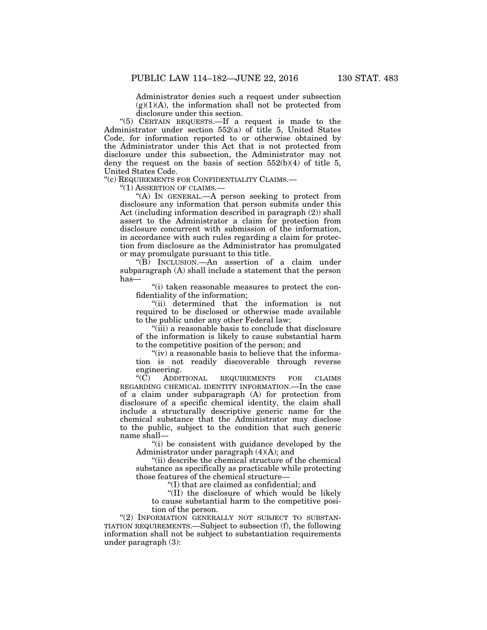Administrator denies such a request under subsection  $(g)(1)(A)$ , the information shall not be protected from disclosure under this section.

''(5) CERTAIN REQUESTS.—If a request is made to the Administrator under section  $552(a)$  of title 5, United States Code, for information reported to or otherwise obtained by the Administrator under this Act that is not protected from disclosure under this subsection, the Administrator may not deny the request on the basis of section  $552(b)(4)$  of title 5, United States Code.

''(c) REQUIREMENTS FOR CONFIDENTIALITY CLAIMS.—

''(1) ASSERTION OF CLAIMS.—

"(A) IN GENERAL.—A person seeking to protect from disclosure any information that person submits under this Act (including information described in paragraph (2)) shall assert to the Administrator a claim for protection from disclosure concurrent with submission of the information, in accordance with such rules regarding a claim for protection from disclosure as the Administrator has promulgated or may promulgate pursuant to this title.

''(B) INCLUSION.—An assertion of a claim under subparagraph (A) shall include a statement that the person has—

''(i) taken reasonable measures to protect the confidentiality of the information;

''(ii) determined that the information is not required to be disclosed or otherwise made available to the public under any other Federal law;

"(iii) a reasonable basis to conclude that disclosure of the information is likely to cause substantial harm to the competitive position of the person; and

"(iv) a reasonable basis to believe that the information is not readily discoverable through reverse engineering.<br>"(C) ADDITIONAL

REQUIREMENTS FOR CLAIMS REGARDING CHEMICAL IDENTITY INFORMATION.—In the case of a claim under subparagraph (A) for protection from disclosure of a specific chemical identity, the claim shall include a structurally descriptive generic name for the chemical substance that the Administrator may disclose to the public, subject to the condition that such generic name shall—

''(i) be consistent with guidance developed by the Administrator under paragraph (4)(A); and

''(ii) describe the chemical structure of the chemical substance as specifically as practicable while protecting those features of the chemical structure—

''(I) that are claimed as confidential; and

''(II) the disclosure of which would be likely to cause substantial harm to the competitive position of the person.

"(2) INFORMATION GENERALLY NOT SUBJECT TO SUBSTAN-TIATION REQUIREMENTS.—Subject to subsection (f), the following information shall not be subject to substantiation requirements under paragraph (3):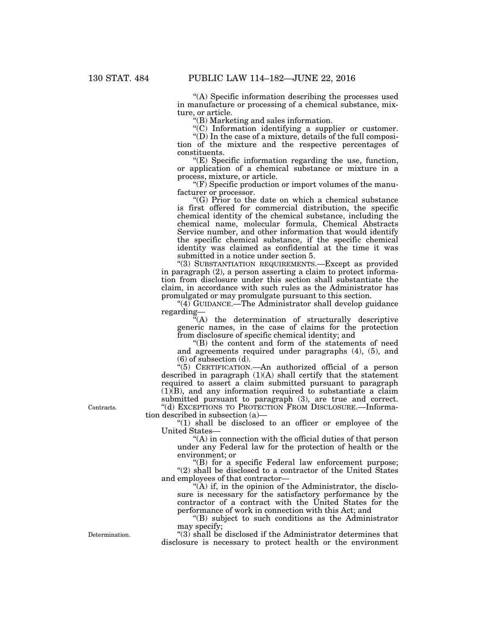''(A) Specific information describing the processes used in manufacture or processing of a chemical substance, mixture, or article.

''(B) Marketing and sales information.

''(C) Information identifying a supplier or customer.

''(D) In the case of a mixture, details of the full composition of the mixture and the respective percentages of constituents.

 $E(E)$  Specific information regarding the use, function, or application of a chemical substance or mixture in a process, mixture, or article.

" $(F)$  Specific production or import volumes of the manufacturer or processor.

''(G) Prior to the date on which a chemical substance is first offered for commercial distribution, the specific chemical identity of the chemical substance, including the chemical name, molecular formula, Chemical Abstracts Service number, and other information that would identify the specific chemical substance, if the specific chemical identity was claimed as confidential at the time it was submitted in a notice under section 5.

''(3) SUBSTANTIATION REQUIREMENTS.—Except as provided in paragraph (2), a person asserting a claim to protect information from disclosure under this section shall substantiate the claim, in accordance with such rules as the Administrator has promulgated or may promulgate pursuant to this section.

" $(4)$  GUIDANCE.—The Administrator shall develop guidance regarding—

''(A) the determination of structurally descriptive generic names, in the case of claims for the protection from disclosure of specific chemical identity; and

''(B) the content and form of the statements of need and agreements required under paragraphs (4), (5), and (6) of subsection (d).

''(5) CERTIFICATION.—An authorized official of a person described in paragraph (1)(A) shall certify that the statement required to assert a claim submitted pursuant to paragraph  $(1)(B)$ , and any information required to substantiate a claim submitted pursuant to paragraph  $(3)$ , are true and correct. ''(d) EXCEPTIONS TO PROTECTION FROM DISCLOSURE.—Information described in subsection (a)—

''(1) shall be disclosed to an officer or employee of the United States—

''(A) in connection with the official duties of that person under any Federal law for the protection of health or the environment; or

''(B) for a specific Federal law enforcement purpose; ''(2) shall be disclosed to a contractor of the United States and employees of that contractor—

"( $\mathring{A}$ ) if, in the opinion of the Administrator, the disclosure is necessary for the satisfactory performance by the contractor of a contract with the United States for the performance of work in connection with this Act; and

''(B) subject to such conditions as the Administrator may specify;

''(3) shall be disclosed if the Administrator determines that disclosure is necessary to protect health or the environment

Contracts.

Determination.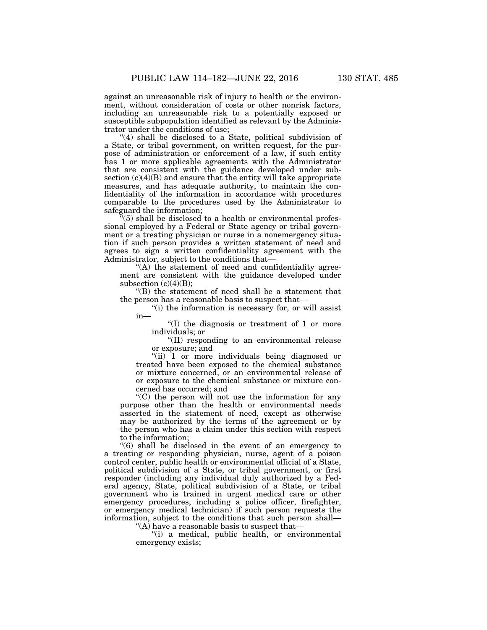against an unreasonable risk of injury to health or the environment, without consideration of costs or other nonrisk factors, including an unreasonable risk to a potentially exposed or susceptible subpopulation identified as relevant by the Administrator under the conditions of use;

"(4) shall be disclosed to a State, political subdivision of a State, or tribal government, on written request, for the purpose of administration or enforcement of a law, if such entity has 1 or more applicable agreements with the Administrator that are consistent with the guidance developed under subsection  $(c)(4)(B)$  and ensure that the entity will take appropriate measures, and has adequate authority, to maintain the confidentiality of the information in accordance with procedures comparable to the procedures used by the Administrator to safeguard the information;

 $(5)$  shall be disclosed to a health or environmental professional employed by a Federal or State agency or tribal government or a treating physician or nurse in a nonemergency situation if such person provides a written statement of need and agrees to sign a written confidentiality agreement with the Administrator, subject to the conditions that—

"(A) the statement of need and confidentiality agreement are consistent with the guidance developed under subsection  $(c)(4)(B)$ ;

''(B) the statement of need shall be a statement that the person has a reasonable basis to suspect that—

"(i) the information is necessary for, or will assist in—

''(I) the diagnosis or treatment of 1 or more individuals; or

''(II) responding to an environmental release or exposure; and

"(ii) 1 or more individuals being diagnosed or treated have been exposed to the chemical substance or mixture concerned, or an environmental release of or exposure to the chemical substance or mixture concerned has occurred; and

''(C) the person will not use the information for any purpose other than the health or environmental needs asserted in the statement of need, except as otherwise may be authorized by the terms of the agreement or by the person who has a claim under this section with respect to the information;

''(6) shall be disclosed in the event of an emergency to a treating or responding physician, nurse, agent of a poison control center, public health or environmental official of a State, political subdivision of a State, or tribal government, or first responder (including any individual duly authorized by a Federal agency, State, political subdivision of a State, or tribal government who is trained in urgent medical care or other emergency procedures, including a police officer, firefighter, or emergency medical technician) if such person requests the information, subject to the conditions that such person shall—

''(A) have a reasonable basis to suspect that—

''(i) a medical, public health, or environmental emergency exists;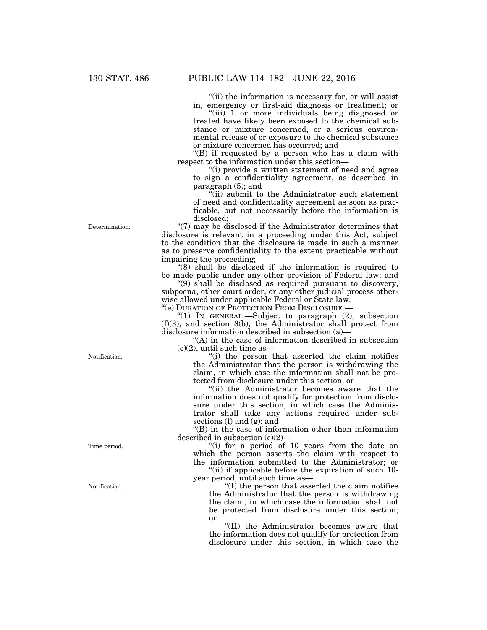"(ii) the information is necessary for, or will assist in, emergency or first-aid diagnosis or treatment; or

"(iii) 1 or more individuals being diagnosed or treated have likely been exposed to the chemical substance or mixture concerned, or a serious environmental release of or exposure to the chemical substance or mixture concerned has occurred; and

 $f(B)$  if requested by a person who has a claim with respect to the information under this section—

''(i) provide a written statement of need and agree to sign a confidentiality agreement, as described in paragraph (5); and

"(ii) submit to the Administrator such statement of need and confidentiality agreement as soon as practicable, but not necessarily before the information is disclosed;

"(7) may be disclosed if the Administrator determines that disclosure is relevant in a proceeding under this Act, subject to the condition that the disclosure is made in such a manner as to preserve confidentiality to the extent practicable without impairing the proceeding;

 $(8)$  shall be disclosed if the information is required to be made public under any other provision of Federal law; and

''(9) shall be disclosed as required pursuant to discovery, subpoena, other court order, or any other judicial process otherwise allowed under applicable Federal or State law.

''(e) DURATION OF PROTECTION FROM DISCLOSURE.—

''(1) IN GENERAL.—Subject to paragraph (2), subsection (f)(3), and section 8(b), the Administrator shall protect from disclosure information described in subsection (a)—

"(A) in the case of information described in subsection  $(c)(2)$ , until such time as-

''(i) the person that asserted the claim notifies the Administrator that the person is withdrawing the claim, in which case the information shall not be protected from disclosure under this section; or

''(ii) the Administrator becomes aware that the information does not qualify for protection from disclosure under this section, in which case the Administrator shall take any actions required under subsections (f) and (g); and

''(B) in the case of information other than information described in subsection (c)(2)—

''(i) for a period of 10 years from the date on which the person asserts the claim with respect to the information submitted to the Administrator; or

''(ii) if applicable before the expiration of such 10 year period, until such time as—

''(I) the person that asserted the claim notifies the Administrator that the person is withdrawing the claim, in which case the information shall not be protected from disclosure under this section; or

''(II) the Administrator becomes aware that the information does not qualify for protection from disclosure under this section, in which case the

Determination.

Notification.

Notification.

Time period.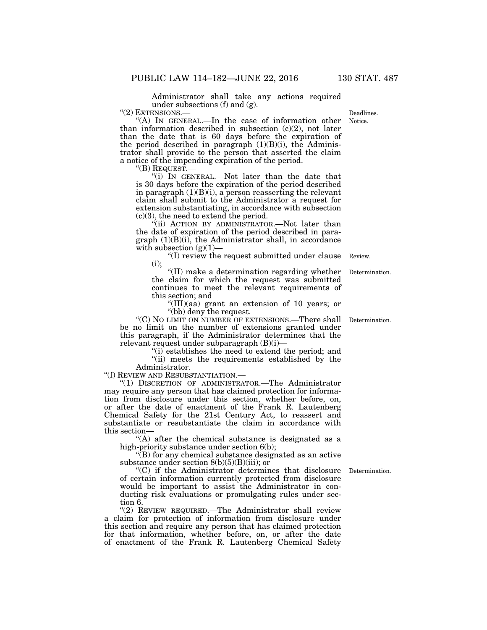Administrator shall take any actions required under subsections (f) and (g).

''(2) EXTENSIONS.—

''(A) IN GENERAL.—In the case of information other than information described in subsection  $(c)(2)$ , not later than the date that is 60 days before the expiration of the period described in paragraph  $(1)(B)(i)$ , the Administrator shall provide to the person that asserted the claim a notice of the impending expiration of the period.

''(B) REQUEST.— ''(i) IN GENERAL.—Not later than the date that is 30 days before the expiration of the period described in paragraph (1)(B)(i), a person reasserting the relevant claim shall submit to the Administrator a request for extension substantiating, in accordance with subsection  $(c)(3)$ , the need to extend the period.

''(ii) ACTION BY ADMINISTRATOR.—Not later than the date of expiration of the period described in paragraph (1)(B)(i), the Administrator shall, in accordance with subsection  $(g)(1)$ —

''(I) review the request submitted under clause Review.  $(1);$ 

''(II) make a determination regarding whether the claim for which the request was submitted continues to meet the relevant requirements of this section; and

''(III)(aa) grant an extension of 10 years; or ''(bb) deny the request.

''(C) NO LIMIT ON NUMBER OF EXTENSIONS.—There shall Determination. be no limit on the number of extensions granted under this paragraph, if the Administrator determines that the relevant request under subparagraph  $(B)(i)$ -

''(i) establishes the need to extend the period; and "(ii) meets the requirements established by the Administrator.

''(f) REVIEW AND RESUBSTANTIATION.—

''(1) DISCRETION OF ADMINISTRATOR.—The Administrator may require any person that has claimed protection for information from disclosure under this section, whether before, on, or after the date of enactment of the Frank R. Lautenberg Chemical Safety for the 21st Century Act, to reassert and substantiate or resubstantiate the claim in accordance with this section—

"(A) after the chemical substance is designated as a high-priority substance under section  $6(b)$ ;

''(B) for any chemical substance designated as an active substance under section 8(b)(5)(B)(iii); or

''(C) if the Administrator determines that disclosure of certain information currently protected from disclosure would be important to assist the Administrator in conducting risk evaluations or promulgating rules under section 6.

''(2) REVIEW REQUIRED.—The Administrator shall review a claim for protection of information from disclosure under this section and require any person that has claimed protection for that information, whether before, on, or after the date of enactment of the Frank R. Lautenberg Chemical Safety

Notice. Deadlines.

Determination.

Determination.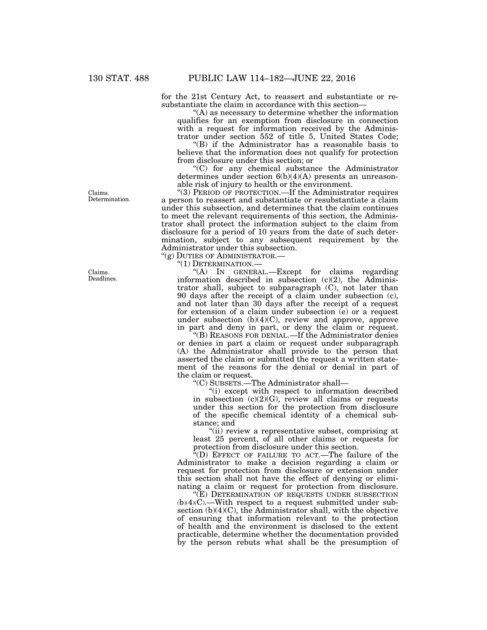for the 21st Century Act, to reassert and substantiate or resubstantiate the claim in accordance with this section—

''(A) as necessary to determine whether the information qualifies for an exemption from disclosure in connection with a request for information received by the Administrator under section 552 of title 5, United States Code;

''(B) if the Administrator has a reasonable basis to believe that the information does not qualify for protection from disclosure under this section; or

''(C) for any chemical substance the Administrator determines under section 6(b)(4)(A) presents an unreasonable risk of injury to health or the environment.

''(3) PERIOD OF PROTECTION.—If the Administrator requires a person to reassert and substantiate or resubstantiate a claim under this subsection, and determines that the claim continues to meet the relevant requirements of this section, the Administrator shall protect the information subject to the claim from disclosure for a period of 10 years from the date of such determination, subject to any subsequent requirement by the Administrator under this subsection.

"(g) DUTIES OF ADMINISTRATOR.-

''(1) DETERMINATION.—

''(A) IN GENERAL.—Except for claims regarding information described in subsection  $(c)(2)$ , the Administrator shall, subject to subparagraph (C), not later than 90 days after the receipt of a claim under subsection (c), and not later than 30 days after the receipt of a request for extension of a claim under subsection (e) or a request under subsection (b)(4)(C), review and approve, approve in part and deny in part, or deny the claim or request.

''(B) REASONS FOR DENIAL.—If the Administrator denies or denies in part a claim or request under subparagraph (A) the Administrator shall provide to the person that asserted the claim or submitted the request a written statement of the reasons for the denial or denial in part of the claim or request.

''(C) SUBSETS.—The Administrator shall—

"(i) except with respect to information described in subsection  $(c)(2)(G)$ , review all claims or requests under this section for the protection from disclosure of the specific chemical identity of a chemical substance; and

''(ii) review a representative subset, comprising at least 25 percent, of all other claims or requests for protection from disclosure under this section.

 $\sqrt[\alpha]{D}$  EFFECT OF FAILURE TO ACT.—The failure of the Administrator to make a decision regarding a claim or request for protection from disclosure or extension under this section shall not have the effect of denying or eliminating a claim or request for protection from disclosure.

''(E) DETERMINATION OF REQUESTS UNDER SUBSECTION  $(b)(4)(C)$ .—With respect to a request submitted under subsection  $(b)(4)(C)$ , the Administrator shall, with the objective of ensuring that information relevant to the protection of health and the environment is disclosed to the extent practicable, determine whether the documentation provided by the person rebuts what shall be the presumption of

Claims. Determination.

Claims. Deadlines.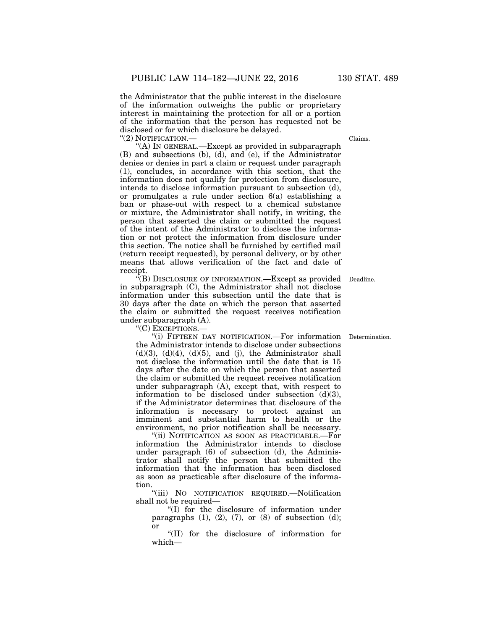the Administrator that the public interest in the disclosure of the information outweighs the public or proprietary interest in maintaining the protection for all or a portion of the information that the person has requested not be disclosed or for which disclosure be delayed.

''(2) NOTIFICATION.—

''(A) IN GENERAL.—Except as provided in subparagraph (B) and subsections (b), (d), and (e), if the Administrator denies or denies in part a claim or request under paragraph (1), concludes, in accordance with this section, that the information does not qualify for protection from disclosure, intends to disclose information pursuant to subsection (d), or promulgates a rule under section 6(a) establishing a ban or phase-out with respect to a chemical substance or mixture, the Administrator shall notify, in writing, the person that asserted the claim or submitted the request of the intent of the Administrator to disclose the information or not protect the information from disclosure under this section. The notice shall be furnished by certified mail (return receipt requested), by personal delivery, or by other means that allows verification of the fact and date of receipt.

''(B) DISCLOSURE OF INFORMATION.—Except as provided in subparagraph (C), the Administrator shall not disclose information under this subsection until the date that is 30 days after the date on which the person that asserted the claim or submitted the request receives notification under subparagraph (A).

"(C) EXCEPTIONS.-

"(i) FIFTEEN DAY NOTIFICATION.—For information Determination. the Administrator intends to disclose under subsections  $(d)(3)$ ,  $(d)(4)$ ,  $(d)(5)$ , and  $(j)$ , the Administrator shall not disclose the information until the date that is 15 days after the date on which the person that asserted the claim or submitted the request receives notification under subparagraph (A), except that, with respect to information to be disclosed under subsection  $(d)(3)$ , if the Administrator determines that disclosure of the information is necessary to protect against an imminent and substantial harm to health or the environment, no prior notification shall be necessary.

''(ii) NOTIFICATION AS SOON AS PRACTICABLE.—For information the Administrator intends to disclose under paragraph (6) of subsection (d), the Administrator shall notify the person that submitted the information that the information has been disclosed as soon as practicable after disclosure of the information.

''(iii) NO NOTIFICATION REQUIRED.—Notification shall not be required—

''(I) for the disclosure of information under paragraphs  $(1)$ ,  $(2)$ ,  $(7)$ , or  $(8)$  of subsection  $(d)$ ; or

''(II) for the disclosure of information for which—

Deadline.

Claims.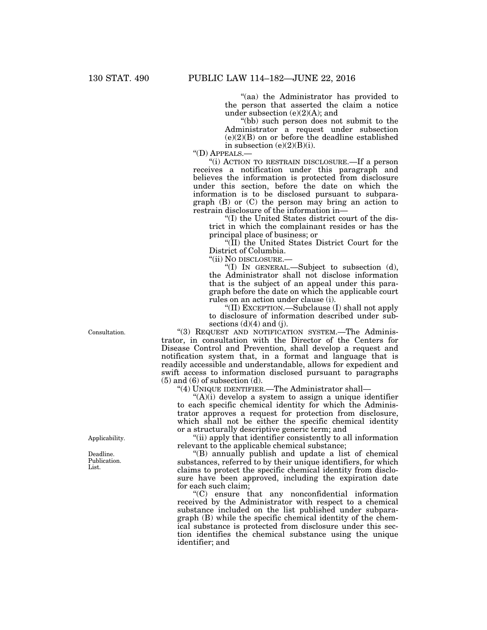''(aa) the Administrator has provided to the person that asserted the claim a notice under subsection  $(e)(2)(A)$ ; and

''(bb) such person does not submit to the Administrator a request under subsection  $(e)(2)(B)$  on or before the deadline established in subsection  $(e)(2)(B)(i)$ .

''(D) APPEALS.—

''(i) ACTION TO RESTRAIN DISCLOSURE.—If a person receives a notification under this paragraph and believes the information is protected from disclosure under this section, before the date on which the information is to be disclosed pursuant to subparagraph (B) or (C) the person may bring an action to restrain disclosure of the information in—

''(I) the United States district court of the district in which the complainant resides or has the principal place of business; or

''(II) the United States District Court for the District of Columbia.

''(ii) NO DISCLOSURE.—

"(I) IN GENERAL.—Subject to subsection  $(d)$ , the Administrator shall not disclose information that is the subject of an appeal under this paragraph before the date on which the applicable court rules on an action under clause (i).

''(II) EXCEPTION.—Subclause (I) shall not apply to disclosure of information described under subsections  $(d)(4)$  and  $(j)$ .

''(3) REQUEST AND NOTIFICATION SYSTEM.—The Administrator, in consultation with the Director of the Centers for Disease Control and Prevention, shall develop a request and notification system that, in a format and language that is readily accessible and understandable, allows for expedient and swift access to information disclosed pursuant to paragraphs  $(5)$  and  $(6)$  of subsection  $(d)$ .

''(4) UNIQUE IDENTIFIER.—The Administrator shall—

 $(A)(i)$  develop a system to assign a unique identifier to each specific chemical identity for which the Administrator approves a request for protection from disclosure, which shall not be either the specific chemical identity or a structurally descriptive generic term; and

''(ii) apply that identifier consistently to all information relevant to the applicable chemical substance;

''(B) annually publish and update a list of chemical substances, referred to by their unique identifiers, for which claims to protect the specific chemical identity from disclosure have been approved, including the expiration date for each such claim;

''(C) ensure that any nonconfidential information received by the Administrator with respect to a chemical substance included on the list published under subparagraph (B) while the specific chemical identity of the chemical substance is protected from disclosure under this section identifies the chemical substance using the unique identifier; and

Consultation.

Applicability.

Deadline. Publication. List.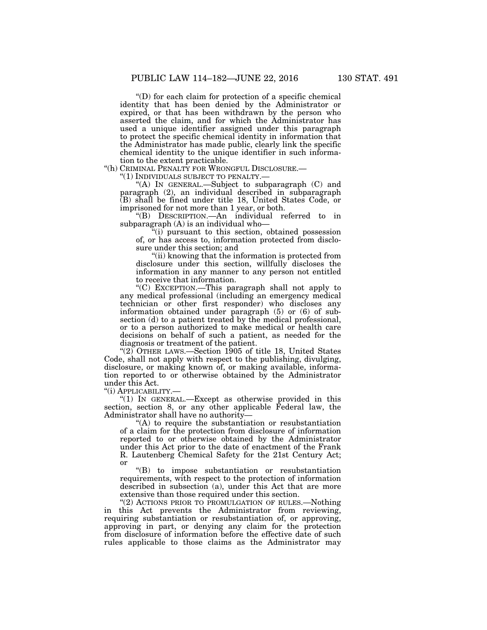''(D) for each claim for protection of a specific chemical identity that has been denied by the Administrator or expired, or that has been withdrawn by the person who asserted the claim, and for which the Administrator has used a unique identifier assigned under this paragraph to protect the specific chemical identity in information that the Administrator has made public, clearly link the specific chemical identity to the unique identifier in such informa-

tion to the extent practicable.<br>"(h) CRIMINAL PENALTY FOR WRONGFUL DISCLOSURE.—

"(1) INDIVIDUALS SUBJECT TO PENALTY.—<br>"(A) IN GENERAL.—Subject to subparagraph (C) and paragraph (2), an individual described in subparagraph (B) shall be fined under title 18, United States Code, or imprisoned for not more than 1 year, or both.

''(B) DESCRIPTION.—An individual referred to in subparagraph (A) is an individual who—

 $f''(i)$  pursuant to this section, obtained possession of, or has access to, information protected from disclosure under this section; and

''(ii) knowing that the information is protected from disclosure under this section, willfully discloses the information in any manner to any person not entitled to receive that information.

''(C) EXCEPTION.—This paragraph shall not apply to any medical professional (including an emergency medical technician or other first responder) who discloses any information obtained under paragraph (5) or (6) of subsection (d) to a patient treated by the medical professional, or to a person authorized to make medical or health care decisions on behalf of such a patient, as needed for the diagnosis or treatment of the patient.

" $(2)$  OTHER LAWS.—Section 1905 of title 18, United States Code, shall not apply with respect to the publishing, divulging, disclosure, or making known of, or making available, information reported to or otherwise obtained by the Administrator under this Act.

''(i) APPLICABILITY.—

" $(1)$  In GENERAL.—Except as otherwise provided in this section, section 8, or any other applicable Federal law, the Administrator shall have no authority—

''(A) to require the substantiation or resubstantiation of a claim for the protection from disclosure of information reported to or otherwise obtained by the Administrator under this Act prior to the date of enactment of the Frank R. Lautenberg Chemical Safety for the 21st Century Act; or

''(B) to impose substantiation or resubstantiation requirements, with respect to the protection of information described in subsection (a), under this Act that are more extensive than those required under this section.

"(2) ACTIONS PRIOR TO PROMULGATION OF RULES. Worthing in this Act prevents the Administrator from reviewing, requiring substantiation or resubstantiation of, or approving, approving in part, or denying any claim for the protection from disclosure of information before the effective date of such rules applicable to those claims as the Administrator may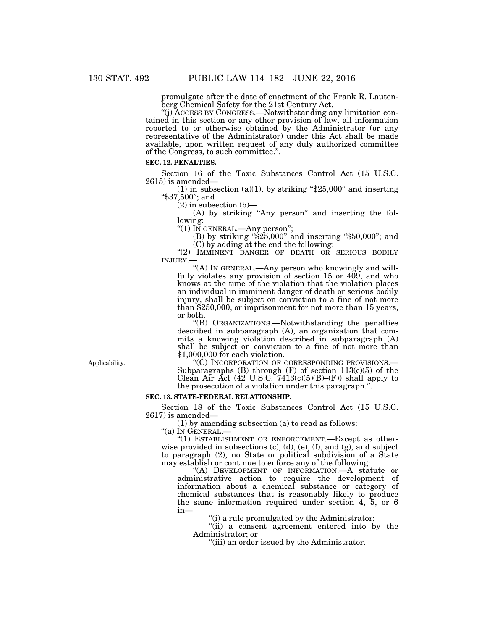promulgate after the date of enactment of the Frank R. Lautenberg Chemical Safety for the 21st Century Act.

''(j) ACCESS BY CONGRESS.—Notwithstanding any limitation contained in this section or any other provision of law, all information reported to or otherwise obtained by the Administrator (or any representative of the Administrator) under this Act shall be made available, upon written request of any duly authorized committee of the Congress, to such committee.''.

#### **SEC. 12. PENALTIES.**

Section 16 of the Toxic Substances Control Act (15 U.S.C. 2615) is amended—

(1) in subsection (a)(1), by striking " $$25,000"$  and inserting " $$37,500"$ ; and

 $(2)$  in subsection  $(b)$ —

(A) by striking "Any person" and inserting the following:

"(1) IN GENERAL.—Any person";<br>
(B) by striking "\$25,000" and inserting "\$50,000"; and

(C) by adding at the end the following: ''(2) IMMINENT DANGER OF DEATH OR SERIOUS BODILY INJURY.—

''(A) IN GENERAL.—Any person who knowingly and willfully violates any provision of section 15 or 409, and who knows at the time of the violation that the violation places an individual in imminent danger of death or serious bodily injury, shall be subject on conviction to a fine of not more than \$250,000, or imprisonment for not more than 15 years, or both.

''(B) ORGANIZATIONS.—Notwithstanding the penalties described in subparagraph (A), an organization that commits a knowing violation described in subparagraph (A) shall be subject on conviction to a fine of not more than \$1,000,000 for each violation.<br>"(C) INCORPORATION OF CORRESPONDING PROVISIONS.—

"(C) INCORPORATION OF CORRESPONDING PROVISIONS.—<br>Subparagraphs (B) through (F) of section  $113(c)(5)$  of the Clean Air Act (42 U.S.C. 7413 $(c)(5)(B)$ –(F)) shall apply to the prosecution of a violation under this paragraph.''.

#### **SEC. 13. STATE-FEDERAL RELATIONSHIP.**

Section 18 of the Toxic Substances Control Act (15 U.S.C. 2617) is amended—

(1) by amending subsection (a) to read as follows: "(a) In GENERAL.—

" $(1)$  ESTABLISHMENT OR ENFORCEMENT.—Except as otherwise provided in subsections  $(c)$ ,  $(d)$ ,  $(e)$ ,  $(f)$ , and  $(g)$ , and subject to paragraph (2), no State or political subdivision of a State may establish or continue to enforce any of the following:

''(A) DEVELOPMENT OF INFORMATION.—A statute or administrative action to require the development of information about a chemical substance or category of chemical substances that is reasonably likely to produce the same information required under section 4, 5, or 6 in—

''(i) a rule promulgated by the Administrator;

''(ii) a consent agreement entered into by the Administrator; or

''(iii) an order issued by the Administrator.

Applicability.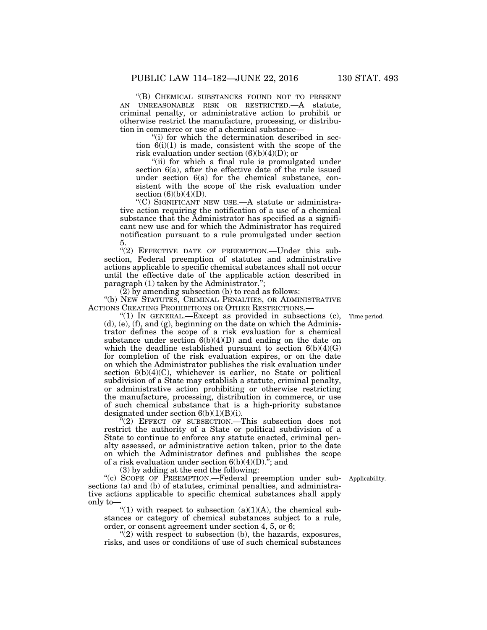''(B) CHEMICAL SUBSTANCES FOUND NOT TO PRESENT AN UNREASONABLE RISK OR RESTRICTED.—A statute, criminal penalty, or administrative action to prohibit or otherwise restrict the manufacture, processing, or distribution in commerce or use of a chemical substance—

''(i) for which the determination described in section  $6(i)(1)$  is made, consistent with the scope of the risk evaluation under section  $(6)(b)(4)(D)$ ; or

''(ii) for which a final rule is promulgated under section 6(a), after the effective date of the rule issued under section 6(a) for the chemical substance, consistent with the scope of the risk evaluation under section  $(6)(b)(4)(D)$ .

''(C) SIGNIFICANT NEW USE.—A statute or administrative action requiring the notification of a use of a chemical substance that the Administrator has specified as a significant new use and for which the Administrator has required notification pursuant to a rule promulgated under section 5.

"(2) EFFECTIVE DATE OF PREEMPTION.-Under this subsection, Federal preemption of statutes and administrative actions applicable to specific chemical substances shall not occur until the effective date of the applicable action described in paragraph (1) taken by the Administrator.'';

(2) by amending subsection (b) to read as follows: ''(b) NEW STATUTES, CRIMINAL PENALTIES, OR ADMINISTRATIVE ACTIONS CREATING PROHIBITIONS OR OTHER RESTRICTIONS.—

"(1) IN GENERAL.—Except as provided in subsections  $(c)$ , (d), (e), (f), and (g), beginning on the date on which the Administrator defines the scope of a risk evaluation for a chemical substance under section  $6(b)(4)(D)$  and ending on the date on which the deadline established pursuant to section  $6(b)(4)(G)$ for completion of the risk evaluation expires, or on the date on which the Administrator publishes the risk evaluation under section  $6(b)(4)(C)$ , whichever is earlier, no State or political subdivision of a State may establish a statute, criminal penalty, or administrative action prohibiting or otherwise restricting the manufacture, processing, distribution in commerce, or use of such chemical substance that is a high-priority substance designated under section  $6(b)(1)(B)(i)$ .

''(2) EFFECT OF SUBSECTION.—This subsection does not restrict the authority of a State or political subdivision of a State to continue to enforce any statute enacted, criminal penalty assessed, or administrative action taken, prior to the date on which the Administrator defines and publishes the scope of a risk evaluation under section  $6(b)(4)(D)$ ."; and

(3) by adding at the end the following:

"(c) SCOPE OF PREEMPTION.—Federal preemption under subsections (a) and (b) of statutes, criminal penalties, and administrative actions applicable to specific chemical substances shall apply only to—

"(1) with respect to subsection  $(a)(1)(A)$ , the chemical substances or category of chemical substances subject to a rule, order, or consent agreement under section 4, 5, or 6;

 $(2)$  with respect to subsection (b), the hazards, exposures, risks, and uses or conditions of use of such chemical substances

Time period.

Applicability.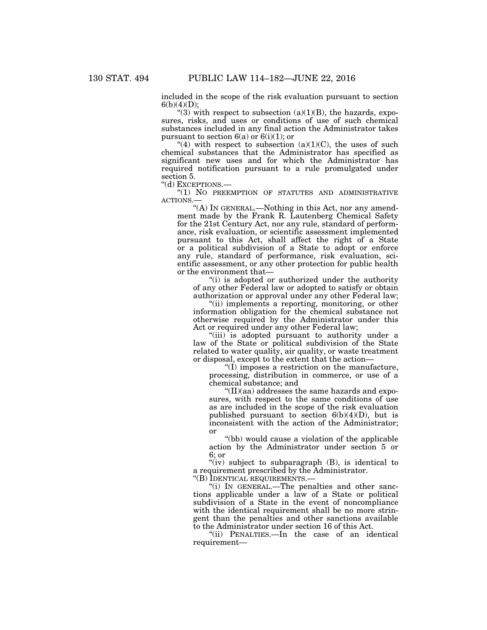included in the scope of the risk evaluation pursuant to section  $6(b)(4)(D);$ 

" $(3)$  with respect to subsection  $(a)(1)(B)$ , the hazards, exposures, risks, and uses or conditions of use of such chemical substances included in any final action the Administrator takes pursuant to section  $6(a)$  or  $6(i)(1)$ ; or

"(4) with respect to subsection  $(a)(1)(C)$ , the uses of such chemical substances that the Administrator has specified as significant new uses and for which the Administrator has required notification pursuant to a rule promulgated under section 5.<br>"(d) Exceptions.—

"(1) NO PREEMPTION OF STATUTES AND ADMINISTRATIVE ACTIONS.—

''(A) IN GENERAL.—Nothing in this Act, nor any amendment made by the Frank R. Lautenberg Chemical Safety for the 21st Century Act, nor any rule, standard of performance, risk evaluation, or scientific assessment implemented pursuant to this Act, shall affect the right of a State or a political subdivision of a State to adopt or enforce any rule, standard of performance, risk evaluation, scientific assessment, or any other protection for public health or the environment that—

''(i) is adopted or authorized under the authority of any other Federal law or adopted to satisfy or obtain authorization or approval under any other Federal law;

"(ii) implements a reporting, monitoring, or other information obligation for the chemical substance not otherwise required by the Administrator under this Act or required under any other Federal law;

''(iii) is adopted pursuant to authority under a law of the State or political subdivision of the State related to water quality, air quality, or waste treatment or disposal, except to the extent that the action—

''(I) imposes a restriction on the manufacture, processing, distribution in commerce, or use of a chemical substance; and

''(II)(aa) addresses the same hazards and exposures, with respect to the same conditions of use as are included in the scope of the risk evaluation published pursuant to section 6(b)(4)(D), but is inconsistent with the action of the Administrator; or

''(bb) would cause a violation of the applicable action by the Administrator under section 5 or 6; or

"(iv) subject to subparagraph (B), is identical to a requirement prescribed by the Administrator.

''(B) IDENTICAL REQUIREMENTS.—

''(i) IN GENERAL.—The penalties and other sanctions applicable under a law of a State or political subdivision of a State in the event of noncompliance with the identical requirement shall be no more stringent than the penalties and other sanctions available to the Administrator under section 16 of this Act.

''(ii) PENALTIES.—In the case of an identical requirement—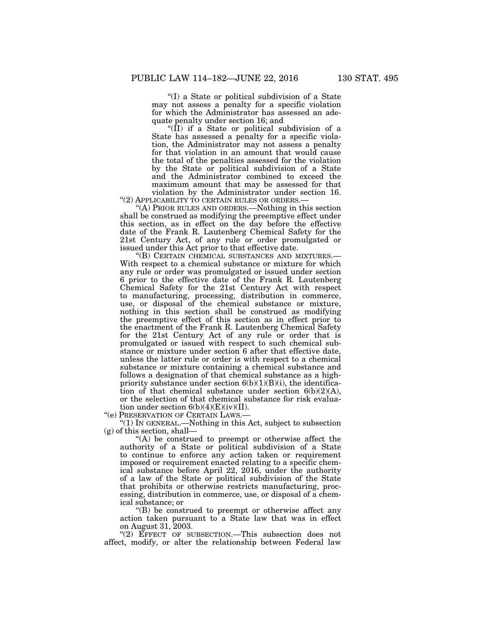''(I) a State or political subdivision of a State may not assess a penalty for a specific violation for which the Administrator has assessed an adequate penalty under section 16; and

''(II) if a State or political subdivision of a State has assessed a penalty for a specific violation, the Administrator may not assess a penalty for that violation in an amount that would cause the total of the penalties assessed for the violation by the State or political subdivision of a State and the Administrator combined to exceed the maximum amount that may be assessed for that violation by the Administrator under section 16.<br>"(2) APPLICABILITY TO CERTAIN RULES OR ORDERS.—

 $!(A)$  PRIOR RULES AND ORDERS.—Nothing in this section shall be construed as modifying the preemptive effect under this section, as in effect on the day before the effective date of the Frank R. Lautenberg Chemical Safety for the 21st Century Act, of any rule or order promulgated or issued under this Act prior to that effective date.

''(B) CERTAIN CHEMICAL SUBSTANCES AND MIXTURES.— With respect to a chemical substance or mixture for which any rule or order was promulgated or issued under section 6 prior to the effective date of the Frank R. Lautenberg Chemical Safety for the 21st Century Act with respect to manufacturing, processing, distribution in commerce, use, or disposal of the chemical substance or mixture, nothing in this section shall be construed as modifying the preemptive effect of this section as in effect prior to the enactment of the Frank R. Lautenberg Chemical Safety for the 21st Century Act of any rule or order that is promulgated or issued with respect to such chemical substance or mixture under section 6 after that effective date, unless the latter rule or order is with respect to a chemical substance or mixture containing a chemical substance and follows a designation of that chemical substance as a highpriority substance under section  $6(b)(1)(B)(i)$ , the identification of that chemical substance under section  $6(b)(2)(A)$ , or the selection of that chemical substance for risk evaluation under section  $6(b)(4)(E)(iv)(II)$ .

''(e) PRESERVATION OF CERTAIN LAWS.—

''(1) IN GENERAL.—Nothing in this Act, subject to subsection (g) of this section, shall—

''(A) be construed to preempt or otherwise affect the authority of a State or political subdivision of a State to continue to enforce any action taken or requirement imposed or requirement enacted relating to a specific chemical substance before April 22, 2016, under the authority of a law of the State or political subdivision of the State that prohibits or otherwise restricts manufacturing, processing, distribution in commerce, use, or disposal of a chemical substance; or

''(B) be construed to preempt or otherwise affect any action taken pursuant to a State law that was in effect on August 31, 2003.

"(2) EFFECT OF SUBSECTION.—This subsection does not affect, modify, or alter the relationship between Federal law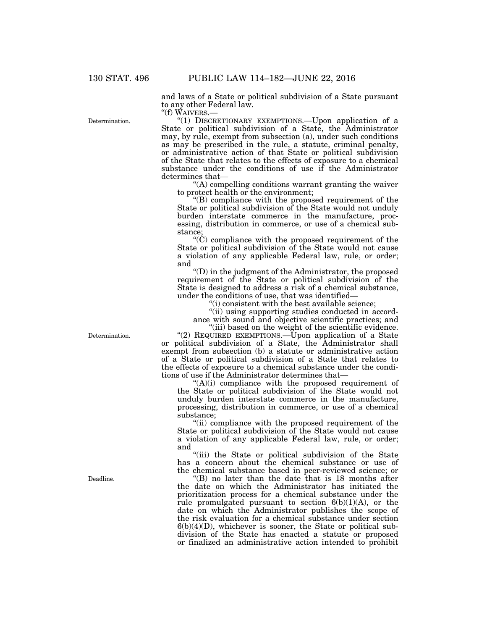Determination.

and laws of a State or political subdivision of a State pursuant to any other Federal law.

''(f) WAIVERS.—

''(1) DISCRETIONARY EXEMPTIONS.—Upon application of a State or political subdivision of a State, the Administrator may, by rule, exempt from subsection (a), under such conditions as may be prescribed in the rule, a statute, criminal penalty, or administrative action of that State or political subdivision of the State that relates to the effects of exposure to a chemical substance under the conditions of use if the Administrator determines that—

''(A) compelling conditions warrant granting the waiver to protect health or the environment;

''(B) compliance with the proposed requirement of the State or political subdivision of the State would not unduly burden interstate commerce in the manufacture, processing, distribution in commerce, or use of a chemical substance;

''(C) compliance with the proposed requirement of the State or political subdivision of the State would not cause a violation of any applicable Federal law, rule, or order; and

''(D) in the judgment of the Administrator, the proposed requirement of the State or political subdivision of the State is designed to address a risk of a chemical substance, under the conditions of use, that was identified—

''(i) consistent with the best available science;

"(ii) using supporting studies conducted in accordance with sound and objective scientific practices; and "(iii) based on the weight of the scientific evidence.

"(2) REQUIRED EXEMPTIONS.—Upon application of a State or political subdivision of a State, the Administrator shall exempt from subsection (b) a statute or administrative action of a State or political subdivision of a State that relates to the effects of exposure to a chemical substance under the conditions of use if the Administrator determines that—

 $(A)(i)$  compliance with the proposed requirement of the State or political subdivision of the State would not unduly burden interstate commerce in the manufacture, processing, distribution in commerce, or use of a chemical substance;

"(ii) compliance with the proposed requirement of the State or political subdivision of the State would not cause a violation of any applicable Federal law, rule, or order; and

"(iii) the State or political subdivision of the State has a concern about the chemical substance or use of the chemical substance based in peer-reviewed science; or

''(B) no later than the date that is 18 months after the date on which the Administrator has initiated the prioritization process for a chemical substance under the rule promulgated pursuant to section  $6(b)(1)(A)$ , or the date on which the Administrator publishes the scope of the risk evaluation for a chemical substance under section  $6(b)(4)(D)$ , whichever is sooner, the State or political subdivision of the State has enacted a statute or proposed or finalized an administrative action intended to prohibit

Determination.

Deadline.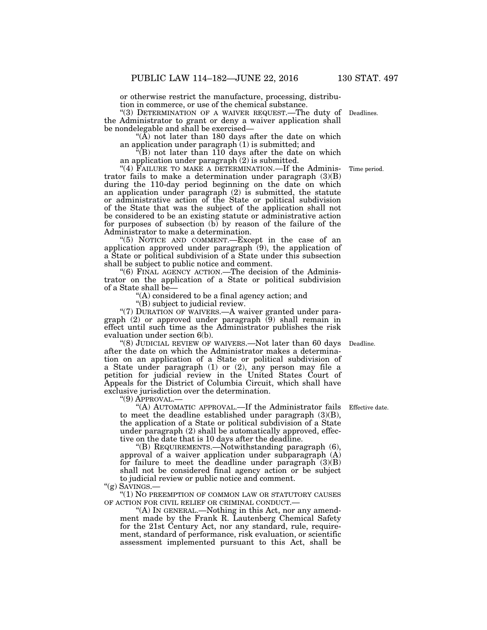or otherwise restrict the manufacture, processing, distribution in commerce, or use of the chemical substance.

"(3) DETERMINATION OF A WAIVER REQUEST.—The duty of Deadlines. the Administrator to grant or deny a waiver application shall be nondelegable and shall be exercised—

"( $\bar{A}$ ) not later than 180 days after the date on which an application under paragraph (1) is submitted; and

 $\hat{E}(B)$  not later than 110 days after the date on which an application under paragraph (2) is submitted.

"(4) FAILURE TO MAKE A DETERMINATION.—If the Administrator fails to make a determination under paragraph (3)(B) during the 110-day period beginning on the date on which an application under paragraph (2) is submitted, the statute or administrative action of the State or political subdivision of the State that was the subject of the application shall not be considered to be an existing statute or administrative action for purposes of subsection (b) by reason of the failure of the Administrator to make a determination.

"(5) NOTICE AND COMMENT.—Except in the case of an application approved under paragraph (9), the application of a State or political subdivision of a State under this subsection shall be subject to public notice and comment.

''(6) FINAL AGENCY ACTION.—The decision of the Administrator on the application of a State or political subdivision of a State shall be—

''(A) considered to be a final agency action; and

''(B) subject to judicial review.

"(7) DURATION OF WAIVERS.—A waiver granted under paragraph (2) or approved under paragraph (9) shall remain in effect until such time as the Administrator publishes the risk evaluation under section 6(b).

''(8) JUDICIAL REVIEW OF WAIVERS.—Not later than 60 days after the date on which the Administrator makes a determination on an application of a State or political subdivision of a State under paragraph (1) or (2), any person may file a petition for judicial review in the United States Court of Appeals for the District of Columbia Circuit, which shall have exclusive jurisdiction over the determination. Deadline.

''(9) APPROVAL.—

(A) AUTOMATIC APPROVAL.—If the Administrator fails to meet the deadline established under paragraph (3)(B), the application of a State or political subdivision of a State under paragraph (2) shall be automatically approved, effective on the date that is 10 days after the deadline.

''(B) REQUIREMENTS.—Notwithstanding paragraph (6), approval of a waiver application under subparagraph (A) for failure to meet the deadline under paragraph (3)(B) shall not be considered final agency action or be subject to judicial review or public notice and comment.

''(g) SAVINGS.—

''(1) NO PREEMPTION OF COMMON LAW OR STATUTORY CAUSES OF ACTION FOR CIVIL RELIEF OR CRIMINAL CONDUCT.

''(A) IN GENERAL.—Nothing in this Act, nor any amendment made by the Frank R. Lautenberg Chemical Safety for the 21st Century Act, nor any standard, rule, requirement, standard of performance, risk evaluation, or scientific assessment implemented pursuant to this Act, shall be

Effective date.

Time period.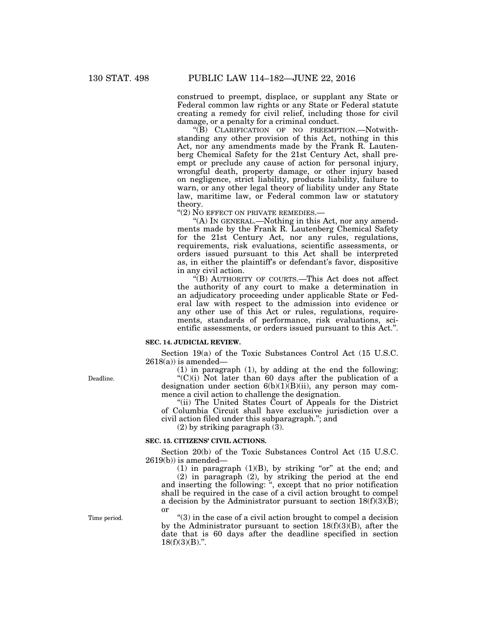construed to preempt, displace, or supplant any State or Federal common law rights or any State or Federal statute creating a remedy for civil relief, including those for civil damage, or a penalty for a criminal conduct.

''(B) CLARIFICATION OF NO PREEMPTION.—Notwithstanding any other provision of this Act, nothing in this Act, nor any amendments made by the Frank R. Lautenberg Chemical Safety for the 21st Century Act, shall preempt or preclude any cause of action for personal injury, wrongful death, property damage, or other injury based on negligence, strict liability, products liability, failure to warn, or any other legal theory of liability under any State law, maritime law, or Federal common law or statutory theory.

"(2) NO EFFECT ON PRIVATE REMEDIES.-

''(A) IN GENERAL.—Nothing in this Act, nor any amendments made by the Frank R. Lautenberg Chemical Safety for the 21st Century Act, nor any rules, regulations, requirements, risk evaluations, scientific assessments, or orders issued pursuant to this Act shall be interpreted as, in either the plaintiff's or defendant's favor, dispositive in any civil action.

''(B) AUTHORITY OF COURTS.—This Act does not affect the authority of any court to make a determination in an adjudicatory proceeding under applicable State or Federal law with respect to the admission into evidence or any other use of this Act or rules, regulations, requirements, standards of performance, risk evaluations, scientific assessments, or orders issued pursuant to this Act.''.

#### **SEC. 14. JUDICIAL REVIEW.**

Section 19(a) of the Toxic Substances Control Act (15 U.S.C.  $2618(a)$  is amended-

(1) in paragraph (1), by adding at the end the following:  $C'(C)(i)$  Not later than 60 days after the publication of a designation under section  $6(b)(1)(B)(ii)$ , any person may com-

mence a civil action to challenge the designation.

''(ii) The United States Court of Appeals for the District of Columbia Circuit shall have exclusive jurisdiction over a civil action filed under this subparagraph.''; and

(2) by striking paragraph (3).

# **SEC. 15. CITIZENS' CIVIL ACTIONS.**

Section 20(b) of the Toxic Substances Control Act (15 U.S.C.  $2619(b)$ ) is amended-

(1) in paragraph  $(1)(B)$ , by striking "or" at the end; and

(2) in paragraph (2), by striking the period at the end and inserting the following: '', except that no prior notification shall be required in the case of a civil action brought to compel a decision by the Administrator pursuant to section  $18(f)(3)(B)$ ; or

''(3) in the case of a civil action brought to compel a decision by the Administrator pursuant to section  $18(f)(3)(B)$ , after the date that is 60 days after the deadline specified in section 18(f)(3)(B).''.

Deadline.

Time period.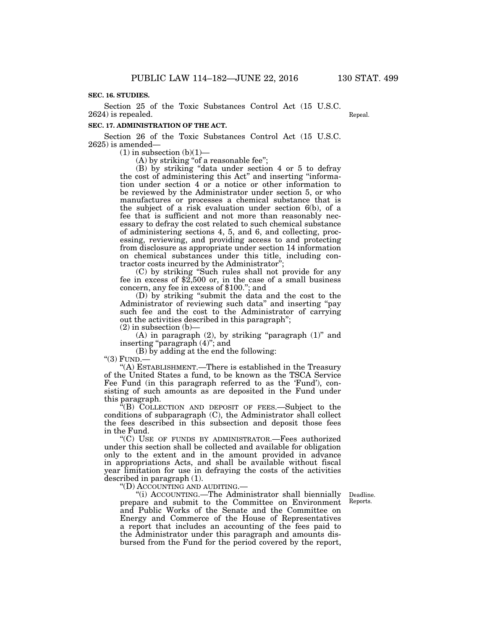### **SEC. 16. STUDIES.**

Section 25 of the Toxic Substances Control Act (15 U.S.C. 2624) is repealed.

Repeal.

# **SEC. 17. ADMINISTRATION OF THE ACT.**

Section 26 of the Toxic Substances Control Act (15 U.S.C. 2625) is amended—

 $(1)$  in subsection  $(b)(1)$ —

(A) by striking "of a reasonable fee";

(B) by striking ''data under section 4 or 5 to defray the cost of administering this Act'' and inserting ''information under section 4 or a notice or other information to be reviewed by the Administrator under section 5, or who manufactures or processes a chemical substance that is the subject of a risk evaluation under section 6(b), of a fee that is sufficient and not more than reasonably necessary to defray the cost related to such chemical substance of administering sections 4, 5, and 6, and collecting, processing, reviewing, and providing access to and protecting from disclosure as appropriate under section 14 information on chemical substances under this title, including contractor costs incurred by the Administrator'

(C) by striking ''Such rules shall not provide for any fee in excess of \$2,500 or, in the case of a small business concern, any fee in excess of \$100.''; and

(D) by striking ''submit the data and the cost to the Administrator of reviewing such data'' and inserting ''pay such fee and the cost to the Administrator of carrying out the activities described in this paragraph'';

 $(2)$  in subsection  $(b)$ -

 $(A)$  in paragraph  $(2)$ , by striking "paragraph  $(1)$ " and inserting ''paragraph (4)''; and

(B) by adding at the end the following:

 $"(3)$  Fund.

''(A) ESTABLISHMENT.—There is established in the Treasury of the United States a fund, to be known as the TSCA Service Fee Fund (in this paragraph referred to as the 'Fund'), consisting of such amounts as are deposited in the Fund under this paragraph.

''(B) COLLECTION AND DEPOSIT OF FEES.—Subject to the conditions of subparagraph (C), the Administrator shall collect the fees described in this subsection and deposit those fees in the Fund.

''(C) USE OF FUNDS BY ADMINISTRATOR.—Fees authorized under this section shall be collected and available for obligation only to the extent and in the amount provided in advance in appropriations Acts, and shall be available without fiscal year limitation for use in defraying the costs of the activities described in paragraph (1).

''(D) ACCOUNTING AND AUDITING.—

Deadline. Reports.

''(i) ACCOUNTING.—The Administrator shall biennially prepare and submit to the Committee on Environment and Public Works of the Senate and the Committee on Energy and Commerce of the House of Representatives a report that includes an accounting of the fees paid to the Administrator under this paragraph and amounts disbursed from the Fund for the period covered by the report,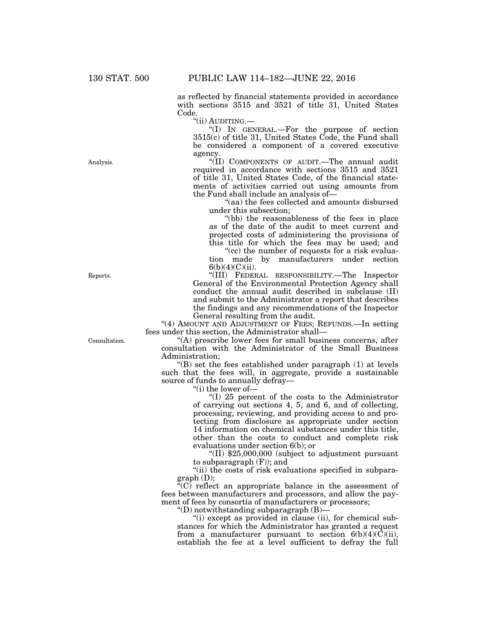as reflected by financial statements provided in accordance with sections 3515 and 3521 of title 31, United States Code.

"(ii) AUDITING.—

''(I) IN GENERAL.—For the purpose of section 3515(c) of title 31, United States Code, the Fund shall be considered a component of a covered executive agency.

''(II) COMPONENTS OF AUDIT.—The annual audit required in accordance with sections 3515 and 3521 of title 31, United States Code, of the financial statements of activities carried out using amounts from the Fund shall include an analysis of—

''(aa) the fees collected and amounts disbursed under this subsection;

''(bb) the reasonableness of the fees in place as of the date of the audit to meet current and projected costs of administering the provisions of this title for which the fees may be used; and

"(cc) the number of requests for a risk evaluation made by manufacturers under section  $6(b)(4)(C)(ii)$ .

''(III) FEDERAL RESPONSIBILITY.—The Inspector General of the Environmental Protection Agency shall conduct the annual audit described in subclause (II) and submit to the Administrator a report that describes the findings and any recommendations of the Inspector General resulting from the audit.

"(4) AMOUNT AND ADJUSTMENT OF FEES; REFUNDS.—In setting fees under this section, the Administrator shall—

''(A) prescribe lower fees for small business concerns, after consultation with the Administrator of the Small Business Administration;

 $f(B)$  set the fees established under paragraph  $(1)$  at levels such that the fees will, in aggregate, provide a sustainable source of funds to annually defray—

''(i) the lower of—

''(I) 25 percent of the costs to the Administrator of carrying out sections 4, 5, and 6, and of collecting, processing, reviewing, and providing access to and protecting from disclosure as appropriate under section 14 information on chemical substances under this title, other than the costs to conduct and complete risk evaluations under section 6(b); or

''(II) \$25,000,000 (subject to adjustment pursuant to subparagraph (F)); and

"(ii) the costs of risk evaluations specified in subparagraph (D);

''(C) reflect an appropriate balance in the assessment of fees between manufacturers and processors, and allow the payment of fees by consortia of manufacturers or processors;

''(D) notwithstanding subparagraph (B)—

''(i) except as provided in clause (ii), for chemical substances for which the Administrator has granted a request from a manufacturer pursuant to section  $6(b)(4)(\overrightarrow{C})(ii)$ , establish the fee at a level sufficient to defray the full

Consultation.

Reports.

Analysis.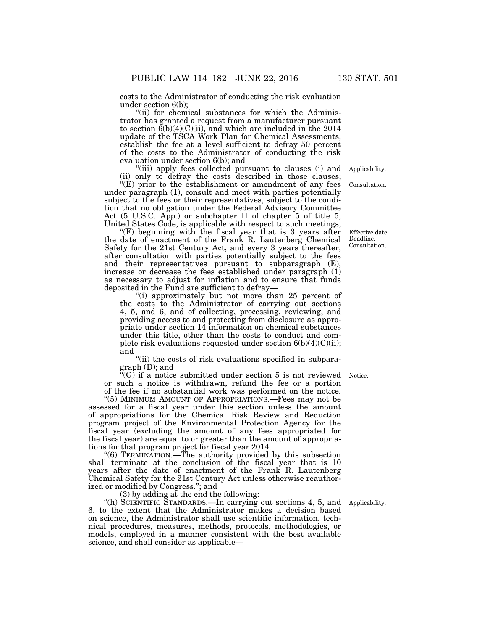costs to the Administrator of conducting the risk evaluation under section 6(b);

"(ii) for chemical substances for which the Administrator has granted a request from a manufacturer pursuant to section  $6(b)(4)(C)(ii)$ , and which are included in the 2014 update of the TSCA Work Plan for Chemical Assessments, establish the fee at a level sufficient to defray 50 percent of the costs to the Administrator of conducting the risk evaluation under section 6(b); and

"(iii) apply fees collected pursuant to clauses (i) and (ii) only to defray the costs described in those clauses;

''(E) prior to the establishment or amendment of any fees under paragraph (1), consult and meet with parties potentially subject to the fees or their representatives, subject to the condition that no obligation under the Federal Advisory Committee Act (5 U.S.C. App.) or subchapter II of chapter 5 of title 5, United States Code, is applicable with respect to such meetings;

" $(F)$  beginning with the fiscal year that is 3 years after the date of enactment of the Frank R. Lautenberg Chemical Safety for the 21st Century Act, and every 3 years thereafter, after consultation with parties potentially subject to the fees and their representatives pursuant to subparagraph (E), increase or decrease the fees established under paragraph (1) as necessary to adjust for inflation and to ensure that funds deposited in the Fund are sufficient to defray—

''(i) approximately but not more than 25 percent of the costs to the Administrator of carrying out sections 4, 5, and 6, and of collecting, processing, reviewing, and providing access to and protecting from disclosure as appropriate under section 14 information on chemical substances under this title, other than the costs to conduct and complete risk evaluations requested under section  $6(b)(4)(C)(ii)$ ; and

''(ii) the costs of risk evaluations specified in subparagraph (D); and

 $\mathbf{H}^{\alpha}(G)$  if a notice submitted under section 5 is not reviewed Notice. or such a notice is withdrawn, refund the fee or a portion of the fee if no substantial work was performed on the notice.

''(5) MINIMUM AMOUNT OF APPROPRIATIONS.—Fees may not be assessed for a fiscal year under this section unless the amount of appropriations for the Chemical Risk Review and Reduction program project of the Environmental Protection Agency for the fiscal year (excluding the amount of any fees appropriated for the fiscal year) are equal to or greater than the amount of appropriations for that program project for fiscal year 2014.

''(6) TERMINATION.—The authority provided by this subsection shall terminate at the conclusion of the fiscal year that is 10 years after the date of enactment of the Frank R. Lautenberg Chemical Safety for the 21st Century Act unless otherwise reauthorized or modified by Congress.''; and

(3) by adding at the end the following:

''(h) SCIENTIFIC STANDARDS.—In carrying out sections 4, 5, and 6, to the extent that the Administrator makes a decision based on science, the Administrator shall use scientific information, technical procedures, measures, methods, protocols, methodologies, or models, employed in a manner consistent with the best available science, and shall consider as applicable—

Applicability.

Consultation. Applicability.

Effective date. Deadline. Consultation.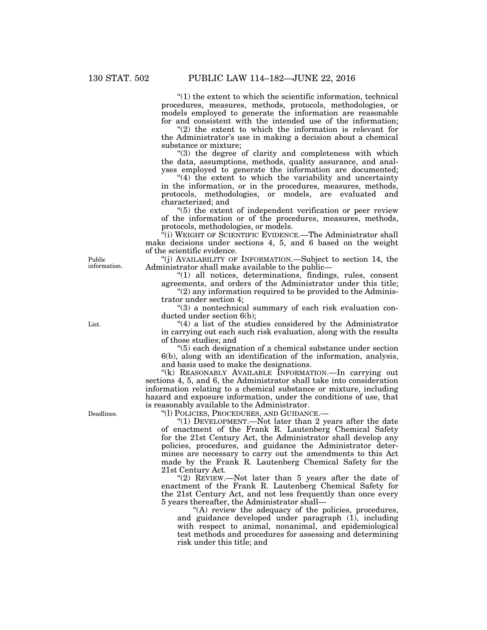$''(1)$  the extent to which the scientific information, technical procedures, measures, methods, protocols, methodologies, or models employed to generate the information are reasonable for and consistent with the intended use of the information;

"(2) the extent to which the information is relevant for the Administrator's use in making a decision about a chemical substance or mixture;

"(3) the degree of clarity and completeness with which the data, assumptions, methods, quality assurance, and analyses employed to generate the information are documented;

"(4) the extent to which the variability and uncertainty in the information, or in the procedures, measures, methods, protocols, methodologies, or models, are evaluated and characterized; and

"(5) the extent of independent verification or peer review of the information or of the procedures, measures, methods, protocols, methodologies, or models.

 $\alpha$ <sup>a</sup>(i) WEIGHT OF SCIENTIFIC EVIDENCE.—The Administrator shall make decisions under sections 4, 5, and 6 based on the weight of the scientific evidence.

''(j) AVAILABILITY OF INFORMATION.—Subject to section 14, the Administrator shall make available to the public—

''(1) all notices, determinations, findings, rules, consent agreements, and orders of the Administrator under this title;

 $\degree$ (2) any information required to be provided to the Administrator under section 4;

''(3) a nontechnical summary of each risk evaluation conducted under section 6(b);

''(4) a list of the studies considered by the Administrator in carrying out each such risk evaluation, along with the results of those studies; and

 $(5)$  each designation of a chemical substance under section 6(b), along with an identification of the information, analysis, and basis used to make the designations.

"(k) REASONABLY AVAILABLE INFORMATION.—In carrying out sections 4, 5, and 6, the Administrator shall take into consideration information relating to a chemical substance or mixture, including hazard and exposure information, under the conditions of use, that is reasonably available to the Administrator.

''(l) POLICIES, PROCEDURES, AND GUIDANCE.—

"(1) DEVELOPMENT.—Not later than 2 years after the date of enactment of the Frank R. Lautenberg Chemical Safety for the 21st Century Act, the Administrator shall develop any policies, procedures, and guidance the Administrator determines are necessary to carry out the amendments to this Act made by the Frank R. Lautenberg Chemical Safety for the 21st Century Act.

"(2) REVIEW.—Not later than 5 years after the date of enactment of the Frank R. Lautenberg Chemical Safety for the 21st Century Act, and not less frequently than once every 5 years thereafter, the Administrator shall—

"(A) review the adequacy of the policies, procedures, and guidance developed under paragraph (1), including with respect to animal, nonanimal, and epidemiological test methods and procedures for assessing and determining risk under this title; and

Public information.

List.

Deadlines.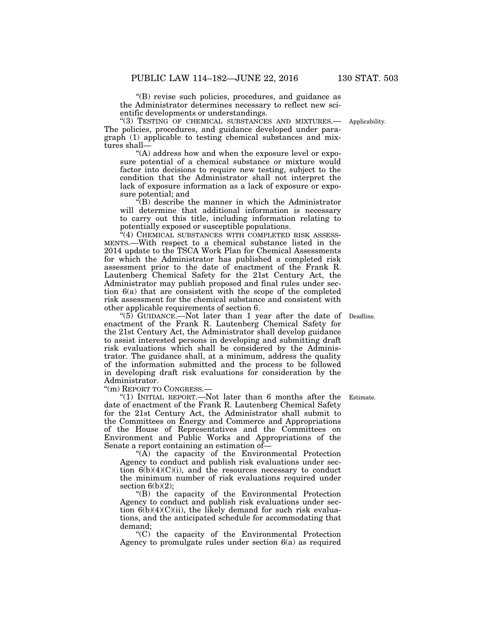''(B) revise such policies, procedures, and guidance as the Administrator determines necessary to reflect new scientific developments or understandings.

"(3) TESTING OF CHEMICAL SUBSTANCES AND MIXTURES. - Applicability. The policies, procedures, and guidance developed under paragraph (1) applicable to testing chemical substances and mixtures shall—

"(A) address how and when the exposure level or exposure potential of a chemical substance or mixture would factor into decisions to require new testing, subject to the condition that the Administrator shall not interpret the lack of exposure information as a lack of exposure or exposure potential; and

 $\tilde{E}(B)$  describe the manner in which the Administrator will determine that additional information is necessary to carry out this title, including information relating to potentially exposed or susceptible populations.

 $\cdot$ <sup> $\cdot$ </sup>(4) CHEMICAL SUBSTANCES WITH COMPLETED RISK ASSESS-MENTS.—With respect to a chemical substance listed in the 2014 update to the TSCA Work Plan for Chemical Assessments for which the Administrator has published a completed risk assessment prior to the date of enactment of the Frank R. Lautenberg Chemical Safety for the 21st Century Act, the Administrator may publish proposed and final rules under section 6(a) that are consistent with the scope of the completed risk assessment for the chemical substance and consistent with other applicable requirements of section 6.

" $(5)$  GUIDANCE.—Not later than 1 year after the date of Deadline. enactment of the Frank R. Lautenberg Chemical Safety for the 21st Century Act, the Administrator shall develop guidance to assist interested persons in developing and submitting draft risk evaluations which shall be considered by the Administrator. The guidance shall, at a minimum, address the quality of the information submitted and the process to be followed in developing draft risk evaluations for consideration by the Administrator.

''(m) REPORT TO CONGRESS.—

''(1) INITIAL REPORT.—Not later than 6 months after the date of enactment of the Frank R. Lautenberg Chemical Safety for the 21st Century Act, the Administrator shall submit to the Committees on Energy and Commerce and Appropriations of the House of Representatives and the Committees on Environment and Public Works and Appropriations of the Senate a report containing an estimation of—

 $(f(A))$  the capacity of the Environmental Protection Agency to conduct and publish risk evaluations under section  $6(b)(4)(C)(i)$ , and the resources necessary to conduct the minimum number of risk evaluations required under section  $6(b)(2)$ ;

''(B) the capacity of the Environmental Protection Agency to conduct and publish risk evaluations under section  $6(b)(4)(C)(ii)$ , the likely demand for such risk evaluations, and the anticipated schedule for accommodating that demand;

''(C) the capacity of the Environmental Protection Agency to promulgate rules under section 6(a) as required

Estimate.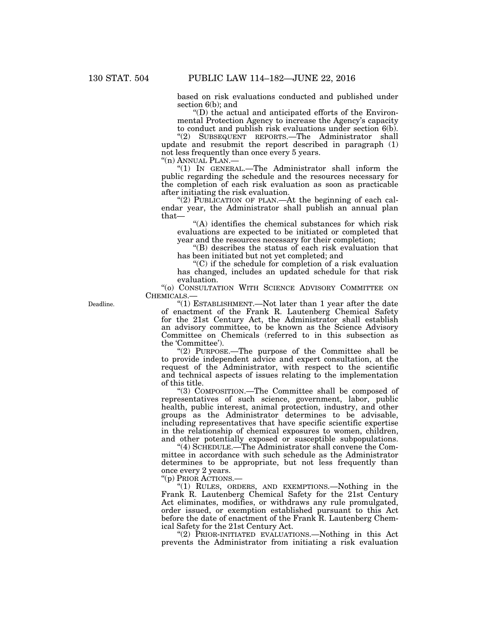based on risk evaluations conducted and published under section 6(b); and

''(D) the actual and anticipated efforts of the Environmental Protection Agency to increase the Agency's capacity to conduct and publish risk evaluations under section 6(b).

"(2) SUBSEQUENT REPORTS.—The Administrator shall update and resubmit the report described in paragraph (1) not less frequently than once every 5 years.

"(n) ANNUAL PLAN.—<br>"(1) IN GENERAL.—The Administrator shall inform the public regarding the schedule and the resources necessary for the completion of each risk evaluation as soon as practicable after initiating the risk evaluation.

"(2) PUBLICATION OF PLAN.—At the beginning of each calendar year, the Administrator shall publish an annual plan that—

''(A) identifies the chemical substances for which risk evaluations are expected to be initiated or completed that year and the resources necessary for their completion;

''(B) describes the status of each risk evaluation that has been initiated but not yet completed; and

''(C) if the schedule for completion of a risk evaluation has changed, includes an updated schedule for that risk evaluation.

''(o) CONSULTATION WITH SCIENCE ADVISORY COMMITTEE ON CHEMICALS.—

Deadline.

"(1) ESTABLISHMENT.—Not later than 1 year after the date of enactment of the Frank R. Lautenberg Chemical Safety for the 21st Century Act, the Administrator shall establish an advisory committee, to be known as the Science Advisory Committee on Chemicals (referred to in this subsection as the 'Committee').

''(2) PURPOSE.—The purpose of the Committee shall be to provide independent advice and expert consultation, at the request of the Administrator, with respect to the scientific and technical aspects of issues relating to the implementation of this title.

''(3) COMPOSITION.—The Committee shall be composed of representatives of such science, government, labor, public health, public interest, animal protection, industry, and other groups as the Administrator determines to be advisable, including representatives that have specific scientific expertise in the relationship of chemical exposures to women, children, and other potentially exposed or susceptible subpopulations.

''(4) SCHEDULE.—The Administrator shall convene the Committee in accordance with such schedule as the Administrator determines to be appropriate, but not less frequently than once every 2 years.

''(p) PRIOR ACTIONS.—

"(1) RULES, ORDERS, AND EXEMPTIONS.—Nothing in the Frank R. Lautenberg Chemical Safety for the 21st Century Act eliminates, modifies, or withdraws any rule promulgated, order issued, or exemption established pursuant to this Act before the date of enactment of the Frank R. Lautenberg Chemical Safety for the 21st Century Act.

''(2) PRIOR-INITIATED EVALUATIONS.—Nothing in this Act prevents the Administrator from initiating a risk evaluation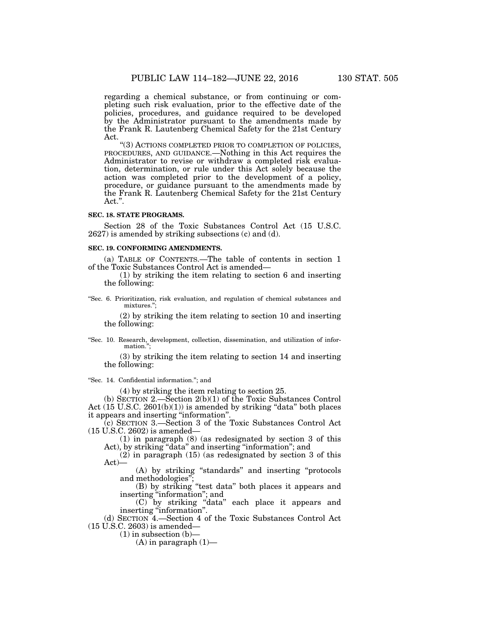regarding a chemical substance, or from continuing or completing such risk evaluation, prior to the effective date of the policies, procedures, and guidance required to be developed by the Administrator pursuant to the amendments made by the Frank R. Lautenberg Chemical Safety for the 21st Century Act.

''(3) ACTIONS COMPLETED PRIOR TO COMPLETION OF POLICIES, PROCEDURES, AND GUIDANCE.—Nothing in this Act requires the Administrator to revise or withdraw a completed risk evaluation, determination, or rule under this Act solely because the action was completed prior to the development of a policy, procedure, or guidance pursuant to the amendments made by the Frank R. Lautenberg Chemical Safety for the 21st Century Act.''.

#### **SEC. 18. STATE PROGRAMS.**

Section 28 of the Toxic Substances Control Act (15 U.S.C. 2627) is amended by striking subsections (c) and (d).

# **SEC. 19. CONFORMING AMENDMENTS.**

(a) TABLE OF CONTENTS.—The table of contents in section 1 of the Toxic Substances Control Act is amended—

(1) by striking the item relating to section 6 and inserting the following:

''Sec. 6. Prioritization, risk evaluation, and regulation of chemical substances and mixtures.'

(2) by striking the item relating to section 10 and inserting the following:

''Sec. 10. Research, development, collection, dissemination, and utilization of information."

(3) by striking the item relating to section 14 and inserting the following:

''Sec. 14. Confidential information.''; and

(4) by striking the item relating to section 25.

(b) SECTION 2.—Section 2(b)(1) of the Toxic Substances Control Act (15 U.S.C. 2601(b)(1)) is amended by striking "data" both places it appears and inserting ''information''.

(c) SECTION 3.—Section 3 of the Toxic Substances Control Act (15 U.S.C. 2602) is amended—

(1) in paragraph (8) (as redesignated by section 3 of this Act), by striking ''data'' and inserting ''information''; and

(2) in paragraph (15) (as redesignated by section 3 of this Act)—

(A) by striking ''standards'' and inserting ''protocols and methodologies'';

(B) by striking ''test data'' both places it appears and inserting ''information''; and

(C) by striking ''data'' each place it appears and inserting "information".

(d) SECTION 4.—Section 4 of the Toxic Substances Control Act (15 U.S.C. 2603) is amended—

(1) in subsection (b)—

 $(A)$  in paragraph  $(1)$ —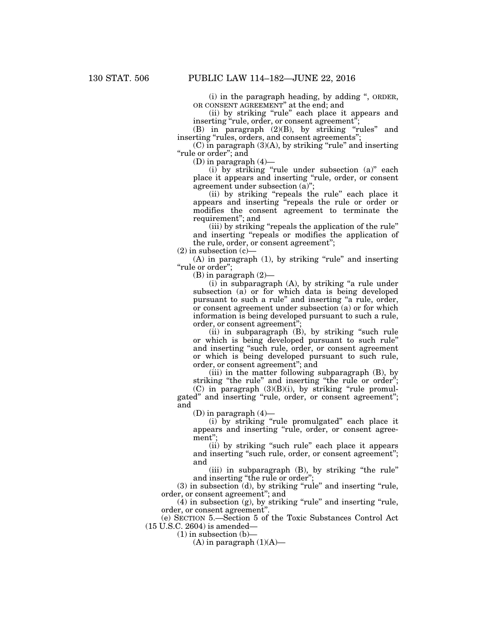(i) in the paragraph heading, by adding '', ORDER, OR CONSENT AGREEMENT'' at the end; and

(ii) by striking ''rule'' each place it appears and inserting ''rule, order, or consent agreement'';

 $(B)$  in paragraph  $(2)(B)$ , by striking "rules" and inserting "rules, orders, and consent agreements";

 $(C)$  in paragraph  $(3)(A)$ , by striking "rule" and inserting "rule or order"; and

 $(D)$  in paragraph  $(4)$ —

 $(i)$  by striking "rule under subsection  $(a)$ " each place it appears and inserting ''rule, order, or consent agreement under subsection (a)'';

(ii) by striking ''repeals the rule'' each place it appears and inserting ''repeals the rule or order or modifies the consent agreement to terminate the requirement''; and

(iii) by striking "repeals the application of the rule" and inserting ''repeals or modifies the application of the rule, order, or consent agreement'';

 $(2)$  in subsection  $(c)$ –

(A) in paragraph (1), by striking "rule" and inserting "rule or order":

(B) in paragraph (2)—

 $(i)$  in subparagraph  $(A)$ , by striking "a rule under subsection (a) or for which data is being developed pursuant to such a rule'' and inserting ''a rule, order, or consent agreement under subsection (a) or for which information is being developed pursuant to such a rule, order, or consent agreement'';

 $(ii)$  in subparagraph  $(B)$ , by striking "such rule or which is being developed pursuant to such rule'' and inserting ''such rule, order, or consent agreement or which is being developed pursuant to such rule, order, or consent agreement''; and

(iii) in the matter following subparagraph (B), by striking "the rule" and inserting "the rule or order";

 $(C)$  in paragraph  $(3)(B)(i)$ , by striking "rule promulgated" and inserting "rule, order, or consent agreement"; and

(D) in paragraph (4)—

(i) by striking "rule promulgated" each place it appears and inserting ''rule, order, or consent agreement'';

(ii) by striking ''such rule'' each place it appears and inserting "such rule, order, or consent agreement"; and

(iii) in subparagraph (B), by striking ''the rule'' and inserting ''the rule or order'';

(3) in subsection (d), by striking "rule" and inserting "rule, order, or consent agreement''; and

 $(4)$  in subsection  $(g)$ , by striking "rule" and inserting "rule, order, or consent agreement''.

(e) SECTION 5.—Section 5 of the Toxic Substances Control Act (15 U.S.C. 2604) is amended—

 $(1)$  in subsection  $(b)$ —

 $(A)$  in paragraph  $(1)(A)$ —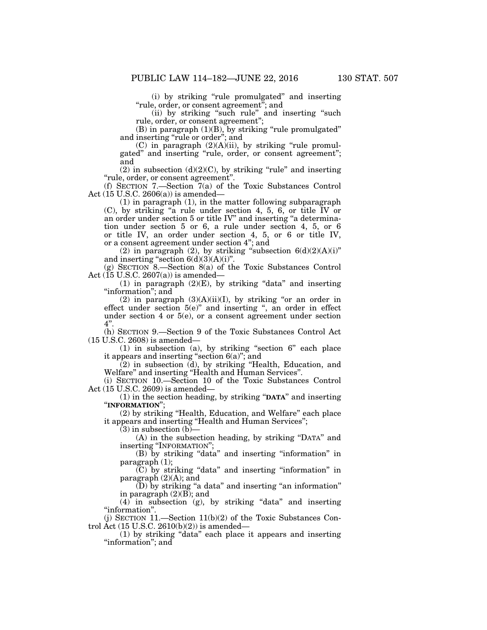(i) by striking ''rule promulgated'' and inserting ''rule, order, or consent agreement''; and

(ii) by striking ''such rule'' and inserting ''such rule, order, or consent agreement'';

 $(B)$  in paragraph  $(1)(B)$ , by striking "rule promulgated" and inserting ''rule or order''; and

 $(C)$  in paragraph  $(2)(A)(ii)$ , by striking "rule promulgated" and inserting "rule, order, or consent agreement"; and

 $(2)$  in subsection  $(d)(2)(C)$ , by striking "rule" and inserting ''rule, order, or consent agreement''.

(f) SECTION 7.—Section 7(a) of the Toxic Substances Control Act (15 U.S.C. 2606(a)) is amended—

(1) in paragraph (1), in the matter following subparagraph (C), by striking ''a rule under section 4, 5, 6, or title IV or an order under section 5 or title IV" and inserting "a determination under section 5 or 6, a rule under section 4, 5, or 6 or title IV, an order under section 4, 5, or 6 or title IV, or a consent agreement under section 4''; and

(2) in paragraph (2), by striking "subsection  $6(d)(2)(A)(i)$ " and inserting "section  $6(d)(3)(A)(i)$ ".

(g) SECTION 8.—Section 8(a) of the Toxic Substances Control Act (15 U.S.C. 2607(a)) is amended—

(1) in paragraph  $(2)(E)$ , by striking "data" and inserting ''information''; and

(2) in paragraph  $(3)(A)(ii)(I)$ , by striking "or an order in effect under section  $5(e)$ " and inserting ", an order in effect under section 4 or 5(e), or a consent agreement under section 4''.

(h) SECTION 9.—Section 9 of the Toxic Substances Control Act (15 U.S.C. 2608) is amended—

 $(1)$  in subsection  $(a)$ , by striking "section  $6$ " each place it appears and inserting ''section 6(a)''; and

(2) in subsection (d), by striking ''Health, Education, and Welfare'' and inserting ''Health and Human Services''.

(i) SECTION 10.—Section 10 of the Toxic Substances Control Act (15 U.S.C. 2609) is amended—

(1) in the section heading, by striking ''**DATA**'' and inserting ''**INFORMATION**'';

(2) by striking ''Health, Education, and Welfare'' each place it appears and inserting ''Health and Human Services'';

 $(3)$  in subsection  $(b)$ —

(A) in the subsection heading, by striking ''DATA'' and inserting "INFORMATION";

(B) by striking ''data'' and inserting ''information'' in paragraph (1);

 $(C)$  by striking "data" and inserting "information" in paragraph  $(2)(A)$ ; and

 $(D)$  by striking "a data" and inserting "an information" in paragraph  $(2)(B)$ ; and

 $(4)$  in subsection  $(g)$ , by striking "data" and inserting ''information''.

(j) SECTION 11.—Section  $11(b)(2)$  of the Toxic Substances Control Act  $(15 \text{ U.S.C. } 2610(b)(2))$  is amended—

(1) by striking ''data'' each place it appears and inserting "information"; and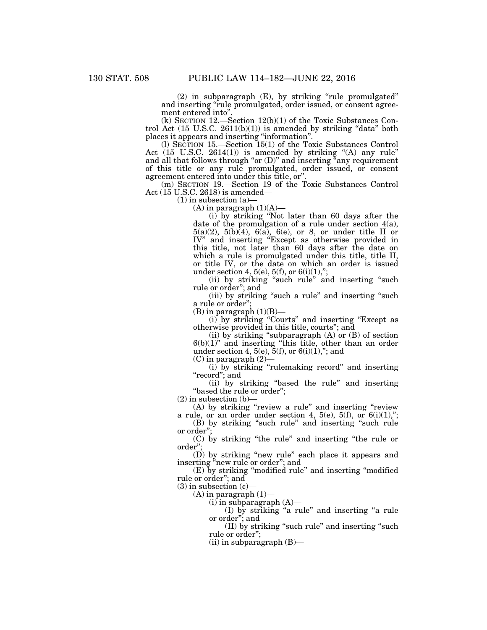$(2)$  in subparagraph  $(E)$ , by striking "rule promulgated" and inserting ''rule promulgated, order issued, or consent agreement entered into''.

(k) SECTION 12.—Section 12(b)(1) of the Toxic Substances Control Act  $(15 \text{ U.S.C. } 2611(b)(1))$  is amended by striking "data" both places it appears and inserting ''information''.

(l) SECTION 15.—Section 15(1) of the Toxic Substances Control Act (15 U.S.C. 2614(1)) is amended by striking "(A) any rule" and all that follows through "or  $(D)$ " and inserting "any requirement of this title or any rule promulgated, order issued, or consent agreement entered into under this title, or

(m) SECTION 19.—Section 19 of the Toxic Substances Control Act (15 U.S.C. 2618) is amended—

 $(1)$  in subsection  $(a)$ -

 $(A)$  in paragraph  $(1)(A)$ —

(i) by striking ''Not later than 60 days after the date of the promulgation of a rule under section 4(a),  $5(a)(2)$ ,  $5(b)(4)$ ,  $6(a)$ ,  $6(e)$ , or 8, or under title II or IV'' and inserting ''Except as otherwise provided in this title, not later than 60 days after the date on which a rule is promulgated under this title, title II, or title IV, or the date on which an order is issued under section 4, 5(e), 5(f), or  $6(i)(1)$ ,";

(ii) by striking "such rule" and inserting "such rule or order''; and

(iii) by striking "such a rule" and inserting "such a rule or order'';

 $(B)$  in paragraph  $(1)(B)$ —

(i) by striking ''Courts'' and inserting ''Except as otherwise provided in this title, courts''; and

(ii) by striking "subparagraph  $(A)$  or  $(B)$  of section  $6(b)(1)$ " and inserting "this title, other than an order under section 4,  $5(e)$ ,  $5(f)$ , or  $6(i)(1)$ ,"; and

 $(C)$  in paragraph  $(2)$ 

(i) by striking ''rulemaking record'' and inserting "record"; and

(ii) by striking ''based the rule'' and inserting "based the rule or order";

 $(2)$  in subsection  $(b)$ –

(A) by striking ''review a rule'' and inserting ''review a rule, or an order under section 4, 5(e), 5(f), or  $6(i)(1)$ ,";

(B) by striking "such rule" and inserting "such rule" or order'';

(C) by striking ''the rule'' and inserting ''the rule or order'';

(D) by striking ''new rule'' each place it appears and inserting ''new rule or order''; and

(E) by striking ''modified rule'' and inserting ''modified rule or order''; and

 $(3)$  in subsection  $(c)$ -

 $(A)$  in paragraph  $(1)$ —

(i) in subparagraph (A)—

(I) by striking ''a rule'' and inserting ''a rule or order''; and

(II) by striking ''such rule'' and inserting ''such rule or order'';

 $(ii)$  in subparagraph  $(B)$ —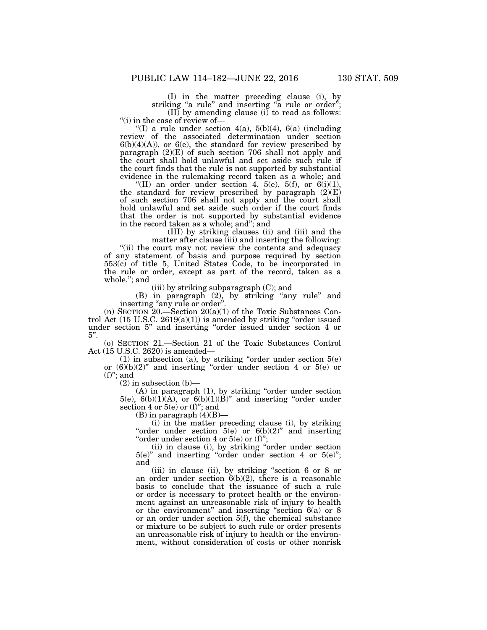(I) in the matter preceding clause (i), by

striking "a rule" and inserting "a rule or order"; (II) by amending clause (i) to read as follows:

''(i) in the case of review of—

"(I) a rule under section  $4(a)$ ,  $5(b)(4)$ ,  $6(a)$  (including review of the associated determination under section  $6(b)(4)(A)$ , or  $6(e)$ , the standard for review prescribed by paragraph  $(2)(E)$  of such section 706 shall not apply and the court shall hold unlawful and set aside such rule if the court finds that the rule is not supported by substantial evidence in the rulemaking record taken as a whole; and

"(II) an order under section 4, 5(e), 5(f), or  $6(i)(1)$ , the standard for review prescribed by paragraph  $(2)(E)$ of such section 706 shall not apply and the court shall hold unlawful and set aside such order if the court finds that the order is not supported by substantial evidence in the record taken as a whole; and''; and

(III) by striking clauses (ii) and (iii) and the matter after clause (iii) and inserting the following:

"(ii) the court may not review the contents and adequacy of any statement of basis and purpose required by section 553(c) of title 5, United States Code, to be incorporated in the rule or order, except as part of the record, taken as a whole.''; and

(iii) by striking subparagraph (C); and

 $(B)$  in paragraph  $(2)$ , by striking "any rule" and inserting "any rule or order".

(n) SECTION  $20$ . Section  $20(a)(1)$  of the Toxic Substances Control Act (15 U.S.C. 2619(a)(1)) is amended by striking ''order issued under section 5'' and inserting ''order issued under section 4 or  $5$ ".

(o) SECTION 21.—Section 21 of the Toxic Substances Control Act (15 U.S.C. 2620) is amended—

 $(1)$  in subsection  $(a)$ , by striking "order under section  $5(e)$ or  $(6)(b)(2)$ " and inserting "order under section 4 or  $5(e)$  or  $(f)$ "; and

 $(2)$  in subsection  $(b)$ —

(A) in paragraph (1), by striking ''order under section  $5(e)$ ,  $6(b)(1)(A)$ , or  $6(b)(1)(B)$ " and inserting "order under section 4 or 5(e) or (f)''; and

(B) in paragraph  $(4)(B)$ —

(i) in the matter preceding clause (i), by striking "order under section  $5(e)$  or  $6(b)(2)$ " and inserting "order under section  $4$  or  $5(e)$  or  $(f)$ ";

(ii) in clause (i), by striking ''order under section  $5(e)$ " and inserting "order under section 4 or  $5(e)$ "; and

(iii) in clause (ii), by striking ''section 6 or 8 or an order under section  $6(b)(2)$ , there is a reasonable basis to conclude that the issuance of such a rule or order is necessary to protect health or the environment against an unreasonable risk of injury to health or the environment" and inserting "section  $6(a)$  or  $8$ or an order under section 5(f), the chemical substance or mixture to be subject to such rule or order presents an unreasonable risk of injury to health or the environment, without consideration of costs or other nonrisk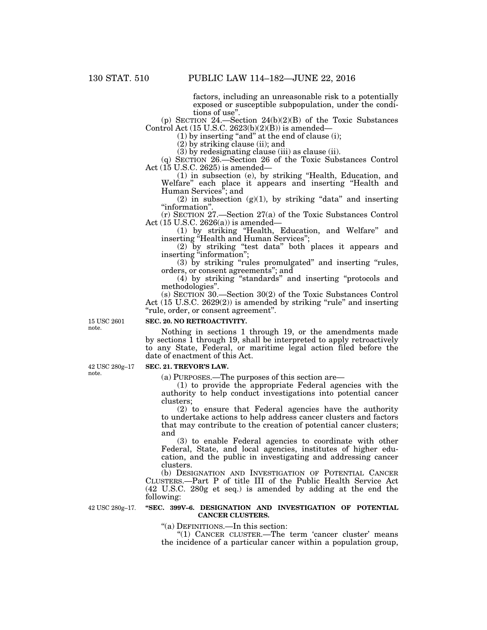factors, including an unreasonable risk to a potentially exposed or susceptible subpopulation, under the conditions of use''.

(p) SECTION 24.—Section 24(b)(2)(B) of the Toxic Substances Control Act  $(15 \text{ U.S.C. } 2623(b)(2)(B))$  is amended—

 $(1)$  by inserting "and" at the end of clause (i);

(2) by striking clause (ii); and

(3) by redesignating clause (iii) as clause (ii).

(q) SECTION 26.—Section 26 of the Toxic Substances Control Act (15 U.S.C. 2625) is amended—

(1) in subsection (e), by striking ''Health, Education, and Welfare'' each place it appears and inserting ''Health and Human Services''; and

(2) in subsection  $(g)(1)$ , by striking "data" and inserting ''information''.

(r) SECTION 27.—Section 27(a) of the Toxic Substances Control Act (15 U.S.C. 2626(a)) is amended—

(1) by striking ''Health, Education, and Welfare'' and inserting ''Health and Human Services'';

(2) by striking ''test data'' both places it appears and inserting ''information'';

(3) by striking ''rules promulgated'' and inserting ''rules, orders, or consent agreements''; and

(4) by striking ''standards'' and inserting ''protocols and methodologies''.

(s) SECTION 30.—Section 30(2) of the Toxic Substances Control Act (15 U.S.C. 2629(2)) is amended by striking "rule" and inserting ''rule, order, or consent agreement''.

15 USC 2601 note.

# **SEC. 20. NO RETROACTIVITY.**

Nothing in sections 1 through 19, or the amendments made by sections 1 through 19, shall be interpreted to apply retroactively to any State, Federal, or maritime legal action filed before the date of enactment of this Act.

### **SEC. 21. TREVOR'S LAW.**

(a) PURPOSES.—The purposes of this section are—

(1) to provide the appropriate Federal agencies with the authority to help conduct investigations into potential cancer clusters;

(2) to ensure that Federal agencies have the authority to undertake actions to help address cancer clusters and factors that may contribute to the creation of potential cancer clusters; and

(3) to enable Federal agencies to coordinate with other Federal, State, and local agencies, institutes of higher education, and the public in investigating and addressing cancer clusters.

(b) DESIGNATION AND INVESTIGATION OF POTENTIAL CANCER CLUSTERS.—Part P of title III of the Public Health Service Act (42 U.S.C. 280g et seq.) is amended by adding at the end the following:

42 USC 280g–17.

#### **''SEC. 399V–6. DESIGNATION AND INVESTIGATION OF POTENTIAL CANCER CLUSTERS.**

''(a) DEFINITIONS.—In this section:

"(1) CANCER CLUSTER.—The term 'cancer cluster' means the incidence of a particular cancer within a population group,

42 USC 280g–17

note.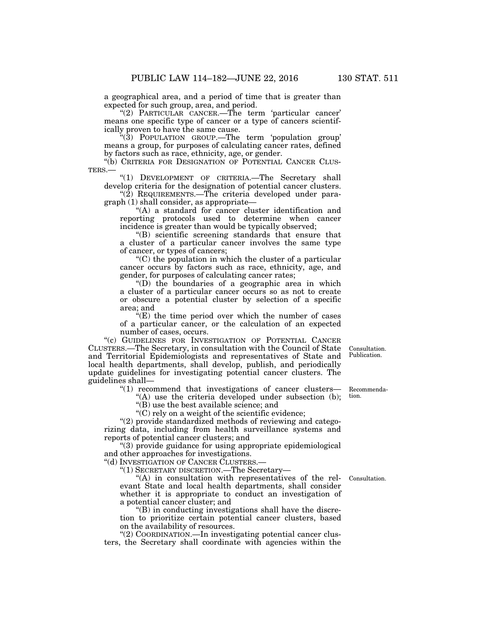a geographical area, and a period of time that is greater than expected for such group, area, and period.

"(2) PARTICULAR CANCER.—The term 'particular cancer' means one specific type of cancer or a type of cancers scientifically proven to have the same cause.

''(3) POPULATION GROUP.—The term 'population group' means a group, for purposes of calculating cancer rates, defined by factors such as race, ethnicity, age, or gender.

''(b) CRITERIA FOR DESIGNATION OF POTENTIAL CANCER CLUS-TERS.—

"(1) DEVELOPMENT OF CRITERIA.—The Secretary shall develop criteria for the designation of potential cancer clusters.

" $(2)$  REQUIREMENTS.—The criteria developed under paragraph (1) shall consider, as appropriate—

"(A) a standard for cancer cluster identification and reporting protocols used to determine when cancer incidence is greater than would be typically observed;

''(B) scientific screening standards that ensure that a cluster of a particular cancer involves the same type of cancer, or types of cancers;

 $C$ ) the population in which the cluster of a particular cancer occurs by factors such as race, ethnicity, age, and gender, for purposes of calculating cancer rates;

 $'(D)$  the boundaries of a geographic area in which a cluster of a particular cancer occurs so as not to create or obscure a potential cluster by selection of a specific area; and

 $E(E)$  the time period over which the number of cases of a particular cancer, or the calculation of an expected number of cases, occurs.

''(c) GUIDELINES FOR INVESTIGATION OF POTENTIAL CANCER CLUSTERS.—The Secretary, in consultation with the Council of State and Territorial Epidemiologists and representatives of State and local health departments, shall develop, publish, and periodically update guidelines for investigating potential cancer clusters. The guidelines shall—

 $''(1)$  recommend that investigations of cancer clusters—

"(A) use the criteria developed under subsection  $(b)$ ;

"(B) use the best available science; and

 $C$ ) rely on a weight of the scientific evidence;

''(2) provide standardized methods of reviewing and categorizing data, including from health surveillance systems and reports of potential cancer clusters; and

''(3) provide guidance for using appropriate epidemiological and other approaches for investigations.

''(d) INVESTIGATION OF CANCER CLUSTERS.—

''(1) SECRETARY DISCRETION.—The Secretary—

"(A) in consultation with representatives of the relevant State and local health departments, shall consider whether it is appropriate to conduct an investigation of a potential cancer cluster; and

''(B) in conducting investigations shall have the discretion to prioritize certain potential cancer clusters, based on the availability of resources.

''(2) COORDINATION.—In investigating potential cancer clusters, the Secretary shall coordinate with agencies within the

Consultation. Publication.

Recommendation.

Consultation.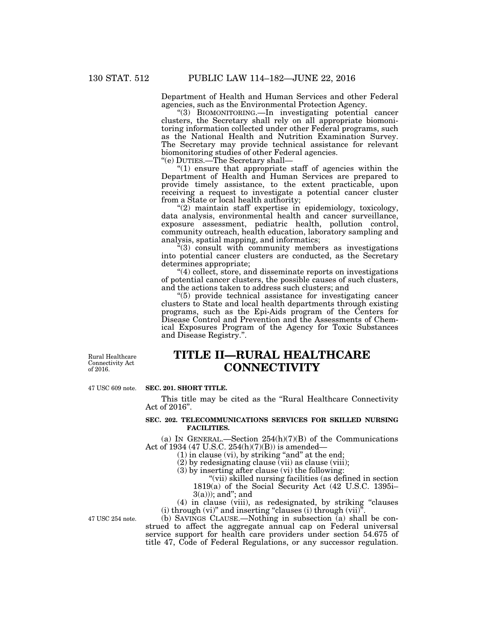Department of Health and Human Services and other Federal agencies, such as the Environmental Protection Agency.

''(3) BIOMONITORING.—In investigating potential cancer clusters, the Secretary shall rely on all appropriate biomonitoring information collected under other Federal programs, such as the National Health and Nutrition Examination Survey. The Secretary may provide technical assistance for relevant biomonitoring studies of other Federal agencies.

''(e) DUTIES.—The Secretary shall—

" $(1)$  ensure that appropriate staff of agencies within the Department of Health and Human Services are prepared to provide timely assistance, to the extent practicable, upon receiving a request to investigate a potential cancer cluster from a State or local health authority;

 $(2)$  maintain staff expertise in epidemiology, toxicology, data analysis, environmental health and cancer surveillance, exposure assessment, pediatric health, pollution control, community outreach, health education, laboratory sampling and analysis, spatial mapping, and informatics;

"(3) consult with community members as investigations into potential cancer clusters are conducted, as the Secretary determines appropriate;

''(4) collect, store, and disseminate reports on investigations of potential cancer clusters, the possible causes of such clusters, and the actions taken to address such clusters; and

''(5) provide technical assistance for investigating cancer clusters to State and local health departments through existing programs, such as the Epi-Aids program of the Centers for Disease Control and Prevention and the Assessments of Chemical Exposures Program of the Agency for Toxic Substances and Disease Registry.''.

Rural Healthcare Connectivity Act of 2016.

# **TITLE II—RURAL HEALTHCARE CONNECTIVITY**

47 USC 609 note.

# **SEC. 201. SHORT TITLE.**

This title may be cited as the ''Rural Healthcare Connectivity Act of 2016''.

#### **SEC. 202. TELECOMMUNICATIONS SERVICES FOR SKILLED NURSING FACILITIES.**

(a) IN GENERAL.—Section  $254(h)(7)(B)$  of the Communications Act of 1934 (47 U.S.C. 254(h)(7)(B)) is amended—

 $(1)$  in clause (vi), by striking "and" at the end;

(2) by redesignating clause (vii) as clause (viii);

(3) by inserting after clause (vi) the following:

''(vii) skilled nursing facilities (as defined in section 1819(a) of the Social Security Act (42 U.S.C. 1395i– 3(a))); and''; and

(4) in clause (viii), as redesignated, by striking ''clauses  $(i)$  through  $(vi)$ " and inserting "clauses  $(i)$  through  $(vii)$ "

47 USC 254 note.

(b) SAVINGS CLAUSE.—Nothing in subsection (a) shall be construed to affect the aggregate annual cap on Federal universal service support for health care providers under section 54.675 of title 47, Code of Federal Regulations, or any successor regulation.